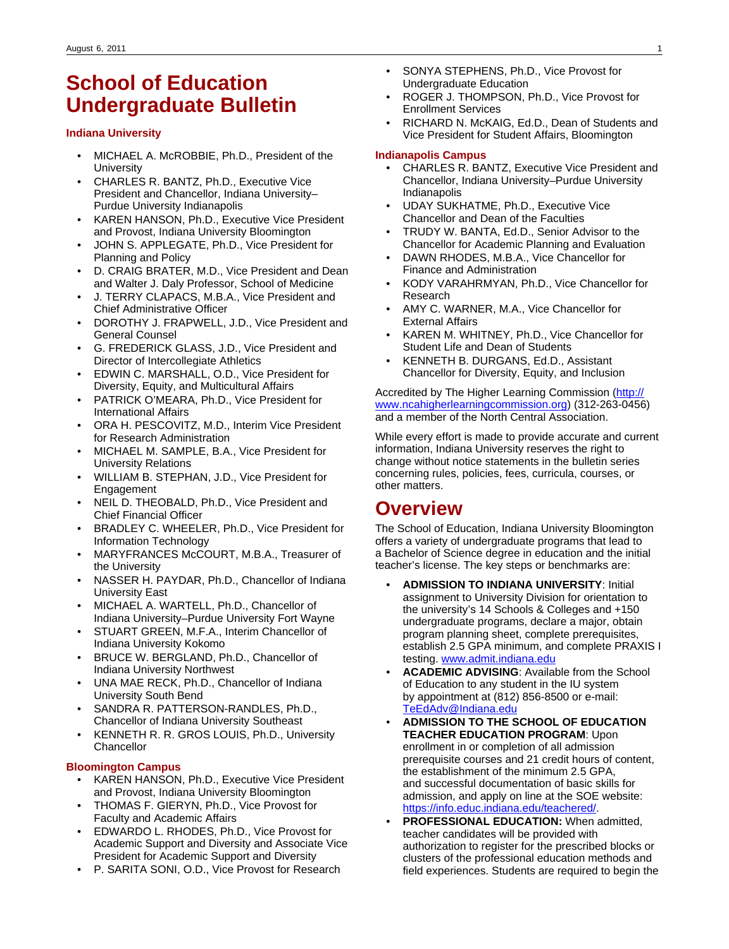# **School of Education Undergraduate Bulletin**

#### **Indiana University**

- MICHAEL A. McROBBIE, Ph.D., President of the **University**
- CHARLES R. BANTZ, Ph.D., Executive Vice President and Chancellor, Indiana University– Purdue University Indianapolis
- KAREN HANSON, Ph.D., Executive Vice President and Provost, Indiana University Bloomington
- JOHN S. APPLEGATE, Ph.D., Vice President for Planning and Policy
- D. CRAIG BRATER, M.D., Vice President and Dean and Walter J. Daly Professor, School of Medicine
- J. TERRY CLAPACS, M.B.A., Vice President and Chief Administrative Officer
- DOROTHY J. FRAPWELL, J.D., Vice President and General Counsel
- G. FREDERICK GLASS, J.D., Vice President and Director of Intercollegiate Athletics
- EDWIN C. MARSHALL, O.D., Vice President for Diversity, Equity, and Multicultural Affairs
- PATRICK O'MEARA, Ph.D., Vice President for International Affairs
- ORA H. PESCOVITZ, M.D., Interim Vice President for Research Administration
- MICHAEL M. SAMPLE, B.A., Vice President for University Relations
- WILLIAM B. STEPHAN, J.D., Vice President for **Engagement**
- NEIL D. THEOBALD, Ph.D., Vice President and Chief Financial Officer
- BRADLEY C. WHEELER, Ph.D., Vice President for Information Technology
- MARYFRANCES McCOURT, M.B.A., Treasurer of the University
- NASSER H. PAYDAR, Ph.D., Chancellor of Indiana University East
- MICHAEL A. WARTELL, Ph.D., Chancellor of Indiana University–Purdue University Fort Wayne
- STUART GREEN, M.F.A., Interim Chancellor of Indiana University Kokomo
- BRUCE W. BERGLAND, Ph.D., Chancellor of Indiana University Northwest
- UNA MAE RECK, Ph.D., Chancellor of Indiana University South Bend
- SANDRA R. PATTERSON-RANDLES, Ph.D., Chancellor of Indiana University Southeast
- KENNETH R. R. GROS LOUIS, Ph.D., University **Chancellor**

#### **Bloomington Campus**

- KAREN HANSON, Ph.D., Executive Vice President and Provost, Indiana University Bloomington
- THOMAS F. GIERYN, Ph.D., Vice Provost for Faculty and Academic Affairs
- EDWARDO L. RHODES, Ph.D., Vice Provost for Academic Support and Diversity and Associate Vice President for Academic Support and Diversity
- P. SARITA SONI, O.D., Vice Provost for Research
- SONYA STEPHENS, Ph.D., Vice Provost for Undergraduate Education
- ROGER J. THOMPSON, Ph.D., Vice Provost for Enrollment Services
- RICHARD N. McKAIG, Ed.D., Dean of Students and Vice President for Student Affairs, Bloomington

#### **Indianapolis Campus**

- CHARLES R. BANTZ, Executive Vice President and Chancellor, Indiana University–Purdue University Indianapolis
- UDAY SUKHATME, Ph.D., Executive Vice Chancellor and Dean of the Faculties
- TRUDY W. BANTA, Ed.D., Senior Advisor to the Chancellor for Academic Planning and Evaluation
- DAWN RHODES, M.B.A., Vice Chancellor for Finance and Administration
- KODY VARAHRMYAN, Ph.D., Vice Chancellor for Research
- AMY C. WARNER, M.A., Vice Chancellor for External Affairs
- KAREN M. WHITNEY, Ph.D., Vice Chancellor for Student Life and Dean of Students
- KENNETH B. DURGANS, Ed.D., Assistant Chancellor for Diversity, Equity, and Inclusion

Accredited by The Higher Learning Commission ([http://](http://www.ncahigherlearningcommission.org) [www.ncahigherlearningcommission.org\)](http://www.ncahigherlearningcommission.org) (312-263-0456) and a member of the North Central Association.

While every effort is made to provide accurate and current information, Indiana University reserves the right to change without notice statements in the bulletin series concerning rules, policies, fees, curricula, courses, or other matters.

# **Overview**

The School of Education, Indiana University Bloomington offers a variety of undergraduate programs that lead to a Bachelor of Science degree in education and the initial teacher's license. The key steps or benchmarks are:

- **ADMISSION TO INDIANA UNIVERSITY**: Initial assignment to University Division for orientation to the university's 14 Schools & Colleges and +150 undergraduate programs, declare a major, obtain program planning sheet, complete prerequisites, establish 2.5 GPA minimum, and complete PRAXIS I testing. [www.admit.indiana.edu](http://www.admit.indiana.edu)
- **ACADEMIC ADVISING**: Available from the School of Education to any student in the IU system by appointment at (812) 856-8500 or e-mail: [TeEdAdv@Indiana.edu](mailto:TeEdAdv@Indiana.edu)
- **ADMISSION TO THE SCHOOL OF EDUCATION TEACHER EDUCATION PROGRAM**: Upon enrollment in or completion of all admission prerequisite courses and 21 credit hours of content, the establishment of the minimum 2.5 GPA, and successful documentation of basic skills for admission, and apply on line at the SOE website: <https://info.educ.indiana.edu/teachered/>.
- **PROFESSIONAL EDUCATION:** When admitted, teacher candidates will be provided with authorization to register for the prescribed blocks or clusters of the professional education methods and field experiences. Students are required to begin the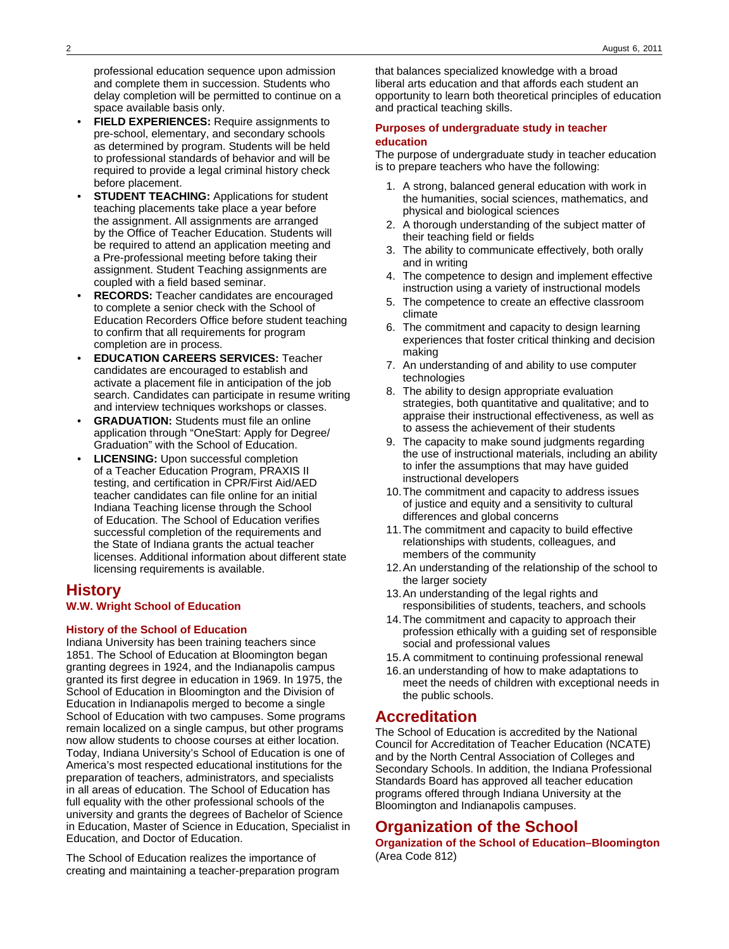professional education sequence upon admission and complete them in succession. Students who delay completion will be permitted to continue on a space available basis only.

- **FIELD EXPERIENCES:** Require assignments to pre-school, elementary, and secondary schools as determined by program. Students will be held to professional standards of behavior and will be required to provide a legal criminal history check before placement.
- **STUDENT TEACHING: Applications for student** teaching placements take place a year before the assignment. All assignments are arranged by the Office of Teacher Education. Students will be required to attend an application meeting and a Pre-professional meeting before taking their assignment. Student Teaching assignments are coupled with a field based seminar.
- **RECORDS:** Teacher candidates are encouraged to complete a senior check with the School of Education Recorders Office before student teaching to confirm that all requirements for program completion are in process.
- **EDUCATION CAREERS SERVICES:** Teacher candidates are encouraged to establish and activate a placement file in anticipation of the job search. Candidates can participate in resume writing and interview techniques workshops or classes.
- **GRADUATION:** Students must file an online application through "OneStart: Apply for Degree/ Graduation" with the School of Education.
- **LICENSING:** Upon successful completion of a Teacher Education Program, PRAXIS II testing, and certification in CPR/First Aid/AED teacher candidates can file online for an initial Indiana Teaching license through the School of Education. The School of Education verifies successful completion of the requirements and the State of Indiana grants the actual teacher licenses. Additional information about different state licensing requirements is available.

## **History**

### **W.W. Wright School of Education**

#### **History of the School of Education**

Indiana University has been training teachers since 1851. The School of Education at Bloomington began granting degrees in 1924, and the Indianapolis campus granted its first degree in education in 1969. In 1975, the School of Education in Bloomington and the Division of Education in Indianapolis merged to become a single School of Education with two campuses. Some programs remain localized on a single campus, but other programs now allow students to choose courses at either location. Today, Indiana University's School of Education is one of America's most respected educational institutions for the preparation of teachers, administrators, and specialists in all areas of education. The School of Education has full equality with the other professional schools of the university and grants the degrees of Bachelor of Science in Education, Master of Science in Education, Specialist in Education, and Doctor of Education.

The School of Education realizes the importance of creating and maintaining a teacher-preparation program

that balances specialized knowledge with a broad liberal arts education and that affords each student an opportunity to learn both theoretical principles of education and practical teaching skills.

#### **Purposes of undergraduate study in teacher education**

The purpose of undergraduate study in teacher education is to prepare teachers who have the following:

- 1. A strong, balanced general education with work in the humanities, social sciences, mathematics, and physical and biological sciences
- 2. A thorough understanding of the subject matter of their teaching field or fields
- 3. The ability to communicate effectively, both orally and in writing
- 4. The competence to design and implement effective instruction using a variety of instructional models
- 5. The competence to create an effective classroom climate
- 6. The commitment and capacity to design learning experiences that foster critical thinking and decision making
- 7. An understanding of and ability to use computer technologies
- 8. The ability to design appropriate evaluation strategies, both quantitative and qualitative; and to appraise their instructional effectiveness, as well as to assess the achievement of their students
- 9. The capacity to make sound judgments regarding the use of instructional materials, including an ability to infer the assumptions that may have guided instructional developers
- 10.The commitment and capacity to address issues of justice and equity and a sensitivity to cultural differences and global concerns
- 11.The commitment and capacity to build effective relationships with students, colleagues, and members of the community
- 12.An understanding of the relationship of the school to the larger society
- 13.An understanding of the legal rights and responsibilities of students, teachers, and schools
- 14.The commitment and capacity to approach their profession ethically with a guiding set of responsible social and professional values
- 15.A commitment to continuing professional renewal
- 16.an understanding of how to make adaptations to meet the needs of children with exceptional needs in the public schools.

## **Accreditation**

The School of Education is accredited by the National Council for Accreditation of Teacher Education (NCATE) and by the North Central Association of Colleges and Secondary Schools. In addition, the Indiana Professional Standards Board has approved all teacher education programs offered through Indiana University at the Bloomington and Indianapolis campuses.

# **Organization of the School**

**Organization of the School of Education–Bloomington** (Area Code 812)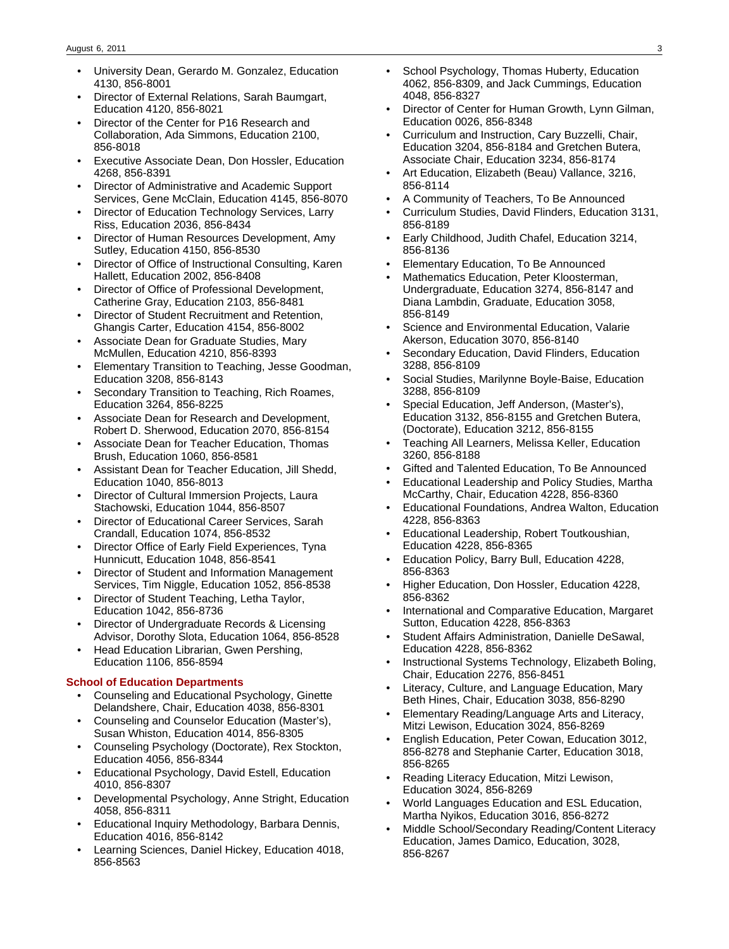- University Dean, Gerardo M. Gonzalez, Education 4130, 856-8001
- Director of External Relations, Sarah Baumgart, Education 4120, 856-8021
- Director of the Center for P16 Research and Collaboration, Ada Simmons, Education 2100, 856-8018
- Executive Associate Dean, Don Hossler, Education 4268, 856-8391
- Director of Administrative and Academic Support Services, Gene McClain, Education 4145, 856-8070
- Director of Education Technology Services, Larry Riss, Education 2036, 856-8434
- Director of Human Resources Development, Amy Sutley, Education 4150, 856-8530
- Director of Office of Instructional Consulting, Karen Hallett, Education 2002, 856-8408
- Director of Office of Professional Development, Catherine Gray, Education 2103, 856-8481
- Director of Student Recruitment and Retention, Ghangis Carter, Education 4154, 856-8002
- Associate Dean for Graduate Studies, Mary McMullen, Education 4210, 856-8393
- Elementary Transition to Teaching, Jesse Goodman, Education 3208, 856-8143
- Secondary Transition to Teaching, Rich Roames, Education 3264, 856-8225
- Associate Dean for Research and Development, Robert D. Sherwood, Education 2070, 856-8154
- Associate Dean for Teacher Education, Thomas Brush, Education 1060, 856-8581
- Assistant Dean for Teacher Education, Jill Shedd, Education 1040, 856-8013
- Director of Cultural Immersion Projects, Laura Stachowski, Education 1044, 856-8507
- Director of Educational Career Services, Sarah Crandall, Education 1074, 856-8532
- Director Office of Early Field Experiences, Tyna Hunnicutt, Education 1048, 856-8541
- Director of Student and Information Management Services, Tim Niggle, Education 1052, 856-8538
- Director of Student Teaching, Letha Taylor, Education 1042, 856-8736
- Director of Undergraduate Records & Licensing Advisor, Dorothy Slota, Education 1064, 856-8528
- Head Education Librarian, Gwen Pershing, Education 1106, 856-8594

#### **School of Education Departments**

- Counseling and Educational Psychology, Ginette Delandshere, Chair, Education 4038, 856-8301
- Counseling and Counselor Education (Master's), Susan Whiston, Education 4014, 856-8305
- Counseling Psychology (Doctorate), Rex Stockton, Education 4056, 856-8344
- Educational Psychology, David Estell, Education 4010, 856-8307
- Developmental Psychology, Anne Stright, Education 4058, 856-8311
- Educational Inquiry Methodology, Barbara Dennis, Education 4016, 856-8142
- Learning Sciences, Daniel Hickey, Education 4018, 856-8563
- School Psychology, Thomas Huberty, Education 4062, 856-8309, and Jack Cummings, Education 4048, 856-8327
- Director of Center for Human Growth, Lynn Gilman, Education 0026, 856-8348
- Curriculum and Instruction, Cary Buzzelli, Chair, Education 3204, 856-8184 and Gretchen Butera, Associate Chair, Education 3234, 856-8174
- Art Education, Elizabeth (Beau) Vallance, 3216, 856-8114
- A Community of Teachers, To Be Announced
- Curriculum Studies, David Flinders, Education 3131, 856-8189
- Early Childhood, Judith Chafel, Education 3214, 856-8136
- Elementary Education, To Be Announced
- Mathematics Education, Peter Kloosterman, Undergraduate, Education 3274, 856-8147 and Diana Lambdin, Graduate, Education 3058, 856-8149
- Science and Environmental Education, Valarie Akerson, Education 3070, 856-8140
- Secondary Education, David Flinders, Education 3288, 856-8109
- Social Studies, Marilynne Boyle-Baise, Education 3288, 856-8109
- Special Education, Jeff Anderson, (Master's), Education 3132, 856-8155 and Gretchen Butera, (Doctorate), Education 3212, 856-8155
- Teaching All Learners, Melissa Keller, Education 3260, 856-8188
- Gifted and Talented Education, To Be Announced
- Educational Leadership and Policy Studies, Martha McCarthy, Chair, Education 4228, 856-8360
- Educational Foundations, Andrea Walton, Education 4228, 856-8363
- Educational Leadership, Robert Toutkoushian, Education 4228, 856-8365
- Education Policy, Barry Bull, Education 4228, 856-8363
- Higher Education, Don Hossler, Education 4228, 856-8362
- International and Comparative Education, Margaret Sutton, Education 4228, 856-8363
- Student Affairs Administration, Danielle DeSawal, Education 4228, 856-8362
- Instructional Systems Technology, Elizabeth Boling, Chair, Education 2276, 856-8451
- Literacy, Culture, and Language Education, Mary Beth Hines, Chair, Education 3038, 856-8290
- Elementary Reading/Language Arts and Literacy, Mitzi Lewison, Education 3024, 856-8269
- English Education, Peter Cowan, Education 3012, 856-8278 and Stephanie Carter, Education 3018, 856-8265
- Reading Literacy Education, Mitzi Lewison, Education 3024, 856-8269
- World Languages Education and ESL Education, Martha Nyikos, Education 3016, 856-8272
- Middle School/Secondary Reading/Content Literacy Education, James Damico, Education, 3028, 856-8267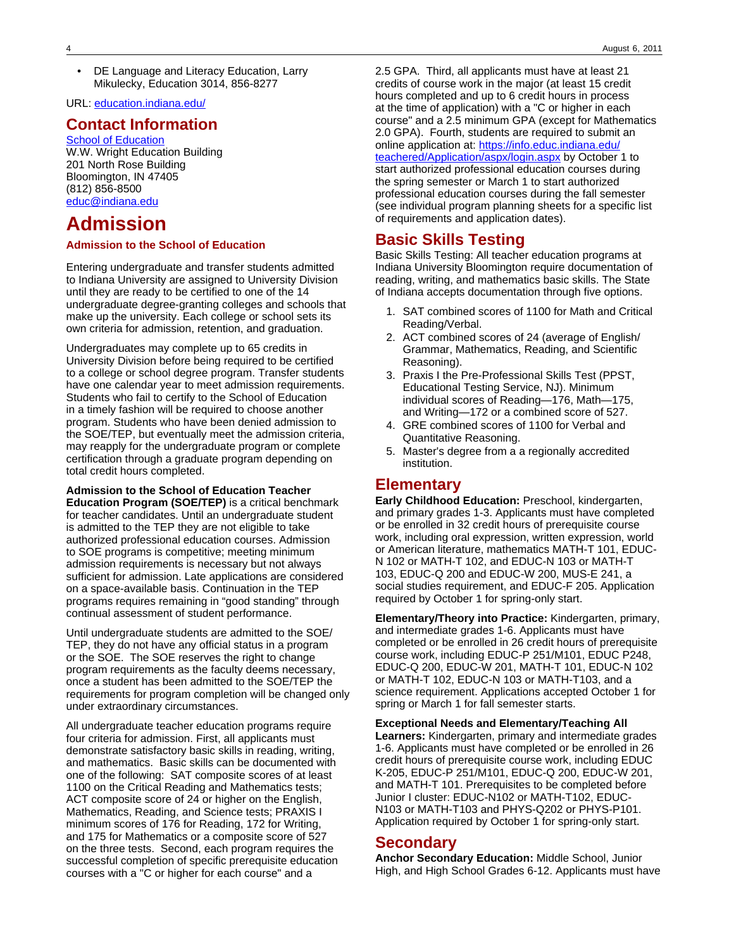DE Language and Literacy Education, Larry Mikulecky, Education 3014, 856-8277

URL: [education.indiana.edu/](http://education.indiana.edu/)

### **Contact Information**

[School of Education](http://education.indiana.edu/) W.W. Wright Education Building 201 North Rose Building Bloomington, IN 47405 (812) 856-8500 [educ@indiana.edu](mailto:educ@indiana.edu)

# **Admission**

#### **Admission to the School of Education**

Entering undergraduate and transfer students admitted to Indiana University are assigned to University Division until they are ready to be certified to one of the 14 undergraduate degree-granting colleges and schools that make up the university. Each college or school sets its own criteria for admission, retention, and graduation.

Undergraduates may complete up to 65 credits in University Division before being required to be certified to a college or school degree program. Transfer students have one calendar year to meet admission requirements. Students who fail to certify to the School of Education in a timely fashion will be required to choose another program. Students who have been denied admission to the SOE/TEP, but eventually meet the admission criteria, may reapply for the undergraduate program or complete certification through a graduate program depending on total credit hours completed.

**Admission to the School of Education Teacher Education Program (SOE/TEP)** is a critical benchmark for teacher candidates. Until an undergraduate student is admitted to the TEP they are not eligible to take authorized professional education courses. Admission to SOE programs is competitive; meeting minimum admission requirements is necessary but not always sufficient for admission. Late applications are considered on a space-available basis. Continuation in the TEP programs requires remaining in "good standing" through continual assessment of student performance.

Until undergraduate students are admitted to the SOE/ TEP, they do not have any official status in a program or the SOE. The SOE reserves the right to change program requirements as the faculty deems necessary, once a student has been admitted to the SOE/TEP the requirements for program completion will be changed only under extraordinary circumstances.

All undergraduate teacher education programs require four criteria for admission. First, all applicants must demonstrate satisfactory basic skills in reading, writing, and mathematics. Basic skills can be documented with one of the following: SAT composite scores of at least 1100 on the Critical Reading and Mathematics tests; ACT composite score of 24 or higher on the English, Mathematics, Reading, and Science tests; PRAXIS I minimum scores of 176 for Reading, 172 for Writing, and 175 for Mathematics or a composite score of 527 on the three tests. Second, each program requires the successful completion of specific prerequisite education courses with a "C or higher for each course" and a

2.5 GPA. Third, all applicants must have at least 21 credits of course work in the major (at least 15 credit hours completed and up to 6 credit hours in process at the time of application) with a "C or higher in each course" and a 2.5 minimum GPA (except for Mathematics 2.0 GPA). Fourth, students are required to submit an online application at: [https://info.educ.indiana.edu/](https://info.educ.indiana.edu/teachered/Application/aspx/login.aspx) [teachered/Application/aspx/login.aspx](https://info.educ.indiana.edu/teachered/Application/aspx/login.aspx) by October 1 to start authorized professional education courses during the spring semester or March 1 to start authorized professional education courses during the fall semester (see individual program planning sheets for a specific list of requirements and application dates).

### **Basic Skills Testing**

Basic Skills Testing: All teacher education programs at Indiana University Bloomington require documentation of reading, writing, and mathematics basic skills. The State of Indiana accepts documentation through five options.

- 1. SAT combined scores of 1100 for Math and Critical Reading/Verbal.
- 2. ACT combined scores of 24 (average of English/ Grammar, Mathematics, Reading, and Scientific Reasoning).
- 3. Praxis I the Pre-Professional Skills Test (PPST, Educational Testing Service, NJ). Minimum individual scores of Reading—176, Math—175, and Writing—172 or a combined score of 527.
- 4. GRE combined scores of 1100 for Verbal and Quantitative Reasoning.
- 5. Master's degree from a a regionally accredited institution.

### **Elementary**

**Early Childhood Education:** Preschool, kindergarten, and primary grades 1-3. Applicants must have completed or be enrolled in 32 credit hours of prerequisite course work, including oral expression, written expression, world or American literature, mathematics MATH-T 101, EDUC-N 102 or MATH-T 102, and EDUC-N 103 or MATH-T 103, EDUC-Q 200 and EDUC-W 200, MUS-E 241, a social studies requirement, and EDUC-F 205. Application required by October 1 for spring-only start.

**Elementary/Theory into Practice:** Kindergarten, primary, and intermediate grades 1-6. Applicants must have completed or be enrolled in 26 credit hours of prerequisite course work, including EDUC-P 251/M101, EDUC P248, EDUC-Q 200, EDUC-W 201, MATH-T 101, EDUC-N 102 or MATH-T 102, EDUC-N 103 or MATH-T103, and a science requirement. Applications accepted October 1 for spring or March 1 for fall semester starts.

**Exceptional Needs and Elementary/Teaching All Learners:** Kindergarten, primary and intermediate grades 1-6. Applicants must have completed or be enrolled in 26 credit hours of prerequisite course work, including EDUC K-205, EDUC-P 251/M101, EDUC-Q 200, EDUC-W 201, and MATH-T 101. Prerequisites to be completed before Junior I cluster: EDUC-N102 or MATH-T102, EDUC-N103 or MATH-T103 and PHYS-Q202 or PHYS-P101. Application required by October 1 for spring-only start.

### **Secondary**

**Anchor Secondary Education:** Middle School, Junior High, and High School Grades 6-12. Applicants must have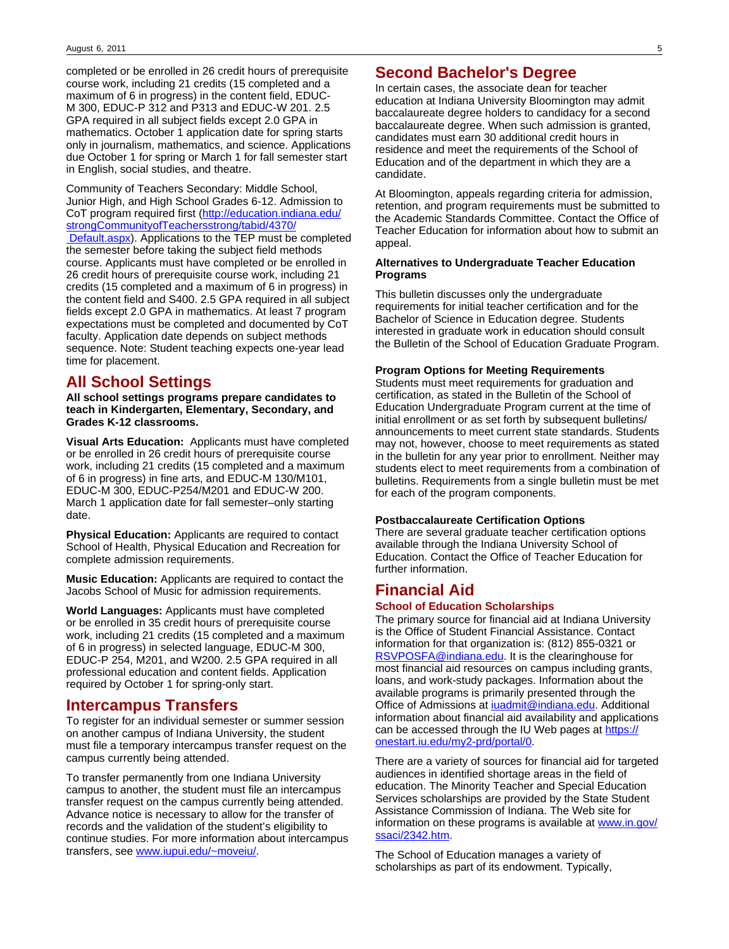completed or be enrolled in 26 credit hours of prerequisite course work, including 21 credits (15 completed and a maximum of 6 in progress) in the content field, EDUC-M 300, EDUC-P 312 and P313 and EDUC-W 201. 2.5 GPA required in all subject fields except 2.0 GPA in mathematics. October 1 application date for spring starts only in journalism, mathematics, and science. Applications due October 1 for spring or March 1 for fall semester start in English, social studies, and theatre.

Community of Teachers Secondary: Middle School, Junior High, and High School Grades 6-12. Admission to CoT program required first [\(http://education.indiana.edu/](http://education.indiana.edu/?strongCommunityofTeachersstrong/?tabid/?4370/? Default.aspx) [strongCommunityofTeachersstrong/tabid/4370/](http://education.indiana.edu/?strongCommunityofTeachersstrong/?tabid/?4370/? Default.aspx)  [Default.aspx\)](http://education.indiana.edu/?strongCommunityofTeachersstrong/?tabid/?4370/? Default.aspx). Applications to the TEP must be completed the semester before taking the subject field methods course. Applicants must have completed or be enrolled in 26 credit hours of prerequisite course work, including 21 credits (15 completed and a maximum of 6 in progress) in the content field and S400. 2.5 GPA required in all subject fields except 2.0 GPA in mathematics. At least 7 program expectations must be completed and documented by CoT faculty. Application date depends on subject methods sequence. Note: Student teaching expects one-year lead time for placement.

## **All School Settings**

**All school settings programs prepare candidates to teach in Kindergarten, Elementary, Secondary, and Grades K-12 classrooms.**

**Visual Arts Education:** Applicants must have completed or be enrolled in 26 credit hours of prerequisite course work, including 21 credits (15 completed and a maximum of 6 in progress) in fine arts, and EDUC-M 130/M101, EDUC-M 300, EDUC-P254/M201 and EDUC-W 200. March 1 application date for fall semester–only starting date.

**Physical Education:** Applicants are required to contact School of Health, Physical Education and Recreation for complete admission requirements.

**Music Education:** Applicants are required to contact the Jacobs School of Music for admission requirements.

**World Languages:** Applicants must have completed or be enrolled in 35 credit hours of prerequisite course work, including 21 credits (15 completed and a maximum of 6 in progress) in selected language, EDUC-M 300, EDUC-P 254, M201, and W200. 2.5 GPA required in all professional education and content fields. Application required by October 1 for spring-only start.

### **Intercampus Transfers**

To register for an individual semester or summer session on another campus of Indiana University, the student must file a temporary intercampus transfer request on the campus currently being attended.

To transfer permanently from one Indiana University campus to another, the student must file an intercampus transfer request on the campus currently being attended. Advance notice is necessary to allow for the transfer of records and the validation of the student's eligibility to continue studies. For more information about intercampus transfers, see [www.iupui.edu/~moveiu/.](http://www.iupui.edu/~moveiu/)

### **Second Bachelor's Degree**

In certain cases, the associate dean for teacher education at Indiana University Bloomington may admit baccalaureate degree holders to candidacy for a second baccalaureate degree. When such admission is granted, candidates must earn 30 additional credit hours in residence and meet the requirements of the School of Education and of the department in which they are a candidate.

At Bloomington, appeals regarding criteria for admission, retention, and program requirements must be submitted to the Academic Standards Committee. Contact the Office of Teacher Education for information about how to submit an appeal.

#### **Alternatives to Undergraduate Teacher Education Programs**

This bulletin discusses only the undergraduate requirements for initial teacher certification and for the Bachelor of Science in Education degree. Students interested in graduate work in education should consult the Bulletin of the School of Education Graduate Program.

### **Program Options for Meeting Requirements**

Students must meet requirements for graduation and certification, as stated in the Bulletin of the School of Education Undergraduate Program current at the time of initial enrollment or as set forth by subsequent bulletins/ announcements to meet current state standards. Students may not, however, choose to meet requirements as stated in the bulletin for any year prior to enrollment. Neither may students elect to meet requirements from a combination of bulletins. Requirements from a single bulletin must be met for each of the program components.

#### **Postbaccalaureate Certification Options**

There are several graduate teacher certification options available through the Indiana University School of Education. Contact the Office of Teacher Education for further information.

### **Financial Aid School of Education Scholarships**

The primary source for financial aid at Indiana University is the Office of Student Financial Assistance. Contact information for that organization is: (812) 855-0321 or [RSVPOSFA@indiana.edu.](mailto:RSVPOSFA@indiana.edu) It is the clearinghouse for most financial aid resources on campus including grants, loans, and work-study packages. Information about the available programs is primarily presented through the Office of Admissions at [iuadmit@indiana.edu](mailto:iuadmit@indiana.edu). Additional information about financial aid availability and applications can be accessed through the IU Web pages at [https://](https://onestart.iu.edu/my2-prd/portal/0) [onestart.iu.edu/my2-prd/portal/0.](https://onestart.iu.edu/my2-prd/portal/0)

There are a variety of sources for financial aid for targeted audiences in identified shortage areas in the field of education. The Minority Teacher and Special Education Services scholarships are provided by the State Student Assistance Commission of Indiana. The Web site for information on these programs is available at [www.in.gov/](http://www.in.gov/ssaci/2342.htm) [ssaci/2342.htm.](http://www.in.gov/ssaci/2342.htm)

The School of Education manages a variety of scholarships as part of its endowment. Typically,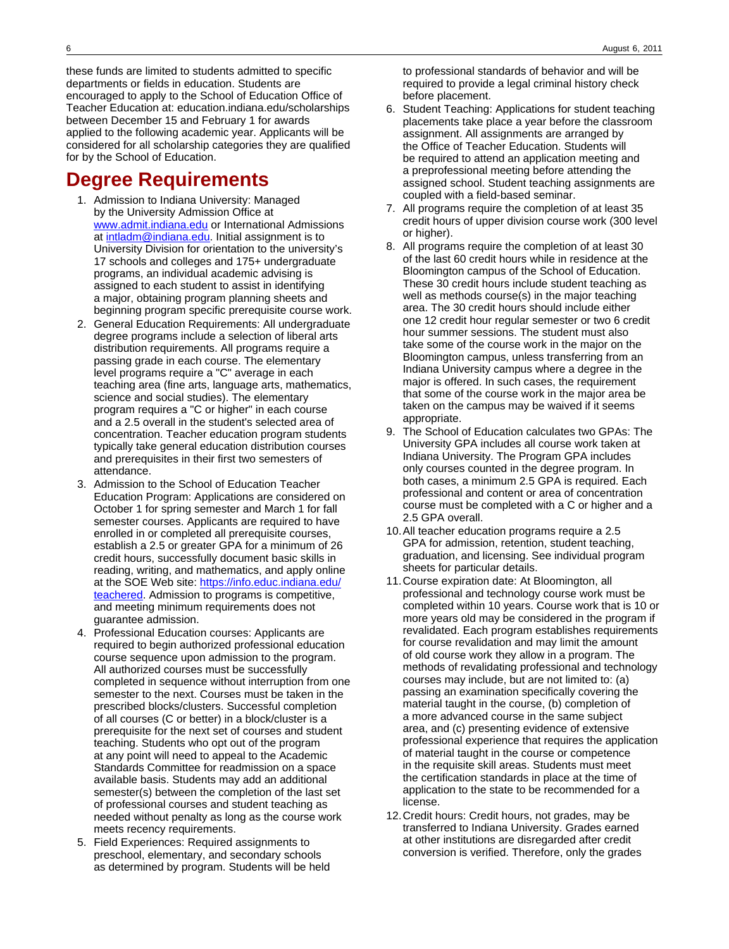these funds are limited to students admitted to specific departments or fields in education. Students are encouraged to apply to the School of Education Office of Teacher Education at: education.indiana.edu/scholarships between December 15 and February 1 for awards applied to the following academic year. Applicants will be considered for all scholarship categories they are qualified for by the School of Education.

# **Degree Requirements**

- 1. Admission to Indiana University: Managed by the University Admission Office at [www.admit.indiana.edu](http://www.admit.indiana.edu) or International Admissions at [intladm@indiana.edu](mailto:intladm@indiana.edu). Initial assignment is to University Division for orientation to the university's 17 schools and colleges and 175+ undergraduate programs, an individual academic advising is assigned to each student to assist in identifying a major, obtaining program planning sheets and beginning program specific prerequisite course work.
- 2. General Education Requirements: All undergraduate degree programs include a selection of liberal arts distribution requirements. All programs require a passing grade in each course. The elementary level programs require a "C" average in each teaching area (fine arts, language arts, mathematics, science and social studies). The elementary program requires a "C or higher" in each course and a 2.5 overall in the student's selected area of concentration. Teacher education program students typically take general education distribution courses and prerequisites in their first two semesters of attendance.
- 3. Admission to the School of Education Teacher Education Program: Applications are considered on October 1 for spring semester and March 1 for fall semester courses. Applicants are required to have enrolled in or completed all prerequisite courses, establish a 2.5 or greater GPA for a minimum of 26 credit hours, successfully document basic skills in reading, writing, and mathematics, and apply online at the SOE Web site: [https://info.educ.indiana.edu/](https://info.educ.indiana.edu/teachered) [teachered.](https://info.educ.indiana.edu/teachered) Admission to programs is competitive, and meeting minimum requirements does not guarantee admission.
- 4. Professional Education courses: Applicants are required to begin authorized professional education course sequence upon admission to the program. All authorized courses must be successfully completed in sequence without interruption from one semester to the next. Courses must be taken in the prescribed blocks/clusters. Successful completion of all courses (C or better) in a block/cluster is a prerequisite for the next set of courses and student teaching. Students who opt out of the program at any point will need to appeal to the Academic Standards Committee for readmission on a space available basis. Students may add an additional semester(s) between the completion of the last set of professional courses and student teaching as needed without penalty as long as the course work meets recency requirements.
- 5. Field Experiences: Required assignments to preschool, elementary, and secondary schools as determined by program. Students will be held

to professional standards of behavior and will be required to provide a legal criminal history check before placement.

- 6. Student Teaching: Applications for student teaching placements take place a year before the classroom assignment. All assignments are arranged by the Office of Teacher Education. Students will be required to attend an application meeting and a preprofessional meeting before attending the assigned school. Student teaching assignments are coupled with a field-based seminar.
- 7. All programs require the completion of at least 35 credit hours of upper division course work (300 level or higher).
- 8. All programs require the completion of at least 30 of the last 60 credit hours while in residence at the Bloomington campus of the School of Education. These 30 credit hours include student teaching as well as methods course(s) in the major teaching area. The 30 credit hours should include either one 12 credit hour regular semester or two 6 credit hour summer sessions. The student must also take some of the course work in the major on the Bloomington campus, unless transferring from an Indiana University campus where a degree in the major is offered. In such cases, the requirement that some of the course work in the major area be taken on the campus may be waived if it seems appropriate.
- 9. The School of Education calculates two GPAs: The University GPA includes all course work taken at Indiana University. The Program GPA includes only courses counted in the degree program. In both cases, a minimum 2.5 GPA is required. Each professional and content or area of concentration course must be completed with a C or higher and a 2.5 GPA overall.
- 10.All teacher education programs require a 2.5 GPA for admission, retention, student teaching, graduation, and licensing. See individual program sheets for particular details.
- 11.Course expiration date: At Bloomington, all professional and technology course work must be completed within 10 years. Course work that is 10 or more years old may be considered in the program if revalidated. Each program establishes requirements for course revalidation and may limit the amount of old course work they allow in a program. The methods of revalidating professional and technology courses may include, but are not limited to: (a) passing an examination specifically covering the material taught in the course, (b) completion of a more advanced course in the same subject area, and (c) presenting evidence of extensive professional experience that requires the application of material taught in the course or competence in the requisite skill areas. Students must meet the certification standards in place at the time of application to the state to be recommended for a license.
- 12.Credit hours: Credit hours, not grades, may be transferred to Indiana University. Grades earned at other institutions are disregarded after credit conversion is verified. Therefore, only the grades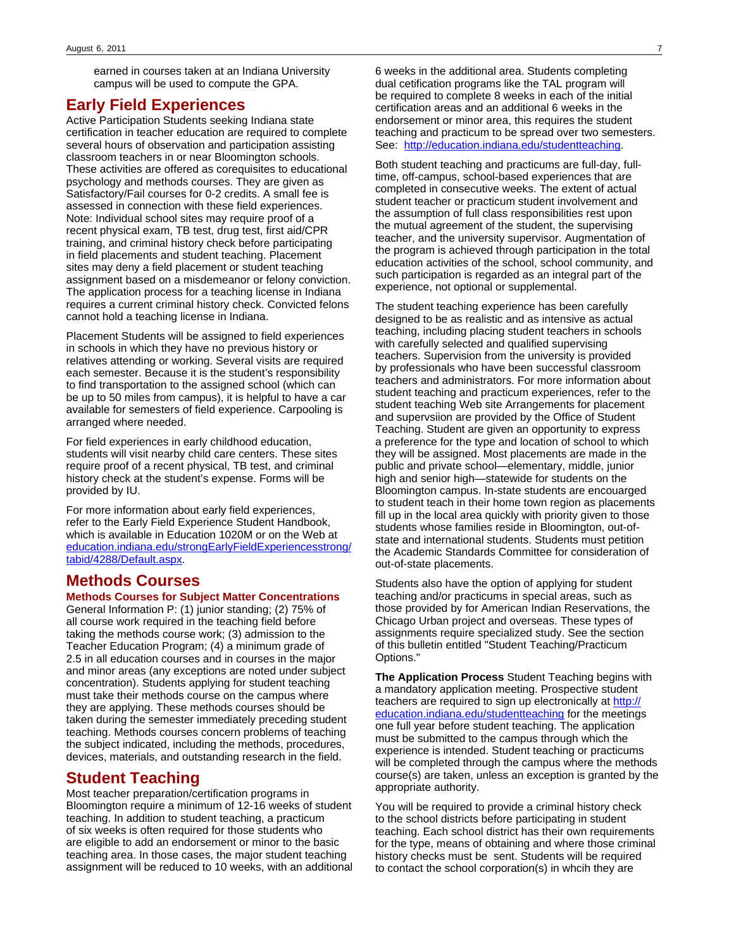earned in courses taken at an Indiana University campus will be used to compute the GPA.

## **Early Field Experiences**

Active Participation Students seeking Indiana state certification in teacher education are required to complete several hours of observation and participation assisting classroom teachers in or near Bloomington schools. These activities are offered as corequisites to educational psychology and methods courses. They are given as Satisfactory/Fail courses for 0-2 credits. A small fee is assessed in connection with these field experiences. Note: Individual school sites may require proof of a recent physical exam, TB test, drug test, first aid/CPR training, and criminal history check before participating in field placements and student teaching. Placement sites may deny a field placement or student teaching assignment based on a misdemeanor or felony conviction. The application process for a teaching license in Indiana requires a current criminal history check. Convicted felons cannot hold a teaching license in Indiana.

Placement Students will be assigned to field experiences in schools in which they have no previous history or relatives attending or working. Several visits are required each semester. Because it is the student's responsibility to find transportation to the assigned school (which can be up to 50 miles from campus), it is helpful to have a car available for semesters of field experience. Carpooling is arranged where needed.

For field experiences in early childhood education, students will visit nearby child care centers. These sites require proof of a recent physical, TB test, and criminal history check at the student's expense. Forms will be provided by IU.

For more information about early field experiences, refer to the Early Field Experience Student Handbook, which is available in Education 1020M or on the Web at [education.indiana.edu/strongEarlyFieldExperiencesstrong/](http://education.indiana.edu/strongEarlyFieldExperiencesstrong/tabid/4288/Default.aspx) [tabid/4288/Default.aspx.](http://education.indiana.edu/strongEarlyFieldExperiencesstrong/tabid/4288/Default.aspx)

## **Methods Courses**

#### **Methods Courses for Subject Matter Concentrations**

General Information P: (1) junior standing; (2) 75% of all course work required in the teaching field before taking the methods course work; (3) admission to the Teacher Education Program; (4) a minimum grade of 2.5 in all education courses and in courses in the major and minor areas (any exceptions are noted under subject concentration). Students applying for student teaching must take their methods course on the campus where they are applying. These methods courses should be taken during the semester immediately preceding student teaching. Methods courses concern problems of teaching the subject indicated, including the methods, procedures, devices, materials, and outstanding research in the field.

### **Student Teaching**

Most teacher preparation/certification programs in Bloomington require a minimum of 12-16 weeks of student teaching. In addition to student teaching, a practicum of six weeks is often required for those students who are eligible to add an endorsement or minor to the basic teaching area. In those cases, the major student teaching assignment will be reduced to 10 weeks, with an additional

6 weeks in the additional area. Students completing dual cetification programs like the TAL program will be required to complete 8 weeks in each of the initial certification areas and an additional 6 weeks in the endorsement or minor area, this requires the student teaching and practicum to be spread over two semesters. See: <http://education.indiana.edu/studentteaching>.

Both student teaching and practicums are full-day, fulltime, off-campus, school-based experiences that are completed in consecutive weeks. The extent of actual student teacher or practicum student involvement and the assumption of full class responsibilities rest upon the mutual agreement of the student, the supervising teacher, and the university supervisor. Augmentation of the program is achieved through participation in the total education activities of the school, school community, and such participation is regarded as an integral part of the experience, not optional or supplemental.

The student teaching experience has been carefully designed to be as realistic and as intensive as actual teaching, including placing student teachers in schools with carefully selected and qualified supervising teachers. Supervision from the university is provided by professionals who have been successful classroom teachers and administrators. For more information about student teaching and practicum experiences, refer to the student teaching Web site Arrangements for placement and supervsiion are provided by the Office of Student Teaching. Student are given an opportunity to express a preference for the type and location of school to which they will be assigned. Most placements are made in the public and private school—elementary, middle, junior high and senior high—statewide for students on the Bloomington campus. In-state students are encouarged to student teach in their home town region as placements fill up in the local area quickly with priority given to those students whose families reside in Bloomington, out-ofstate and international students. Students must petition the Academic Standards Committee for consideration of out-of-state placements.

Students also have the option of applying for student teaching and/or practicums in special areas, such as those provided by for American Indian Reservations, the Chicago Urban project and overseas. These types of assignments require specialized study. See the section of this bulletin entitled "Student Teaching/Practicum Options."

**The Application Process** Student Teaching begins with a mandatory application meeting. Prospective student teachers are required to sign up electronically at [http://](http://education.indiana.edu/studentteaching) [education.indiana.edu/studentteaching](http://education.indiana.edu/studentteaching) for the meetings one full year before student teaching. The application must be submitted to the campus through which the experience is intended. Student teaching or practicums will be completed through the campus where the methods course(s) are taken, unless an exception is granted by the appropriate authority.

You will be required to provide a criminal history check to the school districts before participating in student teaching. Each school district has their own requirements for the type, means of obtaining and where those criminal history checks must be sent. Students will be required to contact the school corporation(s) in whcih they are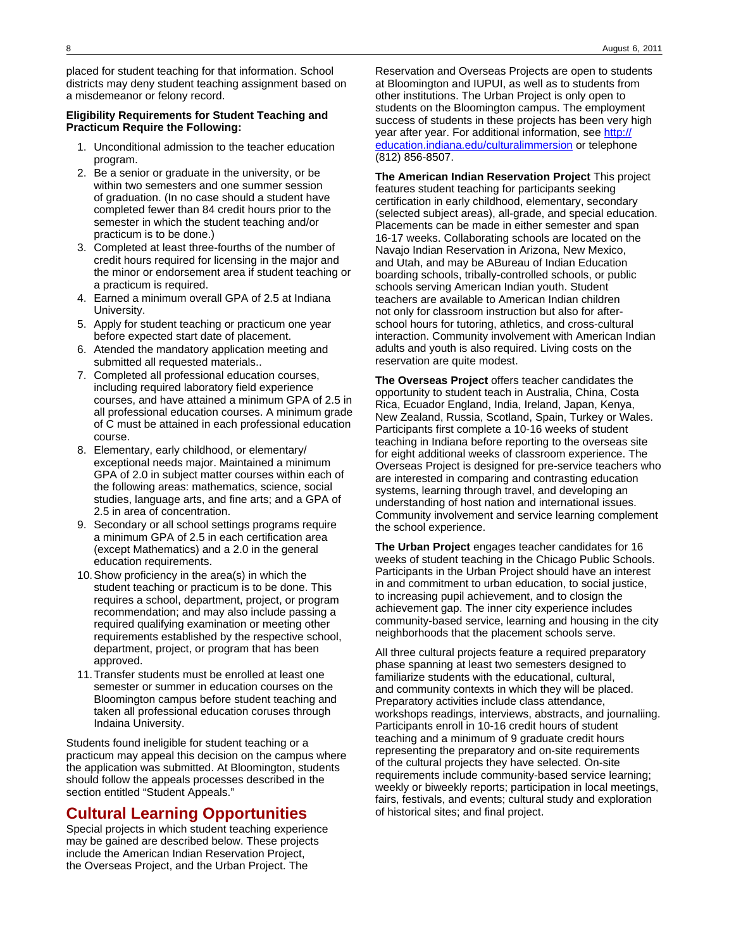placed for student teaching for that information. School districts may deny student teaching assignment based on a misdemeanor or felony record.

#### **Eligibility Requirements for Student Teaching and Practicum Require the Following:**

- 1. Unconditional admission to the teacher education program.
- 2. Be a senior or graduate in the university, or be within two semesters and one summer session of graduation. (In no case should a student have completed fewer than 84 credit hours prior to the semester in which the student teaching and/or practicum is to be done.)
- 3. Completed at least three-fourths of the number of credit hours required for licensing in the major and the minor or endorsement area if student teaching or a practicum is required.
- 4. Earned a minimum overall GPA of 2.5 at Indiana University.
- 5. Apply for student teaching or practicum one year before expected start date of placement.
- 6. Atended the mandatory application meeting and submitted all requested materials..
- 7. Completed all professional education courses, including required laboratory field experience courses, and have attained a minimum GPA of 2.5 in all professional education courses. A minimum grade of C must be attained in each professional education course.
- 8. Elementary, early childhood, or elementary/ exceptional needs major. Maintained a minimum GPA of 2.0 in subject matter courses within each of the following areas: mathematics, science, social studies, language arts, and fine arts; and a GPA of 2.5 in area of concentration.
- 9. Secondary or all school settings programs require a minimum GPA of 2.5 in each certification area (except Mathematics) and a 2.0 in the general education requirements.
- 10.Show proficiency in the area(s) in which the student teaching or practicum is to be done. This requires a school, department, project, or program recommendation; and may also include passing a required qualifying examination or meeting other requirements established by the respective school, department, project, or program that has been approved.
- 11.Transfer students must be enrolled at least one semester or summer in education courses on the Bloomington campus before student teaching and taken all professional education coruses through Indaina University.

Students found ineligible for student teaching or a practicum may appeal this decision on the campus where the application was submitted. At Bloomington, students should follow the appeals processes described in the section entitled "Student Appeals."

## **Cultural Learning Opportunities**

Special projects in which student teaching experience may be gained are described below. These projects include the American Indian Reservation Project, the Overseas Project, and the Urban Project. The

Reservation and Overseas Projects are open to students at Bloomington and IUPUI, as well as to students from other institutions. The Urban Project is only open to students on the Bloomington campus. The employment success of students in these projects has been very high year after year. For additional information, see [http://](http://education.indiana.edu/culturalimmersion) [education.indiana.edu/culturalimmersion](http://education.indiana.edu/culturalimmersion) or telephone (812) 856-8507.

**The American Indian Reservation Project** This project features student teaching for participants seeking certification in early childhood, elementary, secondary (selected subject areas), all-grade, and special education. Placements can be made in either semester and span 16-17 weeks. Collaborating schools are located on the Navajo Indian Reservation in Arizona, New Mexico, and Utah, and may be ABureau of Indian Education boarding schools, tribally-controlled schools, or public schools serving American Indian youth. Student teachers are available to American Indian children not only for classroom instruction but also for afterschool hours for tutoring, athletics, and cross-cultural interaction. Community involvement with American Indian adults and youth is also required. Living costs on the reservation are quite modest.

**The Overseas Project** offers teacher candidates the opportunity to student teach in Australia, China, Costa Rica, Ecuador England, India, Ireland, Japan, Kenya, New Zealand, Russia, Scotland, Spain, Turkey or Wales. Participants first complete a 10-16 weeks of student teaching in Indiana before reporting to the overseas site for eight additional weeks of classroom experience. The Overseas Project is designed for pre-service teachers who are interested in comparing and contrasting education systems, learning through travel, and developing an understanding of host nation and international issues. Community involvement and service learning complement the school experience.

**The Urban Project** engages teacher candidates for 16 weeks of student teaching in the Chicago Public Schools. Participants in the Urban Project should have an interest in and commitment to urban education, to social justice, to increasing pupil achievement, and to closign the achievement gap. The inner city experience includes community-based service, learning and housing in the city neighborhoods that the placement schools serve.

All three cultural projects feature a required preparatory phase spanning at least two semesters designed to familiarize students with the educational, cultural, and community contexts in which they will be placed. Preparatory activities include class attendance, workshops readings, interviews, abstracts, and journaliing. Participants enroll in 10-16 credit hours of student teaching and a minimum of 9 graduate credit hours representing the preparatory and on-site requirements of the cultural projects they have selected. On-site requirements include community-based service learning; weekly or biweekly reports; participation in local meetings, fairs, festivals, and events; cultural study and exploration of historical sites; and final project.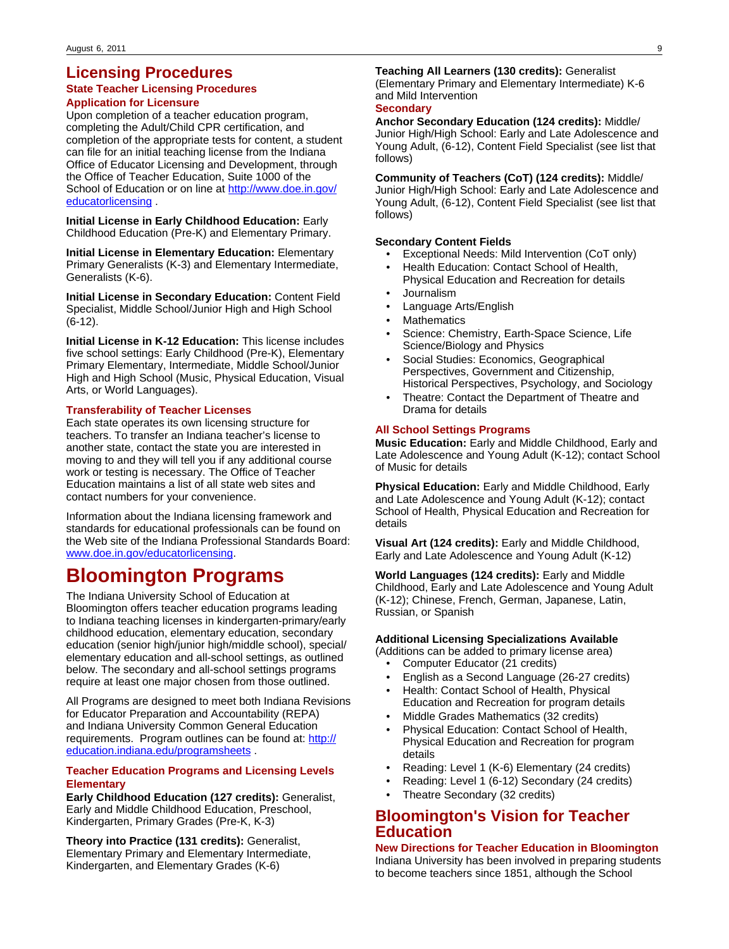## **Licensing Procedures**

#### **State Teacher Licensing Procedures Application for Licensure**

Upon completion of a teacher education program, completing the Adult/Child CPR certification, and completion of the appropriate tests for content, a student can file for an initial teaching license from the Indiana Office of Educator Licensing and Development, through the Office of Teacher Education, Suite 1000 of the School of Education or on line at [http://www.doe.in.gov/](http://www.doe.state.in.us/dps/welcome) [educatorlicensing](http://www.doe.state.in.us/dps/welcome) .

**Initial License in Early Childhood Education:** Early Childhood Education (Pre-K) and Elementary Primary.

**Initial License in Elementary Education:** Elementary Primary Generalists (K-3) and Elementary Intermediate, Generalists (K-6).

**Initial License in Secondary Education:** Content Field Specialist, Middle School/Junior High and High School (6-12).

**Initial License in K-12 Education:** This license includes five school settings: Early Childhood (Pre-K), Elementary Primary Elementary, Intermediate, Middle School/Junior High and High School (Music, Physical Education, Visual Arts, or World Languages).

#### **Transferability of Teacher Licenses**

Each state operates its own licensing structure for teachers. To transfer an Indiana teacher's license to another state, contact the state you are interested in moving to and they will tell you if any additional course work or testing is necessary. The Office of Teacher Education maintains a list of all state web sites and contact numbers for your convenience.

Information about the Indiana licensing framework and standards for educational professionals can be found on the Web site of the Indiana Professional Standards Board: [www.doe.in.gov/educatorlicensing](http://www.doe.state.in.us/dps).

# **Bloomington Programs**

The Indiana University School of Education at Bloomington offers teacher education programs leading to Indiana teaching licenses in kindergarten-primary/early childhood education, elementary education, secondary education (senior high/junior high/middle school), special/ elementary education and all-school settings, as outlined below. The secondary and all-school settings programs require at least one major chosen from those outlined.

All Programs are designed to meet both Indiana Revisions for Educator Preparation and Accountability (REPA) and Indiana University Common General Education requirements. Program outlines can be found at: [http://](http://education.indiana.edu/programsheets) [education.indiana.edu/programsheets](http://education.indiana.edu/programsheets) .

#### **Teacher Education Programs and Licensing Levels Elementary**

**Early Childhood Education (127 credits):** Generalist, Early and Middle Childhood Education, Preschool, Kindergarten, Primary Grades (Pre-K, K-3)

**Theory into Practice (131 credits):** Generalist, Elementary Primary and Elementary Intermediate, Kindergarten, and Elementary Grades (K-6)

#### **Teaching All Learners (130 credits):** Generalist

(Elementary Primary and Elementary Intermediate) K-6 and Mild Intervention

### **Secondary**

**Anchor Secondary Education (124 credits):** Middle/ Junior High/High School: Early and Late Adolescence and Young Adult, (6-12), Content Field Specialist (see list that follows)

**Community of Teachers (CoT) (124 credits):** Middle/ Junior High/High School: Early and Late Adolescence and Young Adult, (6-12), Content Field Specialist (see list that follows)

#### **Secondary Content Fields**

- Exceptional Needs: Mild Intervention (CoT only)
- Health Education: Contact School of Health, Physical Education and Recreation for details
- Journalism
- Language Arts/English
- **Mathematics**
- Science: Chemistry, Earth-Space Science, Life Science/Biology and Physics
- Social Studies: Economics, Geographical Perspectives, Government and Citizenship, Historical Perspectives, Psychology, and Sociology
- Theatre: Contact the Department of Theatre and Drama for details

#### **All School Settings Programs**

**Music Education:** Early and Middle Childhood, Early and Late Adolescence and Young Adult (K-12); contact School of Music for details

**Physical Education:** Early and Middle Childhood, Early and Late Adolescence and Young Adult (K-12); contact School of Health, Physical Education and Recreation for details

**Visual Art (124 credits):** Early and Middle Childhood, Early and Late Adolescence and Young Adult (K-12)

**World Languages (124 credits):** Early and Middle Childhood, Early and Late Adolescence and Young Adult (K-12); Chinese, French, German, Japanese, Latin, Russian, or Spanish

#### **Additional Licensing Specializations Available**

- (Additions can be added to primary license area)
	- Computer Educator (21 credits)
	- English as a Second Language (26-27 credits)
	- Health: Contact School of Health, Physical Education and Recreation for program details
	- Middle Grades Mathematics (32 credits)
	- Physical Education: Contact School of Health, Physical Education and Recreation for program details
	- Reading: Level 1 (K-6) Elementary (24 credits)
	- Reading: Level 1 (6-12) Secondary (24 credits)
	- Theatre Secondary (32 credits)

## **Bloomington's Vision for Teacher Education**

**New Directions for Teacher Education in Bloomington** Indiana University has been involved in preparing students to become teachers since 1851, although the School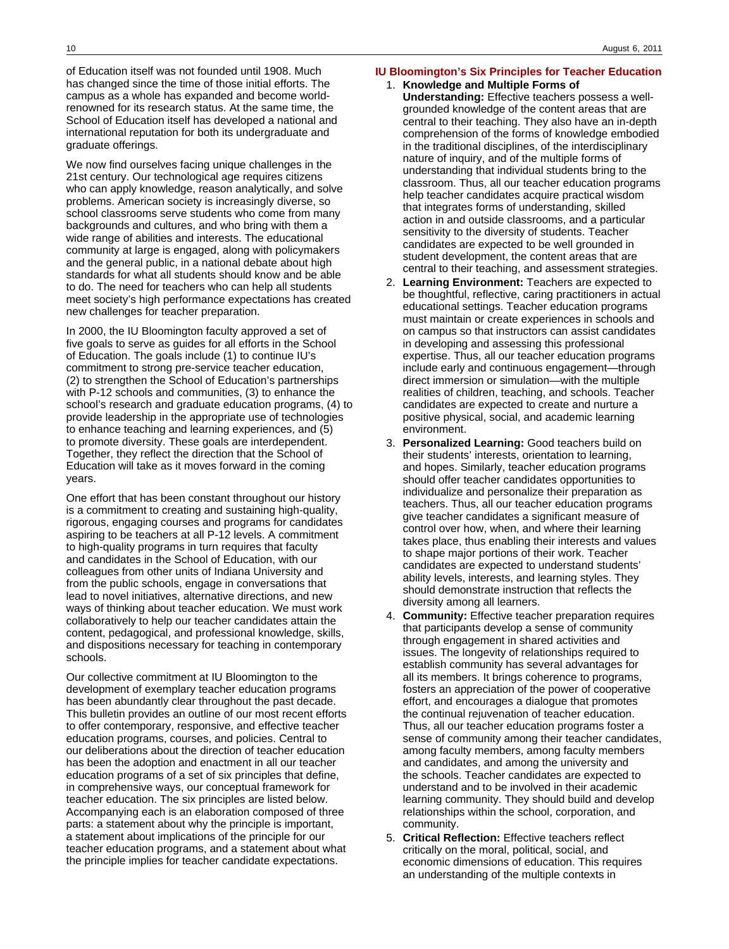of Education itself was not founded until 1908. Much has changed since the time of those initial efforts. The campus as a whole has expanded and become worldrenowned for its research status. At the same time, the School of Education itself has developed a national and international reputation for both its undergraduate and graduate offerings.

We now find ourselves facing unique challenges in the 21st century. Our technological age requires citizens who can apply knowledge, reason analytically, and solve problems. American society is increasingly diverse, so school classrooms serve students who come from many backgrounds and cultures, and who bring with them a wide range of abilities and interests. The educational community at large is engaged, along with policymakers and the general public, in a national debate about high standards for what all students should know and be able to do. The need for teachers who can help all students meet society's high performance expectations has created new challenges for teacher preparation.

In 2000, the IU Bloomington faculty approved a set of five goals to serve as guides for all efforts in the School of Education. The goals include (1) to continue IU's commitment to strong pre-service teacher education, (2) to strengthen the School of Education's partnerships with P-12 schools and communities, (3) to enhance the school's research and graduate education programs, (4) to provide leadership in the appropriate use of technologies to enhance teaching and learning experiences, and (5) to promote diversity. These goals are interdependent. Together, they reflect the direction that the School of Education will take as it moves forward in the coming years.

One effort that has been constant throughout our history is a commitment to creating and sustaining high-quality, rigorous, engaging courses and programs for candidates aspiring to be teachers at all P-12 levels. A commitment to high-quality programs in turn requires that faculty and candidates in the School of Education, with our colleagues from other units of Indiana University and from the public schools, engage in conversations that lead to novel initiatives, alternative directions, and new ways of thinking about teacher education. We must work collaboratively to help our teacher candidates attain the content, pedagogical, and professional knowledge, skills, and dispositions necessary for teaching in contemporary schools.

Our collective commitment at IU Bloomington to the development of exemplary teacher education programs has been abundantly clear throughout the past decade. This bulletin provides an outline of our most recent efforts to offer contemporary, responsive, and effective teacher education programs, courses, and policies. Central to our deliberations about the direction of teacher education has been the adoption and enactment in all our teacher education programs of a set of six principles that define, in comprehensive ways, our conceptual framework for teacher education. The six principles are listed below. Accompanying each is an elaboration composed of three parts: a statement about why the principle is important, a statement about implications of the principle for our teacher education programs, and a statement about what the principle implies for teacher candidate expectations.

#### **IU Bloomington's Six Principles for Teacher Education**

- 1. **Knowledge and Multiple Forms of Understanding:** Effective teachers possess a wellgrounded knowledge of the content areas that are central to their teaching. They also have an in-depth comprehension of the forms of knowledge embodied in the traditional disciplines, of the interdisciplinary nature of inquiry, and of the multiple forms of understanding that individual students bring to the classroom. Thus, all our teacher education programs help teacher candidates acquire practical wisdom that integrates forms of understanding, skilled action in and outside classrooms, and a particular sensitivity to the diversity of students. Teacher candidates are expected to be well grounded in student development, the content areas that are central to their teaching, and assessment strategies.
- 2. **Learning Environment:** Teachers are expected to be thoughtful, reflective, caring practitioners in actual educational settings. Teacher education programs must maintain or create experiences in schools and on campus so that instructors can assist candidates in developing and assessing this professional expertise. Thus, all our teacher education programs include early and continuous engagement—through direct immersion or simulation—with the multiple realities of children, teaching, and schools. Teacher candidates are expected to create and nurture a positive physical, social, and academic learning environment.
- 3. **Personalized Learning:** Good teachers build on their students' interests, orientation to learning, and hopes. Similarly, teacher education programs should offer teacher candidates opportunities to individualize and personalize their preparation as teachers. Thus, all our teacher education programs give teacher candidates a significant measure of control over how, when, and where their learning takes place, thus enabling their interests and values to shape major portions of their work. Teacher candidates are expected to understand students' ability levels, interests, and learning styles. They should demonstrate instruction that reflects the diversity among all learners.
- 4. **Community:** Effective teacher preparation requires that participants develop a sense of community through engagement in shared activities and issues. The longevity of relationships required to establish community has several advantages for all its members. It brings coherence to programs, fosters an appreciation of the power of cooperative effort, and encourages a dialogue that promotes the continual rejuvenation of teacher education. Thus, all our teacher education programs foster a sense of community among their teacher candidates, among faculty members, among faculty members and candidates, and among the university and the schools. Teacher candidates are expected to understand and to be involved in their academic learning community. They should build and develop relationships within the school, corporation, and community.
- 5. **Critical Reflection:** Effective teachers reflect critically on the moral, political, social, and economic dimensions of education. This requires an understanding of the multiple contexts in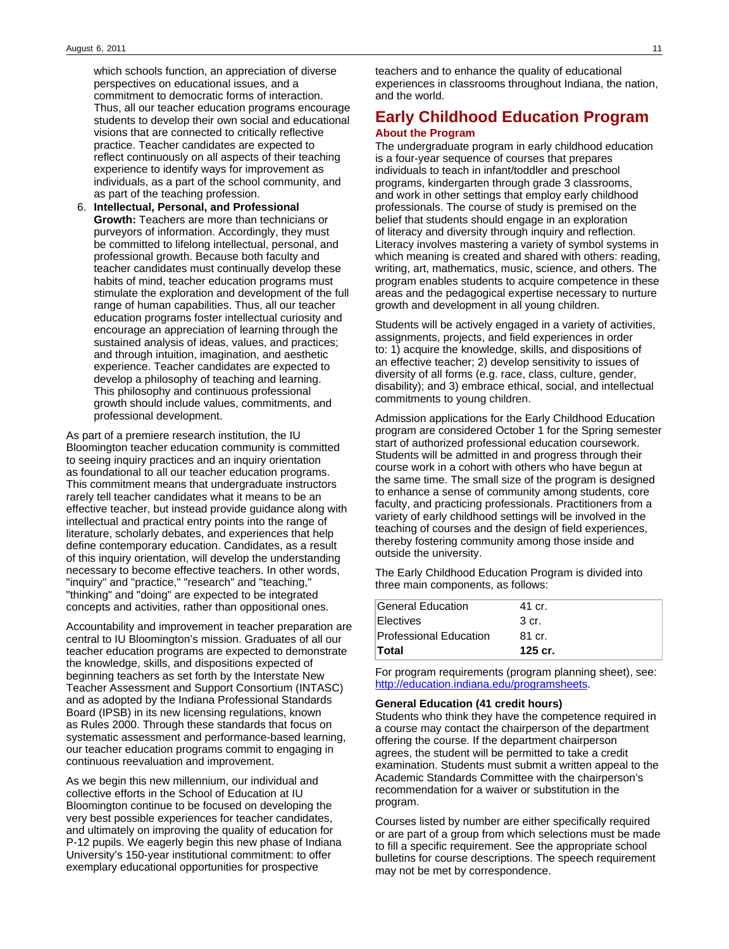which schools function, an appreciation of diverse perspectives on educational issues, and a commitment to democratic forms of interaction. Thus, all our teacher education programs encourage students to develop their own social and educational visions that are connected to critically reflective practice. Teacher candidates are expected to reflect continuously on all aspects of their teaching experience to identify ways for improvement as individuals, as a part of the school community, and as part of the teaching profession.

6. **Intellectual, Personal, and Professional Growth:** Teachers are more than technicians or purveyors of information. Accordingly, they must be committed to lifelong intellectual, personal, and professional growth. Because both faculty and teacher candidates must continually develop these habits of mind, teacher education programs must stimulate the exploration and development of the full range of human capabilities. Thus, all our teacher education programs foster intellectual curiosity and encourage an appreciation of learning through the sustained analysis of ideas, values, and practices; and through intuition, imagination, and aesthetic experience. Teacher candidates are expected to develop a philosophy of teaching and learning. This philosophy and continuous professional growth should include values, commitments, and professional development.

As part of a premiere research institution, the IU Bloomington teacher education community is committed to seeing inquiry practices and an inquiry orientation as foundational to all our teacher education programs. This commitment means that undergraduate instructors rarely tell teacher candidates what it means to be an effective teacher, but instead provide guidance along with intellectual and practical entry points into the range of literature, scholarly debates, and experiences that help define contemporary education. Candidates, as a result of this inquiry orientation, will develop the understanding necessary to become effective teachers. In other words, "inquiry" and "practice," "research" and "teaching," "thinking" and "doing" are expected to be integrated concepts and activities, rather than oppositional ones.

Accountability and improvement in teacher preparation are central to IU Bloomington's mission. Graduates of all our teacher education programs are expected to demonstrate the knowledge, skills, and dispositions expected of beginning teachers as set forth by the Interstate New Teacher Assessment and Support Consortium (INTASC) and as adopted by the Indiana Professional Standards Board (IPSB) in its new licensing regulations, known as Rules 2000. Through these standards that focus on systematic assessment and performance-based learning, our teacher education programs commit to engaging in continuous reevaluation and improvement.

As we begin this new millennium, our individual and collective efforts in the School of Education at IU Bloomington continue to be focused on developing the very best possible experiences for teacher candidates, and ultimately on improving the quality of education for P-12 pupils. We eagerly begin this new phase of Indiana University's 150-year institutional commitment: to offer exemplary educational opportunities for prospective

teachers and to enhance the quality of educational experiences in classrooms throughout Indiana, the nation, and the world.

### **Early Childhood Education Program About the Program**

The undergraduate program in early childhood education is a four-year sequence of courses that prepares individuals to teach in infant/toddler and preschool programs, kindergarten through grade 3 classrooms, and work in other settings that employ early childhood professionals. The course of study is premised on the belief that students should engage in an exploration of literacy and diversity through inquiry and reflection. Literacy involves mastering a variety of symbol systems in which meaning is created and shared with others: reading, writing, art, mathematics, music, science, and others. The program enables students to acquire competence in these areas and the pedagogical expertise necessary to nurture growth and development in all young children.

Students will be actively engaged in a variety of activities, assignments, projects, and field experiences in order to: 1) acquire the knowledge, skills, and dispositions of an effective teacher; 2) develop sensitivity to issues of diversity of all forms (e.g. race, class, culture, gender, disability); and 3) embrace ethical, social, and intellectual commitments to young children.

Admission applications for the Early Childhood Education program are considered October 1 for the Spring semester start of authorized professional education coursework. Students will be admitted in and progress through their course work in a cohort with others who have begun at the same time. The small size of the program is designed to enhance a sense of community among students, core faculty, and practicing professionals. Practitioners from a variety of early childhood settings will be involved in the teaching of courses and the design of field experiences, thereby fostering community among those inside and outside the university.

The Early Childhood Education Program is divided into three main components, as follows:

| General Education             | 41 cr.    |
|-------------------------------|-----------|
| Electives                     | 3 cr.     |
| <b>Professional Education</b> | .81 cr.   |
| Total                         | $125$ cr. |

For program requirements (program planning sheet), see: <http://education.indiana.edu/programsheets>.

#### **General Education (41 credit hours)**

Students who think they have the competence required in a course may contact the chairperson of the department offering the course. If the department chairperson agrees, the student will be permitted to take a credit examination. Students must submit a written appeal to the Academic Standards Committee with the chairperson's recommendation for a waiver or substitution in the program.

Courses listed by number are either specifically required or are part of a group from which selections must be made to fill a specific requirement. See the appropriate school bulletins for course descriptions. The speech requirement may not be met by correspondence.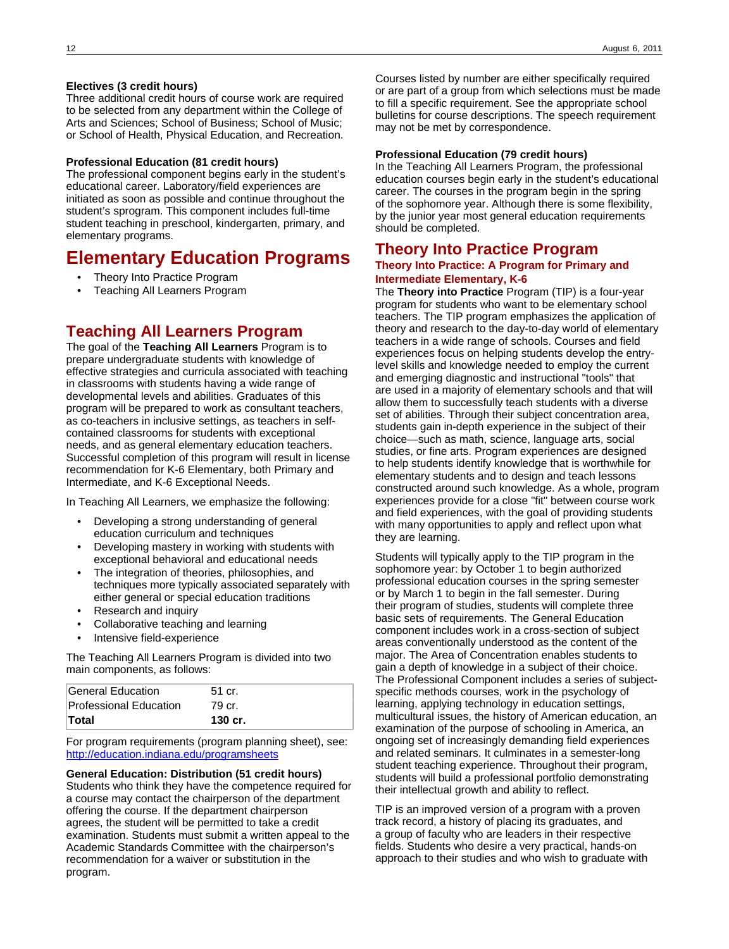#### **Electives (3 credit hours)**

Three additional credit hours of course work are required to be selected from any department within the College of Arts and Sciences; School of Business; School of Music; or School of Health, Physical Education, and Recreation.

#### **Professional Education (81 credit hours)**

The professional component begins early in the student's educational career. Laboratory/field experiences are initiated as soon as possible and continue throughout the student's sprogram. This component includes full-time student teaching in preschool, kindergarten, primary, and elementary programs.

# **Elementary Education Programs**

- Theory Into Practice Program
- Teaching All Learners Program

## **Teaching All Learners Program**

The goal of the **Teaching All Learners** Program is to prepare undergraduate students with knowledge of effective strategies and curricula associated with teaching in classrooms with students having a wide range of developmental levels and abilities. Graduates of this program will be prepared to work as consultant teachers, as co-teachers in inclusive settings, as teachers in selfcontained classrooms for students with exceptional needs, and as general elementary education teachers. Successful completion of this program will result in license recommendation for K-6 Elementary, both Primary and Intermediate, and K-6 Exceptional Needs.

In Teaching All Learners, we emphasize the following:

- Developing a strong understanding of general education curriculum and techniques
- Developing mastery in working with students with exceptional behavioral and educational needs
- The integration of theories, philosophies, and techniques more typically associated separately with either general or special education traditions
- Research and inquiry
- Collaborative teaching and learning
- Intensive field-experience

The Teaching All Learners Program is divided into two main components, as follows:

| $\mathsf{Total}$       | 130 cr. |  |
|------------------------|---------|--|
| Professional Education | 79 cr.  |  |
| General Education      | 51 cr.  |  |

For program requirements (program planning sheet), see: <http://education.indiana.edu/programsheets>

#### **General Education: Distribution (51 credit hours)**

Students who think they have the competence required for a course may contact the chairperson of the department offering the course. If the department chairperson agrees, the student will be permitted to take a credit examination. Students must submit a written appeal to the Academic Standards Committee with the chairperson's recommendation for a waiver or substitution in the program.

Courses listed by number are either specifically required or are part of a group from which selections must be made to fill a specific requirement. See the appropriate school bulletins for course descriptions. The speech requirement may not be met by correspondence.

#### **Professional Education (79 credit hours)**

In the Teaching All Learners Program, the professional education courses begin early in the student's educational career. The courses in the program begin in the spring of the sophomore year. Although there is some flexibility, by the junior year most general education requirements should be completed.

### **Theory Into Practice Program**

#### **Theory Into Practice: A Program for Primary and Intermediate Elementary, K-6**

The **Theory into Practice** Program (TIP) is a four-year program for students who want to be elementary school teachers. The TIP program emphasizes the application of theory and research to the day-to-day world of elementary teachers in a wide range of schools. Courses and field experiences focus on helping students develop the entrylevel skills and knowledge needed to employ the current and emerging diagnostic and instructional "tools" that are used in a majority of elementary schools and that will allow them to successfully teach students with a diverse set of abilities. Through their subject concentration area, students gain in-depth experience in the subject of their choice—such as math, science, language arts, social studies, or fine arts. Program experiences are designed to help students identify knowledge that is worthwhile for elementary students and to design and teach lessons constructed around such knowledge. As a whole, program experiences provide for a close "fit" between course work and field experiences, with the goal of providing students with many opportunities to apply and reflect upon what they are learning.

Students will typically apply to the TIP program in the sophomore year: by October 1 to begin authorized professional education courses in the spring semester or by March 1 to begin in the fall semester. During their program of studies, students will complete three basic sets of requirements. The General Education component includes work in a cross-section of subject areas conventionally understood as the content of the major. The Area of Concentration enables students to gain a depth of knowledge in a subject of their choice. The Professional Component includes a series of subjectspecific methods courses, work in the psychology of learning, applying technology in education settings, multicultural issues, the history of American education, an examination of the purpose of schooling in America, an ongoing set of increasingly demanding field experiences and related seminars. It culminates in a semester-long student teaching experience. Throughout their program, students will build a professional portfolio demonstrating their intellectual growth and ability to reflect.

TIP is an improved version of a program with a proven track record, a history of placing its graduates, and a group of faculty who are leaders in their respective fields. Students who desire a very practical, hands-on approach to their studies and who wish to graduate with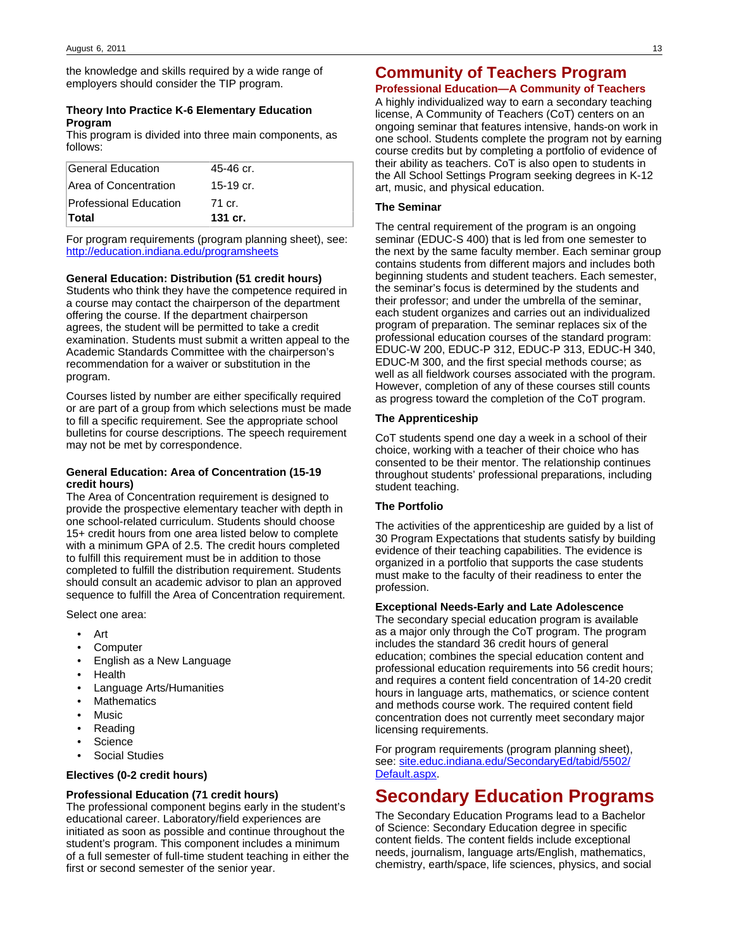the knowledge and skills required by a wide range of employers should consider the TIP program.

#### **Theory Into Practice K-6 Elementary Education Program**

This program is divided into three main components, as follows:

| General Education      | 45-46 cr. |
|------------------------|-----------|
| Area of Concentration  | 15-19 cr. |
| Professional Education | 71 cr.    |
| ∣Total                 | 131 cr.   |

For program requirements (program planning sheet), see: <http://education.indiana.edu/programsheets>

#### **General Education: Distribution (51 credit hours)**

Students who think they have the competence required in a course may contact the chairperson of the department offering the course. If the department chairperson agrees, the student will be permitted to take a credit examination. Students must submit a written appeal to the Academic Standards Committee with the chairperson's recommendation for a waiver or substitution in the program.

Courses listed by number are either specifically required or are part of a group from which selections must be made to fill a specific requirement. See the appropriate school bulletins for course descriptions. The speech requirement may not be met by correspondence.

#### **General Education: Area of Concentration (15-19 credit hours)**

The Area of Concentration requirement is designed to provide the prospective elementary teacher with depth in one school-related curriculum. Students should choose 15+ credit hours from one area listed below to complete with a minimum GPA of 2.5. The credit hours completed to fulfill this requirement must be in addition to those completed to fulfill the distribution requirement. Students should consult an academic advisor to plan an approved sequence to fulfill the Area of Concentration requirement.

Select one area:

- Art
- **Computer**
- English as a New Language
- Health
- Language Arts/Humanities
- **Mathematics**
- Music
- Reading
- **Science**
- Social Studies

#### **Electives (0-2 credit hours)**

#### **Professional Education (71 credit hours)**

The professional component begins early in the student's educational career. Laboratory/field experiences are initiated as soon as possible and continue throughout the student's program. This component includes a minimum of a full semester of full-time student teaching in either the first or second semester of the senior year.

#### **Professional Education—A Community of Teachers**

A highly individualized way to earn a secondary teaching license, A Community of Teachers (CoT) centers on an ongoing seminar that features intensive, hands-on work in one school. Students complete the program not by earning course credits but by completing a portfolio of evidence of their ability as teachers. CoT is also open to students in the All School Settings Program seeking degrees in K-12 art, music, and physical education.

#### **The Seminar**

The central requirement of the program is an ongoing seminar (EDUC-S 400) that is led from one semester to the next by the same faculty member. Each seminar group contains students from different majors and includes both beginning students and student teachers. Each semester, the seminar's focus is determined by the students and their professor; and under the umbrella of the seminar, each student organizes and carries out an individualized program of preparation. The seminar replaces six of the professional education courses of the standard program: EDUC-W 200, EDUC-P 312, EDUC-P 313, EDUC-H 340, EDUC-M 300, and the first special methods course; as well as all fieldwork courses associated with the program. However, completion of any of these courses still counts as progress toward the completion of the CoT program.

#### **The Apprenticeship**

CoT students spend one day a week in a school of their choice, working with a teacher of their choice who has consented to be their mentor. The relationship continues throughout students' professional preparations, including student teaching.

#### **The Portfolio**

The activities of the apprenticeship are guided by a list of 30 Program Expectations that students satisfy by building evidence of their teaching capabilities. The evidence is organized in a portfolio that supports the case students must make to the faculty of their readiness to enter the profession.

#### **Exceptional Needs-Early and Late Adolescence**

The secondary special education program is available as a major only through the CoT program. The program includes the standard 36 credit hours of general education; combines the special education content and professional education requirements into 56 credit hours; and requires a content field concentration of 14-20 credit hours in language arts, mathematics, or science content and methods course work. The required content field concentration does not currently meet secondary major licensing requirements.

For program requirements (program planning sheet), see: [site.educ.indiana.edu/SecondaryEd/tabid/5502/](http://site.educ.indiana.edu/SecondaryEd/tabid/5502/Default.aspx) [Default.aspx](http://site.educ.indiana.edu/SecondaryEd/tabid/5502/Default.aspx).

# **Secondary Education Programs**

The Secondary Education Programs lead to a Bachelor of Science: Secondary Education degree in specific content fields. The content fields include exceptional needs, journalism, language arts/English, mathematics, chemistry, earth/space, life sciences, physics, and social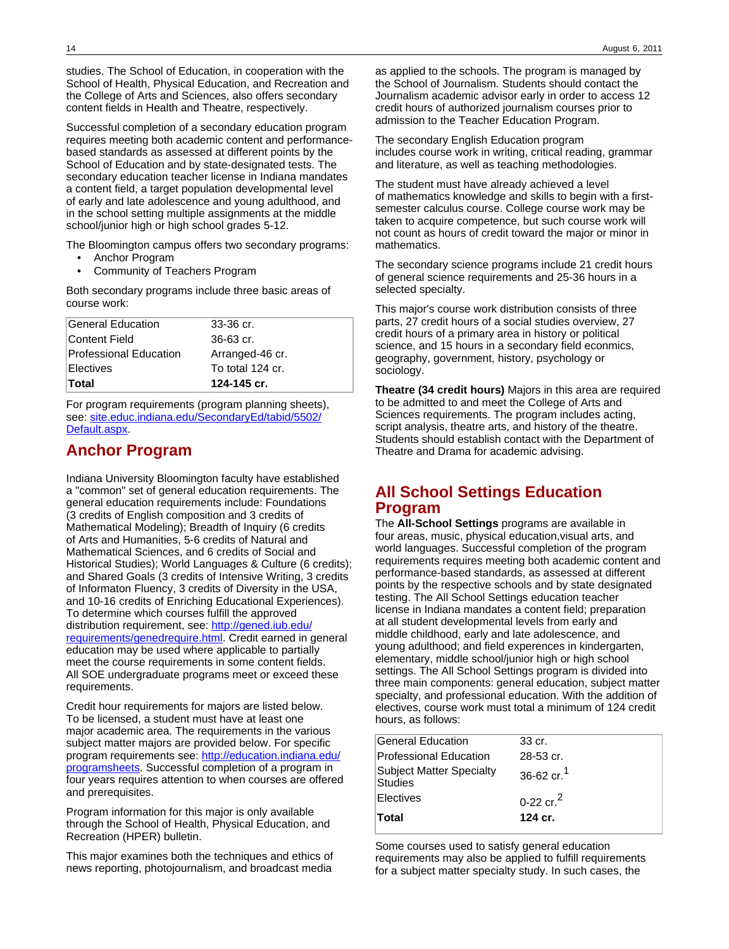studies. The School of Education, in cooperation with the School of Health, Physical Education, and Recreation and the College of Arts and Sciences, also offers secondary content fields in Health and Theatre, respectively.

Successful completion of a secondary education program requires meeting both academic content and performancebased standards as assessed at different points by the School of Education and by state-designated tests. The secondary education teacher license in Indiana mandates a content field, a target population developmental level of early and late adolescence and young adulthood, and in the school setting multiple assignments at the middle school/junior high or high school grades 5-12.

The Bloomington campus offers two secondary programs:

- Anchor Program
- Community of Teachers Program

Both secondary programs include three basic areas of course work:

| Electives<br>∣Total    | To total 124 cr.<br>124-145 cr. |
|------------------------|---------------------------------|
| Professional Education | Arranged-46 cr.                 |
| Content Field          | $36-63$ cr.                     |
| ∣General Education     | $33-36$ cr.                     |

For program requirements (program planning sheets), see: [site.educ.indiana.edu/SecondaryEd/tabid/5502/](http://site.educ.indiana.edu/SecondaryEd/tabid/5502/Default.aspx) [Default.aspx](http://site.educ.indiana.edu/SecondaryEd/tabid/5502/Default.aspx).

## **Anchor Program**

Indiana University Bloomington faculty have established a "common" set of general education requirements. The general education requirements include: Foundations (3 credits of English composition and 3 credits of Mathematical Modeling); Breadth of Inquiry (6 credits of Arts and Humanities, 5-6 credits of Natural and Mathematical Sciences, and 6 credits of Social and Historical Studies); World Languages & Culture (6 credits); and Shared Goals (3 credits of Intensive Writing, 3 credits of Informaton Fluency, 3 credits of Diversity in the USA, and 10-16 credits of Enriching Educational Experiences). To determine which courses fulfill the approved distribution requirement, see: [http://gened.iub.edu/](http://gened.iub.edu/requirements/genedrequire.html) [requirements/genedrequire.html.](http://gened.iub.edu/requirements/genedrequire.html) Credit earned in general education may be used where applicable to partially meet the course requirements in some content fields. All SOE undergraduate programs meet or exceed these requirements.

Credit hour requirements for majors are listed below. To be licensed, a student must have at least one major academic area. The requirements in the various subject matter majors are provided below. For specific program requirements see: [http://education.indiana.edu/](http://education.indiana.edu/programsheets) [programsheets](http://education.indiana.edu/programsheets). Successful completion of a program in four years requires attention to when courses are offered and prerequisites.

Program information for this major is only available through the School of Health, Physical Education, and Recreation (HPER) bulletin.

This major examines both the techniques and ethics of news reporting, photojournalism, and broadcast media

as applied to the schools. The program is managed by the School of Journalism. Students should contact the Journalism academic advisor early in order to access 12 credit hours of authorized journalism courses prior to admission to the Teacher Education Program.

The secondary English Education program includes course work in writing, critical reading, grammar and literature, as well as teaching methodologies.

The student must have already achieved a level of mathematics knowledge and skills to begin with a firstsemester calculus course. College course work may be taken to acquire competence, but such course work will not count as hours of credit toward the major or minor in mathematics.

The secondary science programs include 21 credit hours of general science requirements and 25-36 hours in a selected specialty.

This major's course work distribution consists of three parts, 27 credit hours of a social studies overview, 27 credit hours of a primary area in history or political science, and 15 hours in a secondary field econmics, geography, government, history, psychology or sociology.

**Theatre (34 credit hours)** Majors in this area are required to be admitted to and meet the College of Arts and Sciences requirements. The program includes acting, script analysis, theatre arts, and history of the theatre. Students should establish contact with the Department of Theatre and Drama for academic advising.

## **All School Settings Education Program**

The **All-School Settings** programs are available in four areas, music, physical education,visual arts, and world languages. Successful completion of the program requirements requires meeting both academic content and performance-based standards, as assessed at different points by the respective schools and by state designated testing. The All School Settings education teacher license in Indiana mandates a content field; preparation at all student developmental levels from early and middle childhood, early and late adolescence, and young adulthood; and field experences in kindergarten, elementary, middle school/junior high or high school settings. The All School Settings program is divided into three main components: general education, subject matter specialty, and professional education. With the addition of electives, course work must total a minimum of 124 credit hours, as follows:

| <b>General Education</b>                          | 33 cr.                           |
|---------------------------------------------------|----------------------------------|
| <b>Professional Education</b>                     | $28-53$ cr.                      |
| <b>Subject Matter Specialty</b><br><b>Studies</b> | 36-62 $\text{cr}$ . <sup>1</sup> |
| Electives                                         | 0-22 $\text{cr}^2$               |
| Total                                             | 124 cr.                          |

Some courses used to satisfy general education requirements may also be applied to fulfill requirements for a subject matter specialty study. In such cases, the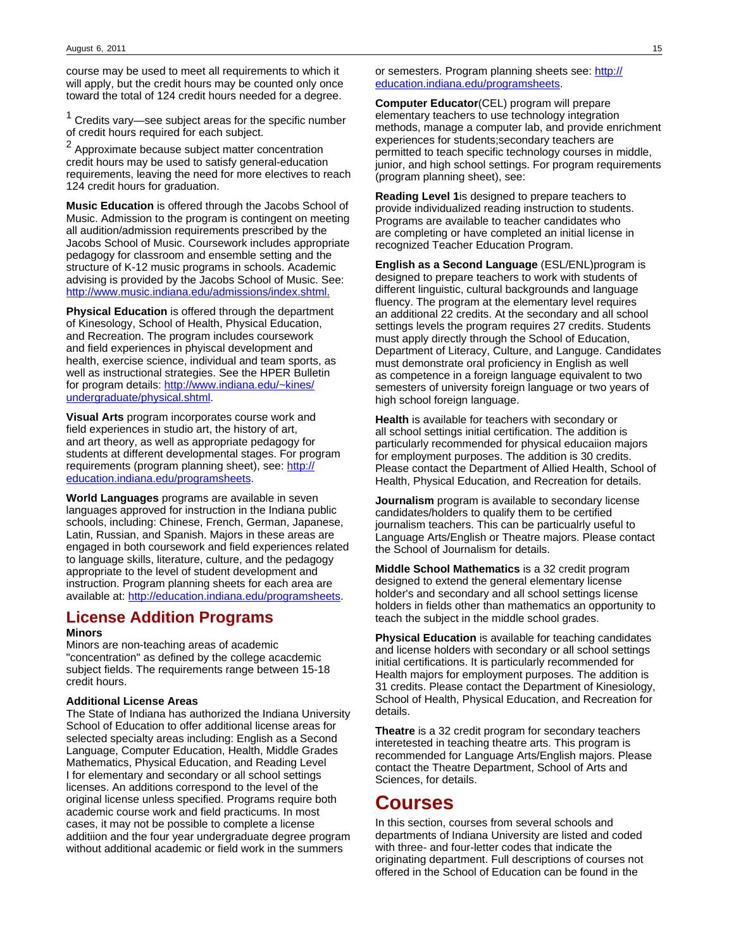course may be used to meet all requirements to which it will apply, but the credit hours may be counted only once toward the total of 124 credit hours needed for a degree.

 $1$  Credits vary—see subject areas for the specific number of credit hours required for each subject.

<sup>2</sup> Approximate because subject matter concentration credit hours may be used to satisfy general-education requirements, leaving the need for more electives to reach 124 credit hours for graduation.

**Music Education** is offered through the Jacobs School of Music. Admission to the program is contingent on meeting all audition/admission requirements prescribed by the Jacobs School of Music. Coursework includes appropriate pedagogy for classroom and ensemble setting and the structure of K-12 music programs in schools. Academic advising is provided by the Jacobs School of Music. See: [http://www.music.indiana.edu/admissions/index.shtml.](http://www.music.indiana.edu/admissions/index.shtml)

**Physical Education** is offered through the department of Kinesology, School of Health, Physical Education, and Recreation. The program includes coursework and field experiences in phyiscal development and health, exercise science, individual and team sports, as well as instructional strategies. See the HPER Bulletin for program details: [http://www.indiana.edu/~kines/](http://www.indiana.edu/~kines/undergraduate/physical.shtml) [undergraduate/physical.shtml.](http://www.indiana.edu/~kines/undergraduate/physical.shtml)

**Visual Arts** program incorporates course work and field experiences in studio art, the history of art, and art theory, as well as appropriate pedagogy for students at different developmental stages. For program requirements (program planning sheet), see: [http://](http://education.indiana.edu/programsheets) [education.indiana.edu/programsheets.](http://education.indiana.edu/programsheets)

**World Languages** programs are available in seven languages approved for instruction in the Indiana public schools, including: Chinese, French, German, Japanese, Latin, Russian, and Spanish. Majors in these areas are engaged in both coursework and field experiences related to language skills, literature, culture, and the pedagogy appropriate to the level of student development and instruction. Program planning sheets for each area are available at: [http://education.indiana.edu/programsheets.](http://education.indiana.edu/programsheets)

# **License Addition Programs**

#### **Minors**

Minors are non-teaching areas of academic "concentration" as defined by the college acacdemic subject fields. The requirements range between 15-18 credit hours.

#### **Additional License Areas**

The State of Indiana has authorized the Indiana University School of Education to offer additional license areas for selected specialty areas including: English as a Second Language, Computer Education, Health, Middle Grades Mathematics, Physical Education, and Reading Level I for elementary and secondary or all school settings licenses. An additions correspond to the level of the original license unless specified. Programs require both academic course work and field practicums. In most cases, it may not be possible to complete a license additiion and the four year undergraduate degree program without additional academic or field work in the summers

or semesters. Program planning sheets see: [http://](http://education.indiana.edu/programsheets) [education.indiana.edu/programsheets.](http://education.indiana.edu/programsheets)

**Computer Educator**(CEL) program will prepare elementary teachers to use technology integration methods, manage a computer lab, and provide enrichment experiences for students;secondary teachers are permitted to teach specific technology courses in middle, junior, and high school settings. For program requirements (program planning sheet), see:

**Reading Level 1**is designed to prepare teachers to provide individualized reading instruction to students. Programs are available to teacher candidates who are completing or have completed an initial license in recognized Teacher Education Program.

**English as a Second Language** (ESL/ENL)program is designed to prepare teachers to work with students of different linguistic, cultural backgrounds and language fluency. The program at the elementary level requires an additional 22 credits. At the secondary and all school settings levels the program requires 27 credits. Students must apply directly through the School of Education, Department of Literacy, Culture, and Languge. Candidates must demonstrate oral proficiency in English as well as competence in a foreign language equivalent to two semesters of university foreign language or two years of high school foreign language.

**Health** is available for teachers with secondary or all school settings initial certification. The addition is particularly recommended for physical educaiion majors for employment purposes. The addition is 30 credits. Please contact the Department of Allied Health, School of Health, Physical Education, and Recreation for details.

**Journalism** program is available to secondary license candidates/holders to qualify them to be certified journalism teachers. This can be particualrly useful to Language Arts/English or Theatre majors. Please contact the School of Journalism for details.

**Middle School Mathematics** is a 32 credit program designed to extend the general elementary license holder's and secondary and all school settings license holders in fields other than mathematics an opportunity to teach the subject in the middle school grades.

**Physical Education** is available for teaching candidates and license holders with secondary or all school settings initial certifications. It is particularly recommended for Health majors for employment purposes. The addition is 31 credits. Please contact the Department of Kinesiology, School of Health, Physical Education, and Recreation for details.

**Theatre** is a 32 credit program for secondary teachers interetested in teaching theatre arts. This program is recommended for Language Arts/English majors. Please contact the Theatre Department, School of Arts and Sciences, for details.

## **Courses**

In this section, courses from several schools and departments of Indiana University are listed and coded with three- and four-letter codes that indicate the originating department. Full descriptions of courses not offered in the School of Education can be found in the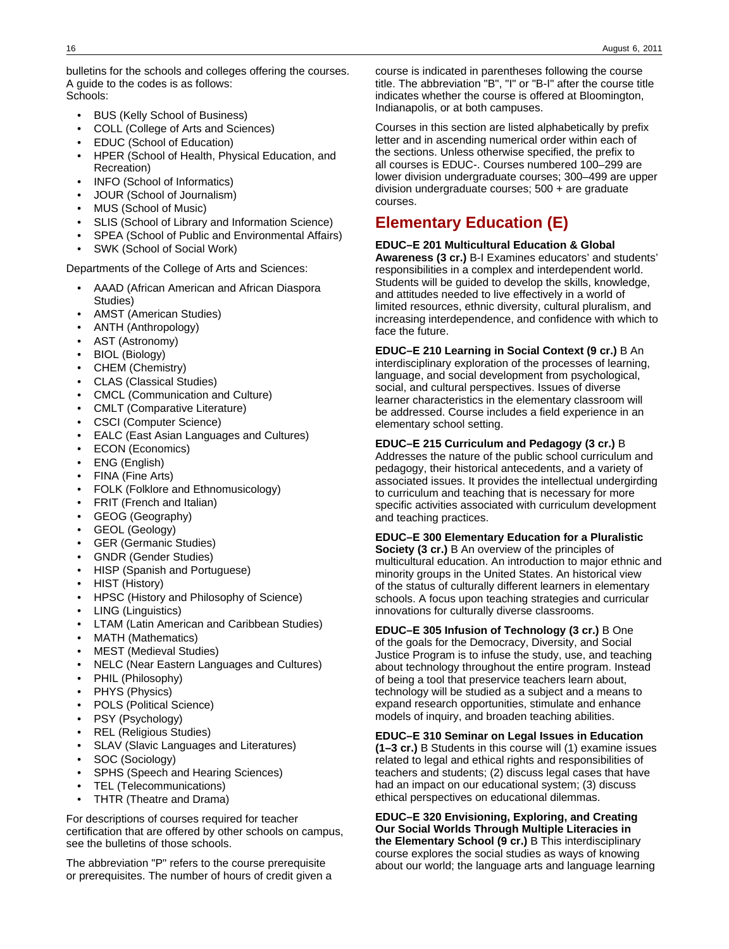bulletins for the schools and colleges offering the courses. A guide to the codes is as follows: Schools:

- BUS (Kelly School of Business)
- COLL (College of Arts and Sciences)
- EDUC (School of Education)
- HPER (School of Health, Physical Education, and Recreation)
- INFO (School of Informatics)
- JOUR (School of Journalism)
- MUS (School of Music)
- SLIS (School of Library and Information Science)
- SPEA (School of Public and Environmental Affairs)
- SWK (School of Social Work)

Departments of the College of Arts and Sciences:

- AAAD (African American and African Diaspora Studies)
- AMST (American Studies)
- ANTH (Anthropology)
- AST (Astronomy)
- BIOL (Biology)
- CHEM (Chemistry)
- CLAS (Classical Studies)
- CMCL (Communication and Culture)
- CMLT (Comparative Literature)
- CSCI (Computer Science)
- EALC (East Asian Languages and Cultures)
- ECON (Economics)
- ENG (English)
- FINA (Fine Arts)
- FOLK (Folklore and Ethnomusicology)
- FRIT (French and Italian)
- GEOG (Geography)
- GEOL (Geology)
- GER (Germanic Studies)
- GNDR (Gender Studies)
- HISP (Spanish and Portuguese)
- HIST (History)
- HPSC (History and Philosophy of Science)
- LING (Linguistics)
- LTAM (Latin American and Caribbean Studies)
- MATH (Mathematics)
- MEST (Medieval Studies)
- NELC (Near Eastern Languages and Cultures)
- PHIL (Philosophy)
- PHYS (Physics)
- POLS (Political Science)
- PSY (Psychology)
- REL (Religious Studies)
- SLAV (Slavic Languages and Literatures)
- SOC (Sociology)
- SPHS (Speech and Hearing Sciences)
- TEL (Telecommunications)
- THTR (Theatre and Drama)

For descriptions of courses required for teacher certification that are offered by other schools on campus, see the bulletins of those schools.

The abbreviation "P" refers to the course prerequisite or prerequisites. The number of hours of credit given a course is indicated in parentheses following the course title. The abbreviation "B", "I" or "B-I" after the course title indicates whether the course is offered at Bloomington, Indianapolis, or at both campuses.

Courses in this section are listed alphabetically by prefix letter and in ascending numerical order within each of the sections. Unless otherwise specified, the prefix to all courses is EDUC-. Courses numbered 100–299 are lower division undergraduate courses; 300–499 are upper division undergraduate courses; 500 + are graduate courses.

# **Elementary Education (E)**

#### **EDUC–E 201 Multicultural Education & Global**

**Awareness (3 cr.)** B-I Examines educators' and students' responsibilities in a complex and interdependent world. Students will be guided to develop the skills, knowledge, and attitudes needed to live effectively in a world of limited resources, ethnic diversity, cultural pluralism, and increasing interdependence, and confidence with which to face the future.

### **EDUC–E 210 Learning in Social Context (9 cr.)** B An

interdisciplinary exploration of the processes of learning, language, and social development from psychological, social, and cultural perspectives. Issues of diverse learner characteristics in the elementary classroom will be addressed. Course includes a field experience in an elementary school setting.

#### **EDUC–E 215 Curriculum and Pedagogy (3 cr.)** B

Addresses the nature of the public school curriculum and pedagogy, their historical antecedents, and a variety of associated issues. It provides the intellectual undergirding to curriculum and teaching that is necessary for more specific activities associated with curriculum development and teaching practices.

#### **EDUC–E 300 Elementary Education for a Pluralistic**

**Society (3 cr.)** B An overview of the principles of multicultural education. An introduction to major ethnic and minority groups in the United States. An historical view of the status of culturally different learners in elementary schools. A focus upon teaching strategies and curricular innovations for culturally diverse classrooms.

#### **EDUC–E 305 Infusion of Technology (3 cr.)** B One

of the goals for the Democracy, Diversity, and Social Justice Program is to infuse the study, use, and teaching about technology throughout the entire program. Instead of being a tool that preservice teachers learn about, technology will be studied as a subject and a means to expand research opportunities, stimulate and enhance models of inquiry, and broaden teaching abilities.

#### **EDUC–E 310 Seminar on Legal Issues in Education**

**(1–3 cr.)** B Students in this course will (1) examine issues related to legal and ethical rights and responsibilities of teachers and students; (2) discuss legal cases that have had an impact on our educational system; (3) discuss ethical perspectives on educational dilemmas.

**EDUC–E 320 Envisioning, Exploring, and Creating Our Social Worlds Through Multiple Literacies in the Elementary School (9 cr.)** B This interdisciplinary course explores the social studies as ways of knowing about our world; the language arts and language learning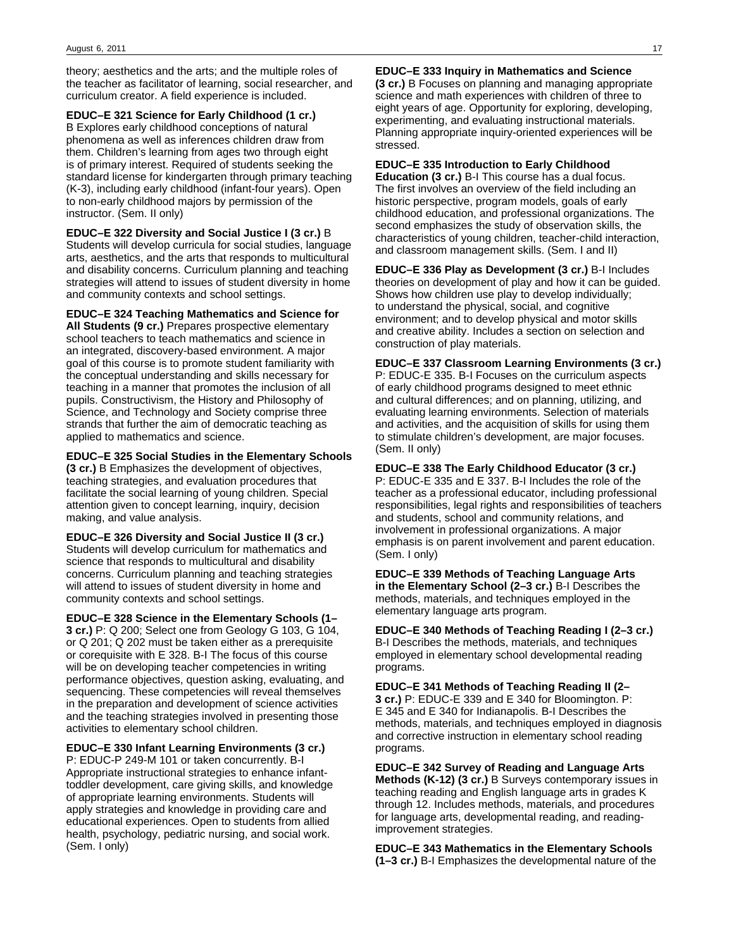theory; aesthetics and the arts; and the multiple roles of the teacher as facilitator of learning, social researcher, and curriculum creator. A field experience is included.

**EDUC–E 321 Science for Early Childhood (1 cr.)** B Explores early childhood conceptions of natural phenomena as well as inferences children draw from them. Children's learning from ages two through eight is of primary interest. Required of students seeking the standard license for kindergarten through primary teaching (K-3), including early childhood (infant-four years). Open to non-early childhood majors by permission of the instructor. (Sem. II only)

**EDUC–E 322 Diversity and Social Justice I (3 cr.)** B Students will develop curricula for social studies, language arts, aesthetics, and the arts that responds to multicultural and disability concerns. Curriculum planning and teaching strategies will attend to issues of student diversity in home and community contexts and school settings.

**EDUC–E 324 Teaching Mathematics and Science for All Students (9 cr.)** Prepares prospective elementary school teachers to teach mathematics and science in an integrated, discovery-based environment. A major goal of this course is to promote student familiarity with the conceptual understanding and skills necessary for teaching in a manner that promotes the inclusion of all pupils. Constructivism, the History and Philosophy of Science, and Technology and Society comprise three strands that further the aim of democratic teaching as applied to mathematics and science.

**EDUC–E 325 Social Studies in the Elementary Schools (3 cr.)** B Emphasizes the development of objectives, teaching strategies, and evaluation procedures that facilitate the social learning of young children. Special attention given to concept learning, inquiry, decision making, and value analysis.

**EDUC–E 326 Diversity and Social Justice II (3 cr.)** Students will develop curriculum for mathematics and science that responds to multicultural and disability concerns. Curriculum planning and teaching strategies will attend to issues of student diversity in home and community contexts and school settings.

**EDUC–E 328 Science in the Elementary Schools (1– 3 cr.)** P: Q 200; Select one from Geology G 103, G 104, or Q 201; Q 202 must be taken either as a prerequisite or corequisite with E 328. B-I The focus of this course will be on developing teacher competencies in writing performance objectives, question asking, evaluating, and sequencing. These competencies will reveal themselves in the preparation and development of science activities and the teaching strategies involved in presenting those activities to elementary school children.

**EDUC–E 330 Infant Learning Environments (3 cr.)** P: EDUC-P 249-M 101 or taken concurrently. B-I Appropriate instructional strategies to enhance infanttoddler development, care giving skills, and knowledge of appropriate learning environments. Students will apply strategies and knowledge in providing care and educational experiences. Open to students from allied health, psychology, pediatric nursing, and social work. (Sem. I only)

**EDUC–E 333 Inquiry in Mathematics and Science (3 cr.)** B Focuses on planning and managing appropriate science and math experiences with children of three to eight years of age. Opportunity for exploring, developing, experimenting, and evaluating instructional materials. Planning appropriate inquiry-oriented experiences will be stressed.

#### **EDUC–E 335 Introduction to Early Childhood**

**Education (3 cr.)** B-I This course has a dual focus. The first involves an overview of the field including an historic perspective, program models, goals of early childhood education, and professional organizations. The second emphasizes the study of observation skills, the characteristics of young children, teacher-child interaction, and classroom management skills. (Sem. I and II)

**EDUC–E 336 Play as Development (3 cr.)** B-I Includes theories on development of play and how it can be guided. Shows how children use play to develop individually; to understand the physical, social, and cognitive environment; and to develop physical and motor skills and creative ability. Includes a section on selection and construction of play materials.

**EDUC–E 337 Classroom Learning Environments (3 cr.)** P: EDUC-E 335. B-I Focuses on the curriculum aspects of early childhood programs designed to meet ethnic and cultural differences; and on planning, utilizing, and evaluating learning environments. Selection of materials and activities, and the acquisition of skills for using them to stimulate children's development, are major focuses. (Sem. II only)

#### **EDUC–E 338 The Early Childhood Educator (3 cr.)**

P: EDUC-E 335 and E 337. B-I Includes the role of the teacher as a professional educator, including professional responsibilities, legal rights and responsibilities of teachers and students, school and community relations, and involvement in professional organizations. A major emphasis is on parent involvement and parent education. (Sem. I only)

**EDUC–E 339 Methods of Teaching Language Arts in the Elementary School (2–3 cr.)** B-I Describes the methods, materials, and techniques employed in the elementary language arts program.

**EDUC–E 340 Methods of Teaching Reading I (2–3 cr.)** B-I Describes the methods, materials, and techniques employed in elementary school developmental reading programs.

**EDUC–E 341 Methods of Teaching Reading II (2– 3 cr.)** P: EDUC-E 339 and E 340 for Bloomington. P: E 345 and E 340 for Indianapolis. B-I Describes the methods, materials, and techniques employed in diagnosis and corrective instruction in elementary school reading programs.

**EDUC–E 342 Survey of Reading and Language Arts Methods (K-12) (3 cr.)** B Surveys contemporary issues in teaching reading and English language arts in grades K through 12. Includes methods, materials, and procedures for language arts, developmental reading, and readingimprovement strategies.

**EDUC–E 343 Mathematics in the Elementary Schools (1–3 cr.)** B-I Emphasizes the developmental nature of the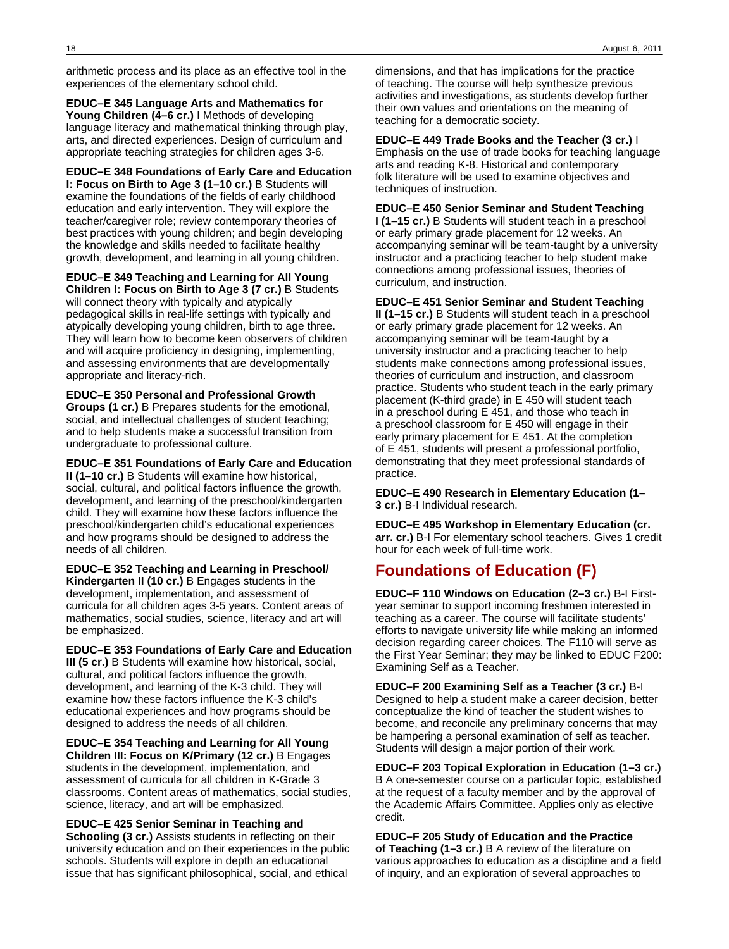arithmetic process and its place as an effective tool in the experiences of the elementary school child.

**EDUC–E 345 Language Arts and Mathematics for Young Children (4–6 cr.)** I Methods of developing language literacy and mathematical thinking through play, arts, and directed experiences. Design of curriculum and appropriate teaching strategies for children ages 3-6.

**EDUC–E 348 Foundations of Early Care and Education I: Focus on Birth to Age 3 (1–10 cr.)** B Students will examine the foundations of the fields of early childhood education and early intervention. They will explore the teacher/caregiver role; review contemporary theories of best practices with young children; and begin developing the knowledge and skills needed to facilitate healthy growth, development, and learning in all young children.

**EDUC–E 349 Teaching and Learning for All Young**

**Children I: Focus on Birth to Age 3 (7 cr.)** B Students will connect theory with typically and atypically pedagogical skills in real-life settings with typically and atypically developing young children, birth to age three. They will learn how to become keen observers of children and will acquire proficiency in designing, implementing, and assessing environments that are developmentally appropriate and literacy-rich.

**EDUC–E 350 Personal and Professional Growth Groups (1 cr.)** B Prepares students for the emotional, social, and intellectual challenges of student teaching; and to help students make a successful transition from undergraduate to professional culture.

**EDUC–E 351 Foundations of Early Care and Education II (1–10 cr.)** B Students will examine how historical, social, cultural, and political factors influence the growth, development, and learning of the preschool/kindergarten child. They will examine how these factors influence the preschool/kindergarten child's educational experiences and how programs should be designed to address the needs of all children.

**EDUC–E 352 Teaching and Learning in Preschool/ Kindergarten II (10 cr.)** B Engages students in the development, implementation, and assessment of curricula for all children ages 3-5 years. Content areas of mathematics, social studies, science, literacy and art will be emphasized.

**EDUC–E 353 Foundations of Early Care and Education III (5 cr.)** B Students will examine how historical, social, cultural, and political factors influence the growth, development, and learning of the K-3 child. They will examine how these factors influence the K-3 child's educational experiences and how programs should be designed to address the needs of all children.

**EDUC–E 354 Teaching and Learning for All Young Children III: Focus on K/Primary (12 cr.)** B Engages students in the development, implementation, and assessment of curricula for all children in K-Grade 3 classrooms. Content areas of mathematics, social studies, science, literacy, and art will be emphasized.

**EDUC–E 425 Senior Seminar in Teaching and Schooling (3 cr.)** Assists students in reflecting on their university education and on their experiences in the public schools. Students will explore in depth an educational issue that has significant philosophical, social, and ethical

dimensions, and that has implications for the practice of teaching. The course will help synthesize previous activities and investigations, as students develop further their own values and orientations on the meaning of teaching for a democratic society.

**EDUC–E 449 Trade Books and the Teacher (3 cr.)** I Emphasis on the use of trade books for teaching language arts and reading K-8. Historical and contemporary folk literature will be used to examine objectives and techniques of instruction.

**EDUC–E 450 Senior Seminar and Student Teaching I (1–15 cr.)** B Students will student teach in a preschool or early primary grade placement for 12 weeks. An accompanying seminar will be team-taught by a university instructor and a practicing teacher to help student make connections among professional issues, theories of curriculum, and instruction.

**EDUC–E 451 Senior Seminar and Student Teaching II (1–15 cr.)** B Students will student teach in a preschool or early primary grade placement for 12 weeks. An accompanying seminar will be team-taught by a university instructor and a practicing teacher to help students make connections among professional issues, theories of curriculum and instruction, and classroom practice. Students who student teach in the early primary placement (K-third grade) in E 450 will student teach in a preschool during E 451, and those who teach in a preschool classroom for E 450 will engage in their early primary placement for E 451. At the completion of E 451, students will present a professional portfolio, demonstrating that they meet professional standards of practice.

**EDUC–E 490 Research in Elementary Education (1– 3 cr.)** B-I Individual research.

**EDUC–E 495 Workshop in Elementary Education (cr. arr. cr.)** B-I For elementary school teachers. Gives 1 credit hour for each week of full-time work.

# **Foundations of Education (F)**

**EDUC–F 110 Windows on Education (2–3 cr.)** B-I Firstyear seminar to support incoming freshmen interested in teaching as a career. The course will facilitate students' efforts to navigate university life while making an informed decision regarding career choices. The F110 will serve as the First Year Seminar; they may be linked to EDUC F200: Examining Self as a Teacher.

**EDUC–F 200 Examining Self as a Teacher (3 cr.)** B-I Designed to help a student make a career decision, better conceptualize the kind of teacher the student wishes to become, and reconcile any preliminary concerns that may be hampering a personal examination of self as teacher. Students will design a major portion of their work.

**EDUC–F 203 Topical Exploration in Education (1–3 cr.)** B A one-semester course on a particular topic, established at the request of a faculty member and by the approval of the Academic Affairs Committee. Applies only as elective credit.

**EDUC–F 205 Study of Education and the Practice of Teaching (1–3 cr.)** B A review of the literature on various approaches to education as a discipline and a field of inquiry, and an exploration of several approaches to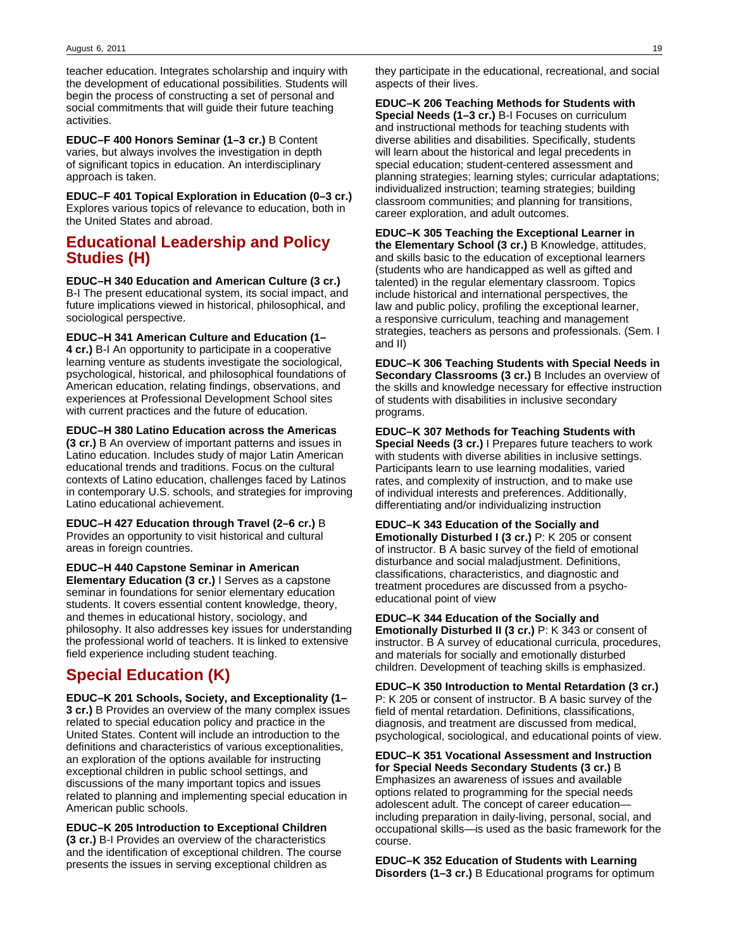teacher education. Integrates scholarship and inquiry with the development of educational possibilities. Students will begin the process of constructing a set of personal and social commitments that will guide their future teaching activities.

**EDUC–F 400 Honors Seminar (1–3 cr.)** B Content varies, but always involves the investigation in depth of significant topics in education. An interdisciplinary approach is taken.

**EDUC–F 401 Topical Exploration in Education (0–3 cr.)** Explores various topics of relevance to education, both in the United States and abroad.

## **Educational Leadership and Policy Studies (H)**

**EDUC–H 340 Education and American Culture (3 cr.)** B-I The present educational system, its social impact, and future implications viewed in historical, philosophical, and sociological perspective.

**EDUC–H 341 American Culture and Education (1– 4 cr.)** B-I An opportunity to participate in a cooperative learning venture as students investigate the sociological, psychological, historical, and philosophical foundations of American education, relating findings, observations, and experiences at Professional Development School sites with current practices and the future of education.

**EDUC–H 380 Latino Education across the Americas (3 cr.)** B An overview of important patterns and issues in Latino education. Includes study of major Latin American educational trends and traditions. Focus on the cultural contexts of Latino education, challenges faced by Latinos in contemporary U.S. schools, and strategies for improving Latino educational achievement.

**EDUC–H 427 Education through Travel (2–6 cr.)** B Provides an opportunity to visit historical and cultural areas in foreign countries.

**EDUC–H 440 Capstone Seminar in American Elementary Education (3 cr.)** I Serves as a capstone seminar in foundations for senior elementary education students. It covers essential content knowledge, theory, and themes in educational history, sociology, and philosophy. It also addresses key issues for understanding the professional world of teachers. It is linked to extensive field experience including student teaching.

# **Special Education (K)**

**EDUC–K 201 Schools, Society, and Exceptionality (1– 3 cr.)** B Provides an overview of the many complex issues related to special education policy and practice in the United States. Content will include an introduction to the definitions and characteristics of various exceptionalities, an exploration of the options available for instructing exceptional children in public school settings, and discussions of the many important topics and issues related to planning and implementing special education in American public schools.

**EDUC–K 205 Introduction to Exceptional Children (3 cr.)** B-I Provides an overview of the characteristics and the identification of exceptional children. The course presents the issues in serving exceptional children as

they participate in the educational, recreational, and social aspects of their lives.

**EDUC–K 206 Teaching Methods for Students with Special Needs (1–3 cr.)** B-I Focuses on curriculum and instructional methods for teaching students with diverse abilities and disabilities. Specifically, students will learn about the historical and legal precedents in special education; student-centered assessment and planning strategies; learning styles; curricular adaptations; individualized instruction; teaming strategies; building classroom communities; and planning for transitions, career exploration, and adult outcomes.

**EDUC–K 305 Teaching the Exceptional Learner in the Elementary School (3 cr.)** B Knowledge, attitudes, and skills basic to the education of exceptional learners (students who are handicapped as well as gifted and talented) in the regular elementary classroom. Topics include historical and international perspectives, the law and public policy, profiling the exceptional learner, a responsive curriculum, teaching and management strategies, teachers as persons and professionals. (Sem. I and II)

**EDUC–K 306 Teaching Students with Special Needs in Secondary Classrooms (3 cr.)** B Includes an overview of the skills and knowledge necessary for effective instruction of students with disabilities in inclusive secondary programs.

**EDUC–K 307 Methods for Teaching Students with Special Needs (3 cr.)** I Prepares future teachers to work with students with diverse abilities in inclusive settings. Participants learn to use learning modalities, varied rates, and complexity of instruction, and to make use of individual interests and preferences. Additionally, differentiating and/or individualizing instruction

**EDUC–K 343 Education of the Socially and Emotionally Disturbed I (3 cr.)** P: K 205 or consent of instructor. B A basic survey of the field of emotional disturbance and social maladjustment. Definitions, classifications, characteristics, and diagnostic and treatment procedures are discussed from a psychoeducational point of view

**EDUC–K 344 Education of the Socially and Emotionally Disturbed II (3 cr.)** P: K 343 or consent of instructor. B A survey of educational curricula, procedures, and materials for socially and emotionally disturbed children. Development of teaching skills is emphasized.

**EDUC–K 350 Introduction to Mental Retardation (3 cr.)** P: K 205 or consent of instructor. B A basic survey of the field of mental retardation. Definitions, classifications, diagnosis, and treatment are discussed from medical, psychological, sociological, and educational points of view.

**EDUC–K 351 Vocational Assessment and Instruction for Special Needs Secondary Students (3 cr.)** B Emphasizes an awareness of issues and available options related to programming for the special needs adolescent adult. The concept of career education including preparation in daily-living, personal, social, and occupational skills—is used as the basic framework for the course.

**EDUC–K 352 Education of Students with Learning Disorders (1–3 cr.)** B Educational programs for optimum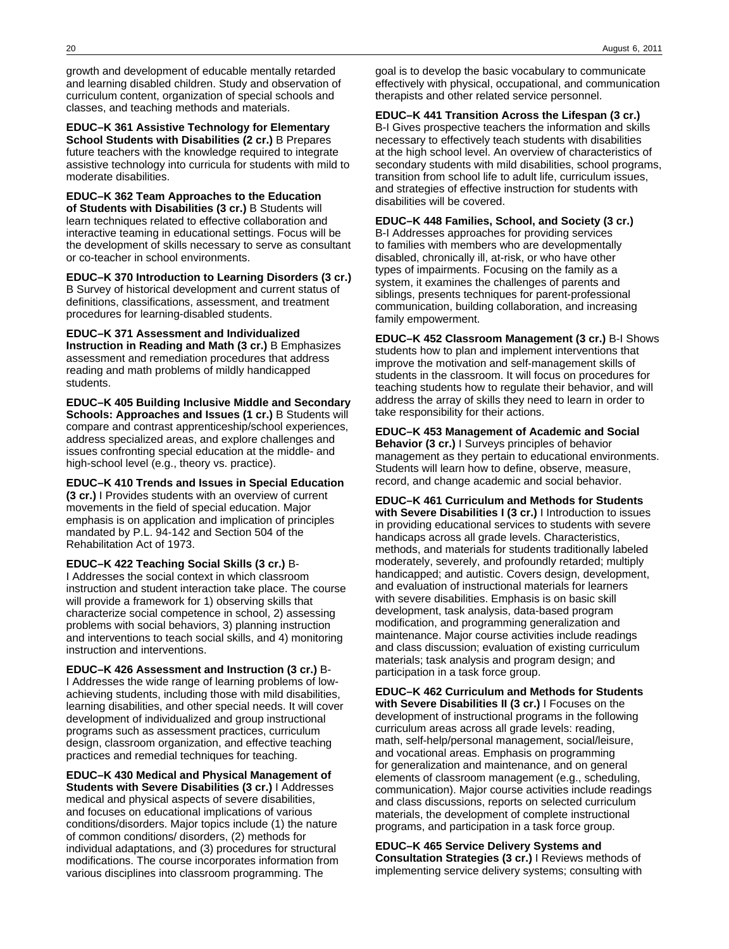growth and development of educable mentally retarded and learning disabled children. Study and observation of curriculum content, organization of special schools and classes, and teaching methods and materials.

**EDUC–K 361 Assistive Technology for Elementary School Students with Disabilities (2 cr.)** B Prepares future teachers with the knowledge required to integrate assistive technology into curricula for students with mild to moderate disabilities.

**EDUC–K 362 Team Approaches to the Education of Students with Disabilities (3 cr.)** B Students will learn techniques related to effective collaboration and interactive teaming in educational settings. Focus will be the development of skills necessary to serve as consultant or co-teacher in school environments.

**EDUC–K 370 Introduction to Learning Disorders (3 cr.)** B Survey of historical development and current status of

definitions, classifications, assessment, and treatment procedures for learning-disabled students.

**EDUC–K 371 Assessment and Individualized Instruction in Reading and Math (3 cr.)** B Emphasizes assessment and remediation procedures that address reading and math problems of mildly handicapped students.

**EDUC–K 405 Building Inclusive Middle and Secondary Schools: Approaches and Issues (1 cr.)** B Students will compare and contrast apprenticeship/school experiences, address specialized areas, and explore challenges and issues confronting special education at the middle- and high-school level (e.g., theory vs. practice).

**EDUC–K 410 Trends and Issues in Special Education (3 cr.)** I Provides students with an overview of current movements in the field of special education. Major emphasis is on application and implication of principles mandated by P.L. 94-142 and Section 504 of the Rehabilitation Act of 1973.

**EDUC–K 422 Teaching Social Skills (3 cr.)** B-I Addresses the social context in which classroom instruction and student interaction take place. The course will provide a framework for 1) observing skills that characterize social competence in school, 2) assessing problems with social behaviors, 3) planning instruction and interventions to teach social skills, and 4) monitoring instruction and interventions.

**EDUC–K 426 Assessment and Instruction (3 cr.)** B-I Addresses the wide range of learning problems of lowachieving students, including those with mild disabilities, learning disabilities, and other special needs. It will cover development of individualized and group instructional programs such as assessment practices, curriculum design, classroom organization, and effective teaching practices and remedial techniques for teaching.

**EDUC–K 430 Medical and Physical Management of Students with Severe Disabilities (3 cr.)** I Addresses medical and physical aspects of severe disabilities, and focuses on educational implications of various conditions/disorders. Major topics include (1) the nature of common conditions/ disorders, (2) methods for individual adaptations, and (3) procedures for structural modifications. The course incorporates information from various disciplines into classroom programming. The

goal is to develop the basic vocabulary to communicate effectively with physical, occupational, and communication therapists and other related service personnel.

**EDUC–K 441 Transition Across the Lifespan (3 cr.)** B-I Gives prospective teachers the information and skills necessary to effectively teach students with disabilities at the high school level. An overview of characteristics of secondary students with mild disabilities, school programs, transition from school life to adult life, curriculum issues, and strategies of effective instruction for students with disabilities will be covered.

**EDUC–K 448 Families, School, and Society (3 cr.)** B-I Addresses approaches for providing services to families with members who are developmentally disabled, chronically ill, at-risk, or who have other types of impairments. Focusing on the family as a system, it examines the challenges of parents and siblings, presents techniques for parent-professional communication, building collaboration, and increasing family empowerment.

**EDUC–K 452 Classroom Management (3 cr.)** B-I Shows students how to plan and implement interventions that improve the motivation and self-management skills of students in the classroom. It will focus on procedures for teaching students how to regulate their behavior, and will address the array of skills they need to learn in order to take responsibility for their actions.

**EDUC–K 453 Management of Academic and Social Behavior (3 cr.)** I Surveys principles of behavior management as they pertain to educational environments. Students will learn how to define, observe, measure, record, and change academic and social behavior.

**EDUC–K 461 Curriculum and Methods for Students with Severe Disabilities I (3 cr.)** I Introduction to issues in providing educational services to students with severe handicaps across all grade levels. Characteristics, methods, and materials for students traditionally labeled moderately, severely, and profoundly retarded; multiply handicapped; and autistic. Covers design, development, and evaluation of instructional materials for learners with severe disabilities. Emphasis is on basic skill development, task analysis, data-based program modification, and programming generalization and maintenance. Major course activities include readings and class discussion; evaluation of existing curriculum materials; task analysis and program design; and participation in a task force group.

**EDUC–K 462 Curriculum and Methods for Students with Severe Disabilities II (3 cr.)** I Focuses on the development of instructional programs in the following curriculum areas across all grade levels: reading, math, self-help/personal management, social/leisure, and vocational areas. Emphasis on programming for generalization and maintenance, and on general elements of classroom management (e.g., scheduling, communication). Major course activities include readings and class discussions, reports on selected curriculum materials, the development of complete instructional programs, and participation in a task force group.

**EDUC–K 465 Service Delivery Systems and Consultation Strategies (3 cr.)** I Reviews methods of implementing service delivery systems; consulting with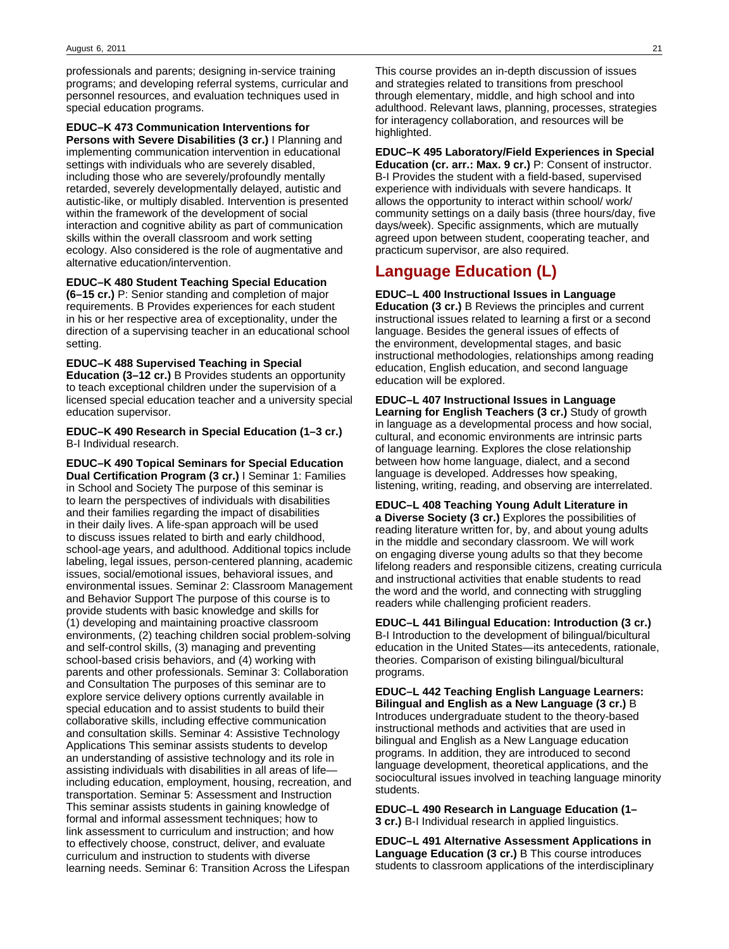professionals and parents; designing in-service training programs; and developing referral systems, curricular and personnel resources, and evaluation techniques used in special education programs.

**EDUC–K 473 Communication Interventions for Persons with Severe Disabilities (3 cr.)** I Planning and implementing communication intervention in educational settings with individuals who are severely disabled, including those who are severely/profoundly mentally retarded, severely developmentally delayed, autistic and autistic-like, or multiply disabled. Intervention is presented within the framework of the development of social interaction and cognitive ability as part of communication skills within the overall classroom and work setting ecology. Also considered is the role of augmentative and alternative education/intervention.

**EDUC–K 480 Student Teaching Special Education (6–15 cr.)** P: Senior standing and completion of major requirements. B Provides experiences for each student in his or her respective area of exceptionality, under the direction of a supervising teacher in an educational school setting.

**EDUC–K 488 Supervised Teaching in Special Education (3–12 cr.)** B Provides students an opportunity to teach exceptional children under the supervision of a licensed special education teacher and a university special education supervisor.

**EDUC–K 490 Research in Special Education (1–3 cr.)** B-I Individual research.

**EDUC–K 490 Topical Seminars for Special Education Dual Certification Program (3 cr.)** I Seminar 1: Families in School and Society The purpose of this seminar is to learn the perspectives of individuals with disabilities and their families regarding the impact of disabilities in their daily lives. A life-span approach will be used to discuss issues related to birth and early childhood, school-age years, and adulthood. Additional topics include labeling, legal issues, person-centered planning, academic issues, social/emotional issues, behavioral issues, and environmental issues. Seminar 2: Classroom Management and Behavior Support The purpose of this course is to provide students with basic knowledge and skills for (1) developing and maintaining proactive classroom environments, (2) teaching children social problem-solving and self-control skills, (3) managing and preventing school-based crisis behaviors, and (4) working with parents and other professionals. Seminar 3: Collaboration and Consultation The purposes of this seminar are to explore service delivery options currently available in special education and to assist students to build their collaborative skills, including effective communication and consultation skills. Seminar 4: Assistive Technology Applications This seminar assists students to develop an understanding of assistive technology and its role in assisting individuals with disabilities in all areas of life including education, employment, housing, recreation, and transportation. Seminar 5: Assessment and Instruction This seminar assists students in gaining knowledge of formal and informal assessment techniques; how to link assessment to curriculum and instruction; and how to effectively choose, construct, deliver, and evaluate curriculum and instruction to students with diverse learning needs. Seminar 6: Transition Across the Lifespan

This course provides an in-depth discussion of issues and strategies related to transitions from preschool through elementary, middle, and high school and into adulthood. Relevant laws, planning, processes, strategies for interagency collaboration, and resources will be highlighted.

**EDUC–K 495 Laboratory/Field Experiences in Special Education (cr. arr.: Max. 9 cr.)** P: Consent of instructor. B-I Provides the student with a field-based, supervised experience with individuals with severe handicaps. It allows the opportunity to interact within school/ work/ community settings on a daily basis (three hours/day, five days/week). Specific assignments, which are mutually agreed upon between student, cooperating teacher, and practicum supervisor, are also required.

# **Language Education (L)**

education will be explored.

**EDUC–L 400 Instructional Issues in Language Education (3 cr.)** B Reviews the principles and current instructional issues related to learning a first or a second language. Besides the general issues of effects of the environment, developmental stages, and basic instructional methodologies, relationships among reading education, English education, and second language

**EDUC–L 407 Instructional Issues in Language Learning for English Teachers (3 cr.)** Study of growth in language as a developmental process and how social, cultural, and economic environments are intrinsic parts of language learning. Explores the close relationship between how home language, dialect, and a second language is developed. Addresses how speaking, listening, writing, reading, and observing are interrelated.

**EDUC–L 408 Teaching Young Adult Literature in a Diverse Society (3 cr.)** Explores the possibilities of reading literature written for, by, and about young adults in the middle and secondary classroom. We will work on engaging diverse young adults so that they become lifelong readers and responsible citizens, creating curricula and instructional activities that enable students to read the word and the world, and connecting with struggling readers while challenging proficient readers.

**EDUC–L 441 Bilingual Education: Introduction (3 cr.)** B-I Introduction to the development of bilingual/bicultural education in the United States—its antecedents, rationale, theories. Comparison of existing bilingual/bicultural programs.

**EDUC–L 442 Teaching English Language Learners: Bilingual and English as a New Language (3 cr.)** B Introduces undergraduate student to the theory-based instructional methods and activities that are used in bilingual and English as a New Language education programs. In addition, they are introduced to second language development, theoretical applications, and the sociocultural issues involved in teaching language minority students.

**EDUC–L 490 Research in Language Education (1– 3 cr.)** B-I Individual research in applied linguistics.

**EDUC–L 491 Alternative Assessment Applications in Language Education (3 cr.)** B This course introduces students to classroom applications of the interdisciplinary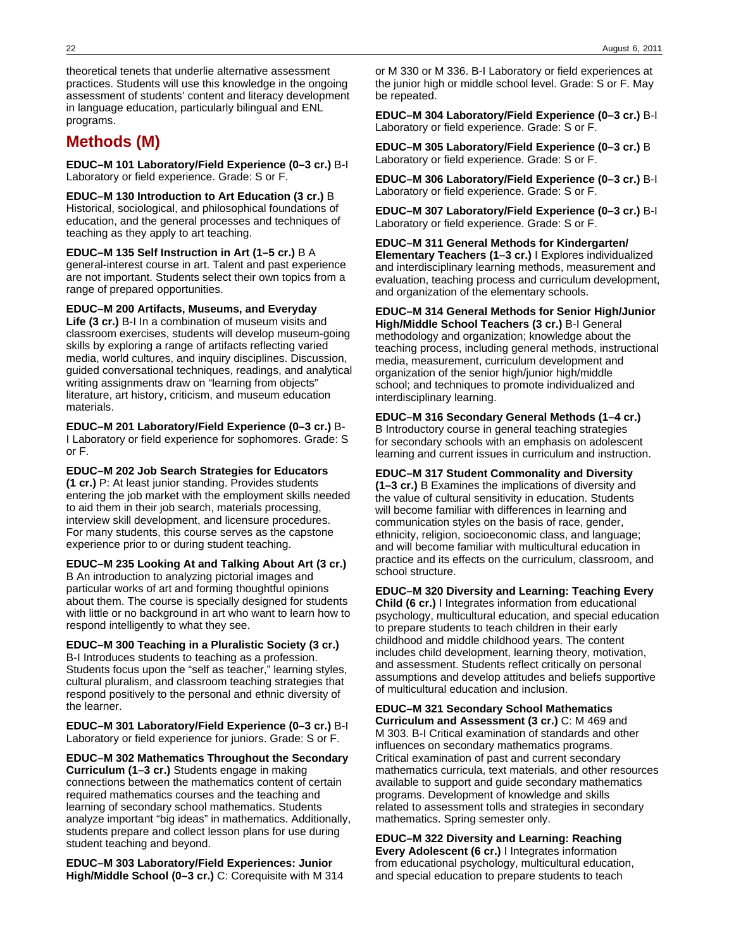22 August 6, 2011

theoretical tenets that underlie alternative assessment practices. Students will use this knowledge in the ongoing assessment of students' content and literacy development in language education, particularly bilingual and ENL programs.

# **Methods (M)**

**EDUC–M 101 Laboratory/Field Experience (0–3 cr.)** B-I Laboratory or field experience. Grade: S or F.

**EDUC–M 130 Introduction to Art Education (3 cr.)** B Historical, sociological, and philosophical foundations of education, and the general processes and techniques of teaching as they apply to art teaching.

**EDUC–M 135 Self Instruction in Art (1–5 cr.)** B A general-interest course in art. Talent and past experience are not important. Students select their own topics from a range of prepared opportunities.

**EDUC–M 200 Artifacts, Museums, and Everyday Life (3 cr.)** B-I In a combination of museum visits and classroom exercises, students will develop museum-going skills by exploring a range of artifacts reflecting varied media, world cultures, and inquiry disciplines. Discussion, guided conversational techniques, readings, and analytical writing assignments draw on "learning from objects" literature, art history, criticism, and museum education materials.

**EDUC–M 201 Laboratory/Field Experience (0–3 cr.)** B-I Laboratory or field experience for sophomores. Grade: S or F.

**EDUC–M 202 Job Search Strategies for Educators (1 cr.)** P: At least junior standing. Provides students entering the job market with the employment skills needed to aid them in their job search, materials processing, interview skill development, and licensure procedures. For many students, this course serves as the capstone experience prior to or during student teaching.

**EDUC–M 235 Looking At and Talking About Art (3 cr.)** B An introduction to analyzing pictorial images and particular works of art and forming thoughtful opinions about them. The course is specially designed for students with little or no background in art who want to learn how to respond intelligently to what they see.

**EDUC–M 300 Teaching in a Pluralistic Society (3 cr.)** B-I Introduces students to teaching as a profession. Students focus upon the "self as teacher," learning styles, cultural pluralism, and classroom teaching strategies that respond positively to the personal and ethnic diversity of the learner.

**EDUC–M 301 Laboratory/Field Experience (0–3 cr.)** B-I Laboratory or field experience for juniors. Grade: S or F.

**EDUC–M 302 Mathematics Throughout the Secondary Curriculum (1–3 cr.)** Students engage in making connections between the mathematics content of certain required mathematics courses and the teaching and learning of secondary school mathematics. Students analyze important "big ideas" in mathematics. Additionally, students prepare and collect lesson plans for use during student teaching and beyond.

**EDUC–M 303 Laboratory/Field Experiences: Junior High/Middle School (0–3 cr.)** C: Corequisite with M 314

or M 330 or M 336. B-I Laboratory or field experiences at the junior high or middle school level. Grade: S or F. May be repeated.

**EDUC–M 304 Laboratory/Field Experience (0–3 cr.)** B-I Laboratory or field experience. Grade: S or F.

**EDUC–M 305 Laboratory/Field Experience (0–3 cr.)** B Laboratory or field experience. Grade: S or F.

**EDUC–M 306 Laboratory/Field Experience (0–3 cr.)** B-I Laboratory or field experience. Grade: S or F.

**EDUC–M 307 Laboratory/Field Experience (0–3 cr.)** B-I Laboratory or field experience. Grade: S or F.

**EDUC–M 311 General Methods for Kindergarten/ Elementary Teachers (1–3 cr.)** I Explores individualized and interdisciplinary learning methods, measurement and evaluation, teaching process and curriculum development, and organization of the elementary schools.

**EDUC–M 314 General Methods for Senior High/Junior High/Middle School Teachers (3 cr.)** B-I General methodology and organization; knowledge about the teaching process, including general methods, instructional media, measurement, curriculum development and organization of the senior high/junior high/middle school; and techniques to promote individualized and interdisciplinary learning.

**EDUC–M 316 Secondary General Methods (1–4 cr.)** B Introductory course in general teaching strategies for secondary schools with an emphasis on adolescent learning and current issues in curriculum and instruction.

**EDUC–M 317 Student Commonality and Diversity (1–3 cr.)** B Examines the implications of diversity and the value of cultural sensitivity in education. Students will become familiar with differences in learning and communication styles on the basis of race, gender, ethnicity, religion, socioeconomic class, and language; and will become familiar with multicultural education in practice and its effects on the curriculum, classroom, and school structure.

**EDUC–M 320 Diversity and Learning: Teaching Every Child (6 cr.)** I Integrates information from educational psychology, multicultural education, and special education to prepare students to teach children in their early childhood and middle childhood years. The content includes child development, learning theory, motivation, and assessment. Students reflect critically on personal assumptions and develop attitudes and beliefs supportive of multicultural education and inclusion.

**EDUC–M 321 Secondary School Mathematics Curriculum and Assessment (3 cr.)** C: M 469 and M 303. B-I Critical examination of standards and other influences on secondary mathematics programs. Critical examination of past and current secondary mathematics curricula, text materials, and other resources available to support and guide secondary mathematics programs. Development of knowledge and skills related to assessment tolls and strategies in secondary mathematics. Spring semester only.

**EDUC–M 322 Diversity and Learning: Reaching Every Adolescent (6 cr.)** I Integrates information from educational psychology, multicultural education, and special education to prepare students to teach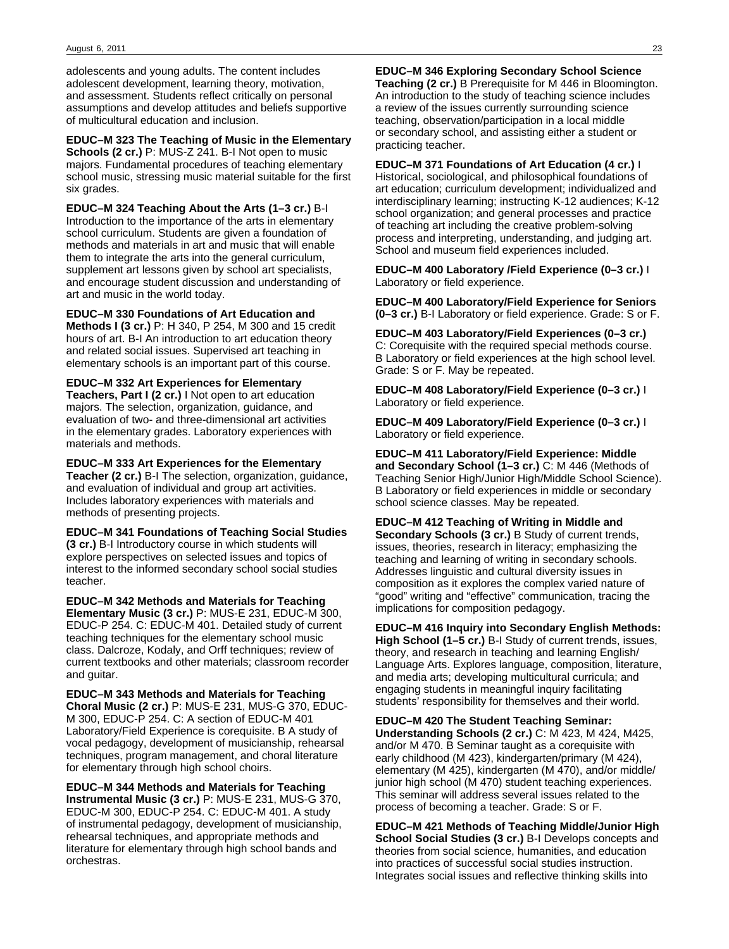adolescents and young adults. The content includes adolescent development, learning theory, motivation, and assessment. Students reflect critically on personal assumptions and develop attitudes and beliefs supportive of multicultural education and inclusion.

**EDUC–M 323 The Teaching of Music in the Elementary Schools (2 cr.)** P: MUS-Z 241. B-I Not open to music majors. Fundamental procedures of teaching elementary school music, stressing music material suitable for the first six grades.

**EDUC–M 324 Teaching About the Arts (1–3 cr.)** B-I Introduction to the importance of the arts in elementary school curriculum. Students are given a foundation of methods and materials in art and music that will enable them to integrate the arts into the general curriculum, supplement art lessons given by school art specialists, and encourage student discussion and understanding of art and music in the world today.

**EDUC–M 330 Foundations of Art Education and Methods I (3 cr.)** P: H 340, P 254, M 300 and 15 credit hours of art. B-I An introduction to art education theory and related social issues. Supervised art teaching in elementary schools is an important part of this course.

**EDUC–M 332 Art Experiences for Elementary Teachers, Part I (2 cr.)** I Not open to art education majors. The selection, organization, guidance, and evaluation of two- and three-dimensional art activities in the elementary grades. Laboratory experiences with materials and methods.

**EDUC–M 333 Art Experiences for the Elementary Teacher (2 cr.)** B-I The selection, organization, guidance, and evaluation of individual and group art activities. Includes laboratory experiences with materials and methods of presenting projects.

**EDUC–M 341 Foundations of Teaching Social Studies (3 cr.)** B-I Introductory course in which students will explore perspectives on selected issues and topics of interest to the informed secondary school social studies teacher.

**EDUC–M 342 Methods and Materials for Teaching Elementary Music (3 cr.)** P: MUS-E 231, EDUC-M 300, EDUC-P 254. C: EDUC-M 401. Detailed study of current teaching techniques for the elementary school music class. Dalcroze, Kodaly, and Orff techniques; review of current textbooks and other materials; classroom recorder and guitar.

**EDUC–M 343 Methods and Materials for Teaching Choral Music (2 cr.)** P: MUS-E 231, MUS-G 370, EDUC-M 300, EDUC-P 254. C: A section of EDUC-M 401 Laboratory/Field Experience is corequisite. B A study of vocal pedagogy, development of musicianship, rehearsal techniques, program management, and choral literature for elementary through high school choirs.

**EDUC–M 344 Methods and Materials for Teaching Instrumental Music (3 cr.)** P: MUS-E 231, MUS-G 370, EDUC-M 300, EDUC-P 254. C: EDUC-M 401. A study of instrumental pedagogy, development of musicianship, rehearsal techniques, and appropriate methods and literature for elementary through high school bands and orchestras.

**EDUC–M 346 Exploring Secondary School Science Teaching (2 cr.)** B Prerequisite for M 446 in Bloomington. An introduction to the study of teaching science includes a review of the issues currently surrounding science teaching, observation/participation in a local middle or secondary school, and assisting either a student or practicing teacher.

**EDUC–M 371 Foundations of Art Education (4 cr.)** I Historical, sociological, and philosophical foundations of art education; curriculum development; individualized and interdisciplinary learning; instructing K-12 audiences; K-12 school organization; and general processes and practice of teaching art including the creative problem-solving process and interpreting, understanding, and judging art. School and museum field experiences included.

**EDUC–M 400 Laboratory /Field Experience (0–3 cr.)** I Laboratory or field experience.

**EDUC–M 400 Laboratory/Field Experience for Seniors (0–3 cr.)** B-I Laboratory or field experience. Grade: S or F.

**EDUC–M 403 Laboratory/Field Experiences (0–3 cr.)** C: Corequisite with the required special methods course. B Laboratory or field experiences at the high school level. Grade: S or F. May be repeated.

**EDUC–M 408 Laboratory/Field Experience (0–3 cr.)** I Laboratory or field experience.

**EDUC–M 409 Laboratory/Field Experience (0–3 cr.)** I Laboratory or field experience.

**EDUC–M 411 Laboratory/Field Experience: Middle and Secondary School (1–3 cr.)** C: M 446 (Methods of Teaching Senior High/Junior High/Middle School Science). B Laboratory or field experiences in middle or secondary school science classes. May be repeated.

**EDUC–M 412 Teaching of Writing in Middle and Secondary Schools (3 cr.)** B Study of current trends, issues, theories, research in literacy; emphasizing the teaching and learning of writing in secondary schools. Addresses linguistic and cultural diversity issues in composition as it explores the complex varied nature of "good" writing and "effective" communication, tracing the implications for composition pedagogy.

**EDUC–M 416 Inquiry into Secondary English Methods: High School (1–5 cr.)** B-I Study of current trends, issues, theory, and research in teaching and learning English/ Language Arts. Explores language, composition, literature, and media arts; developing multicultural curricula; and engaging students in meaningful inquiry facilitating students' responsibility for themselves and their world.

**EDUC–M 420 The Student Teaching Seminar: Understanding Schools (2 cr.)** C: M 423, M 424, M425, and/or M 470. B Seminar taught as a corequisite with early childhood (M 423), kindergarten/primary (M 424), elementary (M 425), kindergarten (M 470), and/or middle/ junior high school (M 470) student teaching experiences. This seminar will address several issues related to the process of becoming a teacher. Grade: S or F.

**EDUC–M 421 Methods of Teaching Middle/Junior High School Social Studies (3 cr.)** B-I Develops concepts and theories from social science, humanities, and education into practices of successful social studies instruction. Integrates social issues and reflective thinking skills into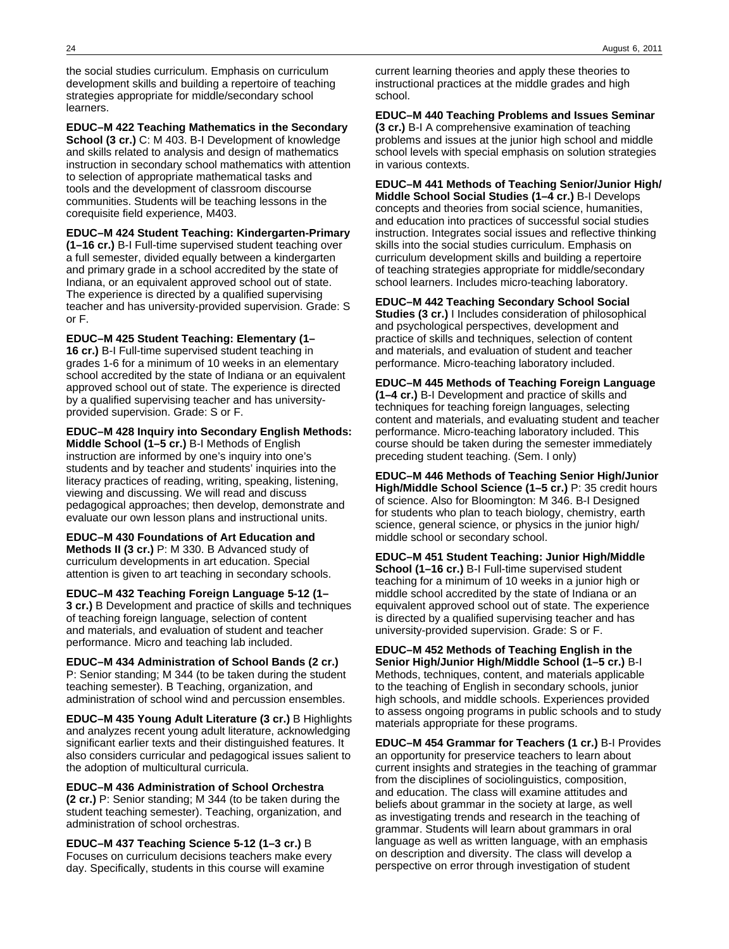the social studies curriculum. Emphasis on curriculum development skills and building a repertoire of teaching strategies appropriate for middle/secondary school learners.

**EDUC–M 422 Teaching Mathematics in the Secondary School (3 cr.)** C: M 403. B-I Development of knowledge and skills related to analysis and design of mathematics instruction in secondary school mathematics with attention to selection of appropriate mathematical tasks and tools and the development of classroom discourse communities. Students will be teaching lessons in the corequisite field experience, M403.

**EDUC–M 424 Student Teaching: Kindergarten-Primary (1–16 cr.)** B-I Full-time supervised student teaching over a full semester, divided equally between a kindergarten and primary grade in a school accredited by the state of Indiana, or an equivalent approved school out of state. The experience is directed by a qualified supervising teacher and has university-provided supervision. Grade: S or F.

**EDUC–M 425 Student Teaching: Elementary (1– 16 cr.)** B-I Full-time supervised student teaching in grades 1-6 for a minimum of 10 weeks in an elementary school accredited by the state of Indiana or an equivalent approved school out of state. The experience is directed by a qualified supervising teacher and has universityprovided supervision. Grade: S or F.

**EDUC–M 428 Inquiry into Secondary English Methods:**

**Middle School (1–5 cr.)** B-I Methods of English instruction are informed by one's inquiry into one's students and by teacher and students' inquiries into the literacy practices of reading, writing, speaking, listening, viewing and discussing. We will read and discuss pedagogical approaches; then develop, demonstrate and evaluate our own lesson plans and instructional units.

**EDUC–M 430 Foundations of Art Education and Methods II (3 cr.)** P: M 330. B Advanced study of curriculum developments in art education. Special attention is given to art teaching in secondary schools.

**EDUC–M 432 Teaching Foreign Language 5-12 (1– 3 cr.)** B Development and practice of skills and techniques of teaching foreign language, selection of content and materials, and evaluation of student and teacher performance. Micro and teaching lab included.

**EDUC–M 434 Administration of School Bands (2 cr.)** P: Senior standing; M 344 (to be taken during the student teaching semester). B Teaching, organization, and administration of school wind and percussion ensembles.

**EDUC–M 435 Young Adult Literature (3 cr.)** B Highlights and analyzes recent young adult literature, acknowledging significant earlier texts and their distinguished features. It also considers curricular and pedagogical issues salient to the adoption of multicultural curricula.

**EDUC–M 436 Administration of School Orchestra (2 cr.)** P: Senior standing; M 344 (to be taken during the student teaching semester). Teaching, organization, and administration of school orchestras.

**EDUC–M 437 Teaching Science 5-12 (1–3 cr.)** B Focuses on curriculum decisions teachers make every day. Specifically, students in this course will examine

current learning theories and apply these theories to instructional practices at the middle grades and high school.

**EDUC–M 440 Teaching Problems and Issues Seminar (3 cr.)** B-I A comprehensive examination of teaching problems and issues at the junior high school and middle school levels with special emphasis on solution strategies in various contexts.

**EDUC–M 441 Methods of Teaching Senior/Junior High/ Middle School Social Studies (1–4 cr.)** B-I Develops concepts and theories from social science, humanities, and education into practices of successful social studies instruction. Integrates social issues and reflective thinking skills into the social studies curriculum. Emphasis on curriculum development skills and building a repertoire of teaching strategies appropriate for middle/secondary school learners. Includes micro-teaching laboratory.

**EDUC–M 442 Teaching Secondary School Social Studies (3 cr.)** I Includes consideration of philosophical and psychological perspectives, development and practice of skills and techniques, selection of content and materials, and evaluation of student and teacher performance. Micro-teaching laboratory included.

**EDUC–M 445 Methods of Teaching Foreign Language (1–4 cr.)** B-I Development and practice of skills and techniques for teaching foreign languages, selecting content and materials, and evaluating student and teacher performance. Micro-teaching laboratory included. This course should be taken during the semester immediately preceding student teaching. (Sem. I only)

**EDUC–M 446 Methods of Teaching Senior High/Junior High/Middle School Science (1–5 cr.)** P: 35 credit hours of science. Also for Bloomington: M 346. B-I Designed for students who plan to teach biology, chemistry, earth science, general science, or physics in the junior high/ middle school or secondary school.

**EDUC–M 451 Student Teaching: Junior High/Middle School (1–16 cr.)** B-I Full-time supervised student teaching for a minimum of 10 weeks in a junior high or middle school accredited by the state of Indiana or an equivalent approved school out of state. The experience is directed by a qualified supervising teacher and has university-provided supervision. Grade: S or F.

**EDUC–M 452 Methods of Teaching English in the Senior High/Junior High/Middle School (1–5 cr.)** B-I Methods, techniques, content, and materials applicable to the teaching of English in secondary schools, junior high schools, and middle schools. Experiences provided to assess ongoing programs in public schools and to study materials appropriate for these programs.

**EDUC–M 454 Grammar for Teachers (1 cr.)** B-I Provides an opportunity for preservice teachers to learn about current insights and strategies in the teaching of grammar from the disciplines of sociolinguistics, composition, and education. The class will examine attitudes and beliefs about grammar in the society at large, as well as investigating trends and research in the teaching of grammar. Students will learn about grammars in oral language as well as written language, with an emphasis on description and diversity. The class will develop a perspective on error through investigation of student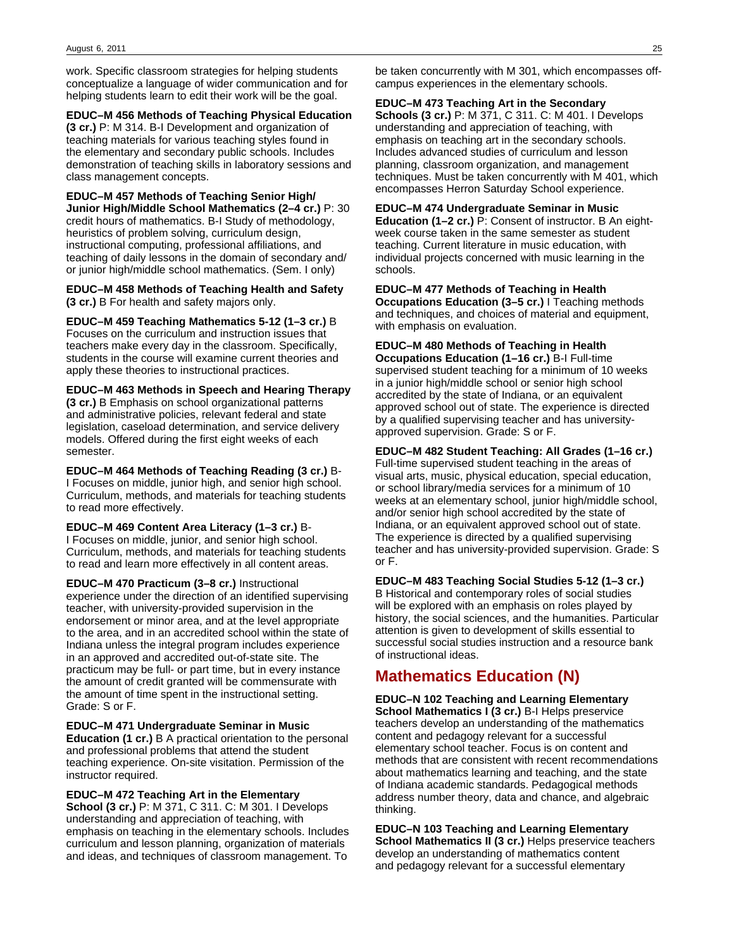work. Specific classroom strategies for helping students conceptualize a language of wider communication and for helping students learn to edit their work will be the goal.

**EDUC–M 456 Methods of Teaching Physical Education (3 cr.)** P: M 314. B-I Development and organization of teaching materials for various teaching styles found in

the elementary and secondary public schools. Includes demonstration of teaching skills in laboratory sessions and class management concepts.

**EDUC–M 457 Methods of Teaching Senior High/ Junior High/Middle School Mathematics (2–4 cr.)** P: 30 credit hours of mathematics. B-I Study of methodology, heuristics of problem solving, curriculum design, instructional computing, professional affiliations, and teaching of daily lessons in the domain of secondary and/ or junior high/middle school mathematics. (Sem. I only)

**EDUC–M 458 Methods of Teaching Health and Safety (3 cr.)** B For health and safety majors only.

**EDUC–M 459 Teaching Mathematics 5-12 (1–3 cr.)** B Focuses on the curriculum and instruction issues that teachers make every day in the classroom. Specifically, students in the course will examine current theories and apply these theories to instructional practices.

**EDUC–M 463 Methods in Speech and Hearing Therapy (3 cr.)** B Emphasis on school organizational patterns and administrative policies, relevant federal and state legislation, caseload determination, and service delivery models. Offered during the first eight weeks of each semester.

**EDUC–M 464 Methods of Teaching Reading (3 cr.)** B-I Focuses on middle, junior high, and senior high school. Curriculum, methods, and materials for teaching students to read more effectively.

**EDUC–M 469 Content Area Literacy (1–3 cr.)** B-I Focuses on middle, junior, and senior high school. Curriculum, methods, and materials for teaching students to read and learn more effectively in all content areas.

**EDUC–M 470 Practicum (3–8 cr.)** Instructional experience under the direction of an identified supervising teacher, with university-provided supervision in the endorsement or minor area, and at the level appropriate to the area, and in an accredited school within the state of Indiana unless the integral program includes experience in an approved and accredited out-of-state site. The practicum may be full- or part time, but in every instance the amount of credit granted will be commensurate with the amount of time spent in the instructional setting. Grade: S or F.

**EDUC–M 471 Undergraduate Seminar in Music Education (1 cr.)** B A practical orientation to the personal and professional problems that attend the student teaching experience. On-site visitation. Permission of the instructor required.

**EDUC–M 472 Teaching Art in the Elementary**

**School (3 cr.)** P: M 371, C 311. C: M 301. I Develops understanding and appreciation of teaching, with emphasis on teaching in the elementary schools. Includes curriculum and lesson planning, organization of materials and ideas, and techniques of classroom management. To

be taken concurrently with M 301, which encompasses offcampus experiences in the elementary schools.

#### **EDUC–M 473 Teaching Art in the Secondary**

**Schools (3 cr.)** P: M 371, C 311. C: M 401. I Develops understanding and appreciation of teaching, with emphasis on teaching art in the secondary schools. Includes advanced studies of curriculum and lesson planning, classroom organization, and management techniques. Must be taken concurrently with M 401, which encompasses Herron Saturday School experience.

### **EDUC–M 474 Undergraduate Seminar in Music**

**Education (1–2 cr.)** P: Consent of instructor. B An eightweek course taken in the same semester as student teaching. Current literature in music education, with individual projects concerned with music learning in the schools.

#### **EDUC–M 477 Methods of Teaching in Health**

**Occupations Education (3–5 cr.)** I Teaching methods and techniques, and choices of material and equipment, with emphasis on evaluation.

**EDUC–M 480 Methods of Teaching in Health**

**Occupations Education (1–16 cr.)** B-I Full-time supervised student teaching for a minimum of 10 weeks in a junior high/middle school or senior high school accredited by the state of Indiana, or an equivalent approved school out of state. The experience is directed by a qualified supervising teacher and has universityapproved supervision. Grade: S or F.

**EDUC–M 482 Student Teaching: All Grades (1–16 cr.)** Full-time supervised student teaching in the areas of visual arts, music, physical education, special education, or school library/media services for a minimum of 10 weeks at an elementary school, junior high/middle school, and/or senior high school accredited by the state of Indiana, or an equivalent approved school out of state. The experience is directed by a qualified supervising teacher and has university-provided supervision. Grade: S or F.

**EDUC–M 483 Teaching Social Studies 5-12 (1–3 cr.)** B Historical and contemporary roles of social studies will be explored with an emphasis on roles played by history, the social sciences, and the humanities. Particular attention is given to development of skills essential to successful social studies instruction and a resource bank of instructional ideas.

# **Mathematics Education (N)**

**EDUC–N 102 Teaching and Learning Elementary School Mathematics I (3 cr.)** B-I Helps preservice teachers develop an understanding of the mathematics content and pedagogy relevant for a successful elementary school teacher. Focus is on content and methods that are consistent with recent recommendations about mathematics learning and teaching, and the state of Indiana academic standards. Pedagogical methods address number theory, data and chance, and algebraic thinking.

**EDUC–N 103 Teaching and Learning Elementary School Mathematics II (3 cr.)** Helps preservice teachers develop an understanding of mathematics content and pedagogy relevant for a successful elementary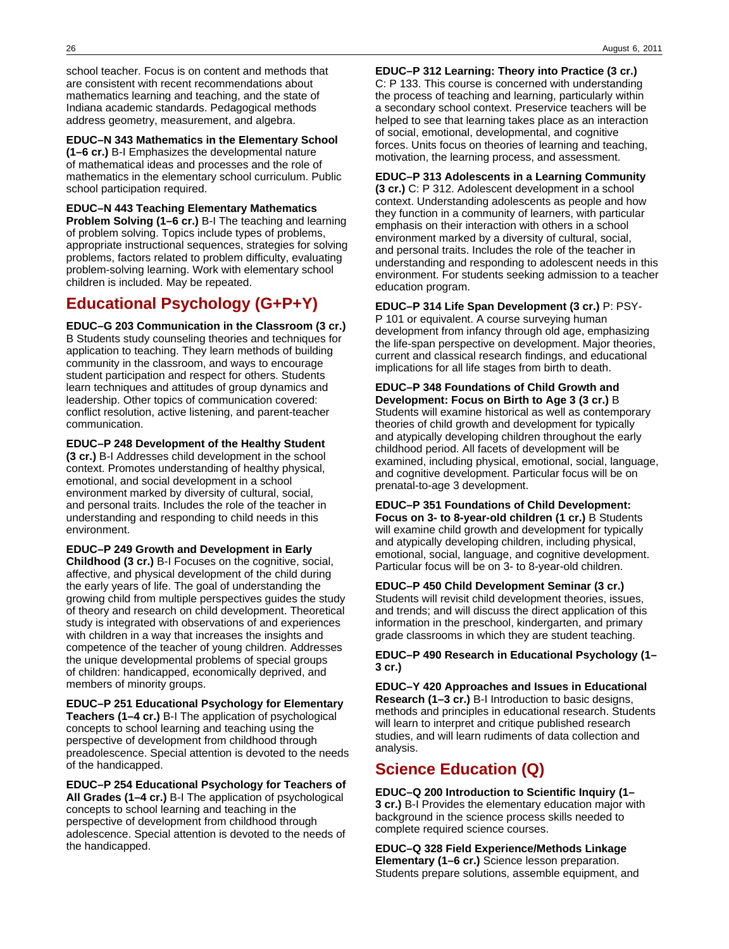school teacher. Focus is on content and methods that are consistent with recent recommendations about mathematics learning and teaching, and the state of Indiana academic standards. Pedagogical methods address geometry, measurement, and algebra.

**EDUC–N 343 Mathematics in the Elementary School (1–6 cr.)** B-I Emphasizes the developmental nature of mathematical ideas and processes and the role of mathematics in the elementary school curriculum. Public school participation required.

**EDUC–N 443 Teaching Elementary Mathematics Problem Solving (1–6 cr.)** B-I The teaching and learning of problem solving. Topics include types of problems, appropriate instructional sequences, strategies for solving problems, factors related to problem difficulty, evaluating problem-solving learning. Work with elementary school children is included. May be repeated.

# **Educational Psychology (G+P+Y)**

**EDUC–G 203 Communication in the Classroom (3 cr.)** B Students study counseling theories and techniques for application to teaching. They learn methods of building community in the classroom, and ways to encourage student participation and respect for others. Students learn techniques and attitudes of group dynamics and leadership. Other topics of communication covered: conflict resolution, active listening, and parent-teacher communication.

**EDUC–P 248 Development of the Healthy Student (3 cr.)** B-I Addresses child development in the school context. Promotes understanding of healthy physical, emotional, and social development in a school environment marked by diversity of cultural, social, and personal traits. Includes the role of the teacher in understanding and responding to child needs in this environment.

**EDUC–P 249 Growth and Development in Early Childhood (3 cr.)** B-I Focuses on the cognitive, social, affective, and physical development of the child during the early years of life. The goal of understanding the growing child from multiple perspectives guides the study of theory and research on child development. Theoretical study is integrated with observations of and experiences with children in a way that increases the insights and competence of the teacher of young children. Addresses the unique developmental problems of special groups of children: handicapped, economically deprived, and members of minority groups.

**EDUC–P 251 Educational Psychology for Elementary Teachers (1–4 cr.)** B-I The application of psychological concepts to school learning and teaching using the perspective of development from childhood through preadolescence. Special attention is devoted to the needs of the handicapped.

**EDUC–P 254 Educational Psychology for Teachers of All Grades (1–4 cr.)** B-I The application of psychological concepts to school learning and teaching in the perspective of development from childhood through adolescence. Special attention is devoted to the needs of the handicapped.

**EDUC–P 312 Learning: Theory into Practice (3 cr.)** C: P 133. This course is concerned with understanding the process of teaching and learning, particularly within a secondary school context. Preservice teachers will be helped to see that learning takes place as an interaction of social, emotional, developmental, and cognitive forces. Units focus on theories of learning and teaching, motivation, the learning process, and assessment.

**EDUC–P 313 Adolescents in a Learning Community (3 cr.)** C: P 312. Adolescent development in a school context. Understanding adolescents as people and how they function in a community of learners, with particular emphasis on their interaction with others in a school environment marked by a diversity of cultural, social, and personal traits. Includes the role of the teacher in understanding and responding to adolescent needs in this environment. For students seeking admission to a teacher education program.

**EDUC–P 314 Life Span Development (3 cr.)** P: PSY-P 101 or equivalent. A course surveying human development from infancy through old age, emphasizing the life-span perspective on development. Major theories, current and classical research findings, and educational implications for all life stages from birth to death.

**EDUC–P 348 Foundations of Child Growth and Development: Focus on Birth to Age 3 (3 cr.)** B Students will examine historical as well as contemporary theories of child growth and development for typically and atypically developing children throughout the early childhood period. All facets of development will be examined, including physical, emotional, social, language, and cognitive development. Particular focus will be on prenatal-to-age 3 development.

**EDUC–P 351 Foundations of Child Development: Focus on 3- to 8-year-old children (1 cr.)** B Students will examine child growth and development for typically and atypically developing children, including physical, emotional, social, language, and cognitive development. Particular focus will be on 3- to 8-year-old children.

**EDUC–P 450 Child Development Seminar (3 cr.)** Students will revisit child development theories, issues, and trends; and will discuss the direct application of this information in the preschool, kindergarten, and primary grade classrooms in which they are student teaching.

**EDUC–P 490 Research in Educational Psychology (1– 3 cr.)**

**EDUC–Y 420 Approaches and Issues in Educational Research (1–3 cr.)** B-I Introduction to basic designs, methods and principles in educational research. Students will learn to interpret and critique published research studies, and will learn rudiments of data collection and analysis.

# **Science Education (Q)**

**EDUC–Q 200 Introduction to Scientific Inquiry (1– 3 cr.)** B-I Provides the elementary education major with background in the science process skills needed to complete required science courses.

**EDUC–Q 328 Field Experience/Methods Linkage Elementary (1–6 cr.)** Science lesson preparation. Students prepare solutions, assemble equipment, and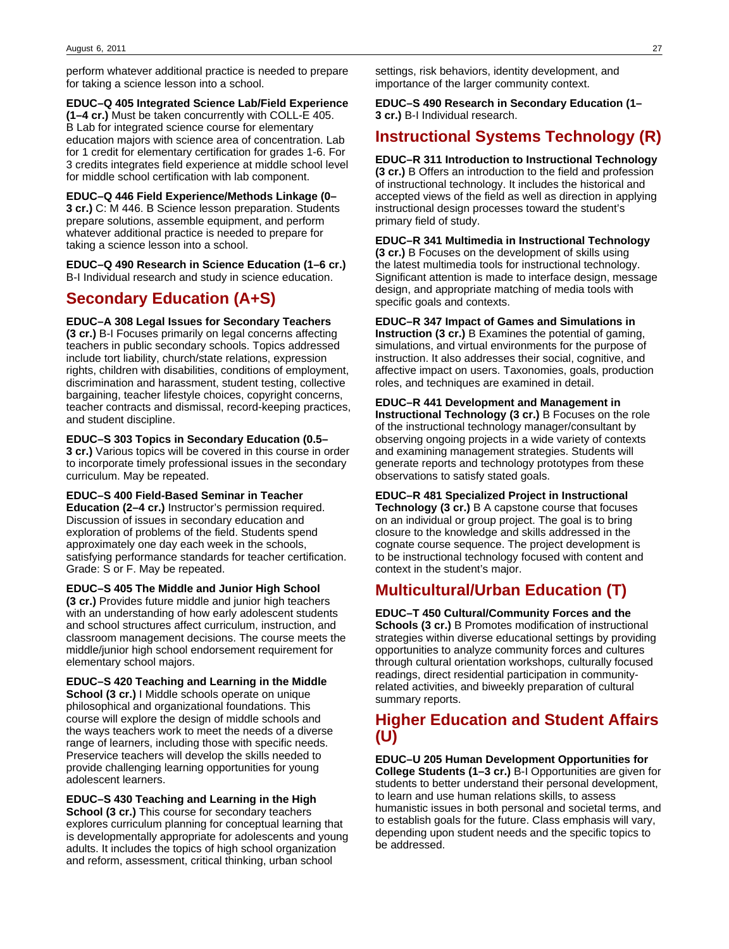perform whatever additional practice is needed to prepare for taking a science lesson into a school.

**EDUC–Q 405 Integrated Science Lab/Field Experience (1–4 cr.)** Must be taken concurrently with COLL-E 405. B Lab for integrated science course for elementary education majors with science area of concentration. Lab for 1 credit for elementary certification for grades 1-6. For 3 credits integrates field experience at middle school level for middle school certification with lab component.

**EDUC–Q 446 Field Experience/Methods Linkage (0– 3 cr.)** C: M 446. B Science lesson preparation. Students prepare solutions, assemble equipment, and perform whatever additional practice is needed to prepare for taking a science lesson into a school.

**EDUC–Q 490 Research in Science Education (1–6 cr.)** B-I Individual research and study in science education.

# **Secondary Education (A+S)**

**EDUC–A 308 Legal Issues for Secondary Teachers**

**(3 cr.)** B-I Focuses primarily on legal concerns affecting teachers in public secondary schools. Topics addressed include tort liability, church/state relations, expression rights, children with disabilities, conditions of employment, discrimination and harassment, student testing, collective bargaining, teacher lifestyle choices, copyright concerns, teacher contracts and dismissal, record-keeping practices, and student discipline.

**EDUC–S 303 Topics in Secondary Education (0.5– 3 cr.)** Various topics will be covered in this course in order

to incorporate timely professional issues in the secondary curriculum. May be repeated.

**EDUC–S 400 Field-Based Seminar in Teacher Education (2–4 cr.)** Instructor's permission required. Discussion of issues in secondary education and exploration of problems of the field. Students spend approximately one day each week in the schools, satisfying performance standards for teacher certification. Grade: S or F. May be repeated.

**EDUC–S 405 The Middle and Junior High School (3 cr.)** Provides future middle and junior high teachers with an understanding of how early adolescent students and school structures affect curriculum, instruction, and classroom management decisions. The course meets the middle/junior high school endorsement requirement for elementary school majors.

**EDUC–S 420 Teaching and Learning in the Middle School (3 cr.)** I Middle schools operate on unique philosophical and organizational foundations. This course will explore the design of middle schools and the ways teachers work to meet the needs of a diverse range of learners, including those with specific needs. Preservice teachers will develop the skills needed to provide challenging learning opportunities for young adolescent learners.

**EDUC–S 430 Teaching and Learning in the High School (3 cr.)** This course for secondary teachers explores curriculum planning for conceptual learning that is developmentally appropriate for adolescents and young adults. It includes the topics of high school organization and reform, assessment, critical thinking, urban school

settings, risk behaviors, identity development, and importance of the larger community context.

**EDUC–S 490 Research in Secondary Education (1– 3 cr.)** B-I Individual research.

# **Instructional Systems Technology (R)**

**EDUC–R 311 Introduction to Instructional Technology (3 cr.)** B Offers an introduction to the field and profession of instructional technology. It includes the historical and accepted views of the field as well as direction in applying instructional design processes toward the student's primary field of study.

**EDUC–R 341 Multimedia in Instructional Technology (3 cr.)** B Focuses on the development of skills using the latest multimedia tools for instructional technology. Significant attention is made to interface design, message design, and appropriate matching of media tools with specific goals and contexts.

**EDUC–R 347 Impact of Games and Simulations in Instruction (3 cr.)** B Examines the potential of gaming, simulations, and virtual environments for the purpose of instruction. It also addresses their social, cognitive, and affective impact on users. Taxonomies, goals, production roles, and techniques are examined in detail.

**EDUC–R 441 Development and Management in Instructional Technology (3 cr.)** B Focuses on the role of the instructional technology manager/consultant by observing ongoing projects in a wide variety of contexts and examining management strategies. Students will generate reports and technology prototypes from these observations to satisfy stated goals.

**EDUC–R 481 Specialized Project in Instructional Technology (3 cr.)** B A capstone course that focuses on an individual or group project. The goal is to bring closure to the knowledge and skills addressed in the cognate course sequence. The project development is to be instructional technology focused with content and context in the student's major.

# **Multicultural/Urban Education (T)**

**EDUC–T 450 Cultural/Community Forces and the Schools (3 cr.)** B Promotes modification of instructional strategies within diverse educational settings by providing opportunities to analyze community forces and cultures through cultural orientation workshops, culturally focused readings, direct residential participation in communityrelated activities, and biweekly preparation of cultural summary reports.

# **Higher Education and Student Affairs (U)**

**EDUC–U 205 Human Development Opportunities for College Students (1–3 cr.)** B-I Opportunities are given for students to better understand their personal development, to learn and use human relations skills, to assess humanistic issues in both personal and societal terms, and to establish goals for the future. Class emphasis will vary, depending upon student needs and the specific topics to be addressed.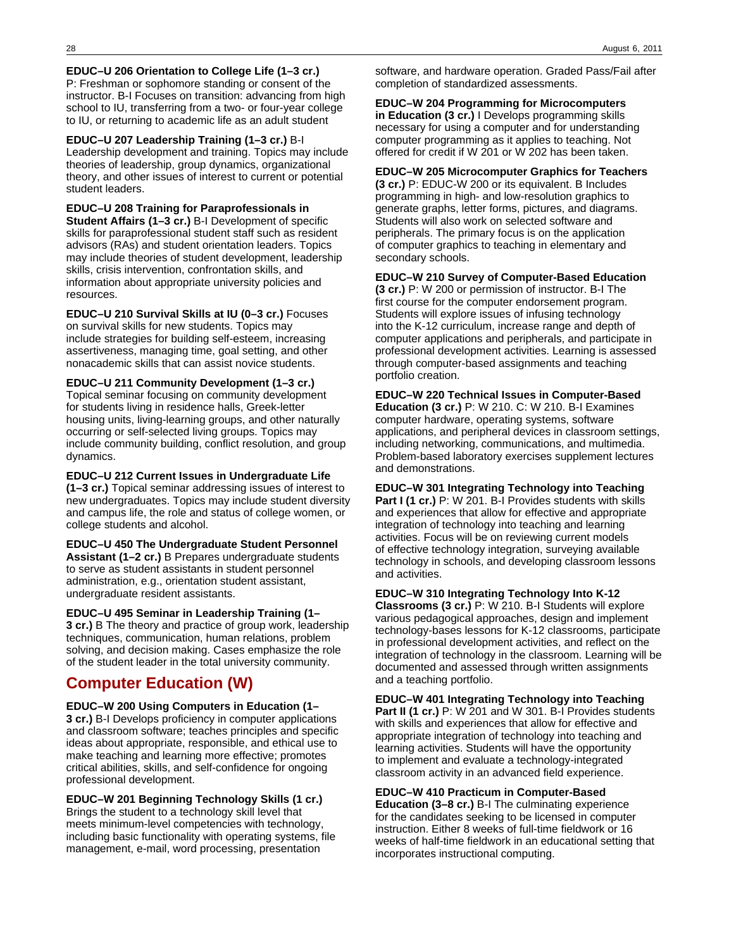**EDUC–U 206 Orientation to College Life (1–3 cr.)** P: Freshman or sophomore standing or consent of the instructor. B-I Focuses on transition: advancing from high school to IU, transferring from a two- or four-year college to IU, or returning to academic life as an adult student

**EDUC–U 207 Leadership Training (1–3 cr.)** B-I Leadership development and training. Topics may include theories of leadership, group dynamics, organizational theory, and other issues of interest to current or potential student leaders.

**EDUC–U 208 Training for Paraprofessionals in Student Affairs (1–3 cr.)** B-I Development of specific skills for paraprofessional student staff such as resident advisors (RAs) and student orientation leaders. Topics may include theories of student development, leadership skills, crisis intervention, confrontation skills, and information about appropriate university policies and resources.

**EDUC–U 210 Survival Skills at IU (0–3 cr.)** Focuses on survival skills for new students. Topics may include strategies for building self-esteem, increasing assertiveness, managing time, goal setting, and other nonacademic skills that can assist novice students.

**EDUC–U 211 Community Development (1–3 cr.)** Topical seminar focusing on community development for students living in residence halls, Greek-letter housing units, living-learning groups, and other naturally occurring or self-selected living groups. Topics may include community building, conflict resolution, and group dynamics.

**EDUC–U 212 Current Issues in Undergraduate Life (1–3 cr.)** Topical seminar addressing issues of interest to new undergraduates. Topics may include student diversity and campus life, the role and status of college women, or college students and alcohol.

**EDUC–U 450 The Undergraduate Student Personnel Assistant (1–2 cr.)** B Prepares undergraduate students to serve as student assistants in student personnel administration, e.g., orientation student assistant, undergraduate resident assistants.

**EDUC–U 495 Seminar in Leadership Training (1– 3 cr.)** B The theory and practice of group work, leadership techniques, communication, human relations, problem solving, and decision making. Cases emphasize the role of the student leader in the total university community.

# **Computer Education (W)**

**EDUC–W 200 Using Computers in Education (1– 3 cr.)** B-I Develops proficiency in computer applications and classroom software; teaches principles and specific ideas about appropriate, responsible, and ethical use to make teaching and learning more effective; promotes critical abilities, skills, and self-confidence for ongoing professional development.

**EDUC–W 201 Beginning Technology Skills (1 cr.)** Brings the student to a technology skill level that meets minimum-level competencies with technology, including basic functionality with operating systems, file management, e-mail, word processing, presentation

software, and hardware operation. Graded Pass/Fail after completion of standardized assessments.

**EDUC–W 204 Programming for Microcomputers in Education (3 cr.)** I Develops programming skills necessary for using a computer and for understanding computer programming as it applies to teaching. Not offered for credit if W 201 or W 202 has been taken.

**EDUC–W 205 Microcomputer Graphics for Teachers (3 cr.)** P: EDUC-W 200 or its equivalent. B Includes programming in high- and low-resolution graphics to generate graphs, letter forms, pictures, and diagrams. Students will also work on selected software and peripherals. The primary focus is on the application of computer graphics to teaching in elementary and secondary schools.

**EDUC–W 210 Survey of Computer-Based Education**

**(3 cr.)** P: W 200 or permission of instructor. B-I The first course for the computer endorsement program. Students will explore issues of infusing technology into the K-12 curriculum, increase range and depth of computer applications and peripherals, and participate in professional development activities. Learning is assessed through computer-based assignments and teaching portfolio creation.

**EDUC–W 220 Technical Issues in Computer-Based Education (3 cr.)** P: W 210. C: W 210. B-I Examines computer hardware, operating systems, software applications, and peripheral devices in classroom settings, including networking, communications, and multimedia. Problem-based laboratory exercises supplement lectures and demonstrations.

**EDUC–W 301 Integrating Technology into Teaching Part I (1 cr.)** P: W 201. B-I Provides students with skills and experiences that allow for effective and appropriate integration of technology into teaching and learning activities. Focus will be on reviewing current models of effective technology integration, surveying available technology in schools, and developing classroom lessons and activities.

**EDUC–W 310 Integrating Technology Into K-12**

**Classrooms (3 cr.)** P: W 210. B-I Students will explore various pedagogical approaches, design and implement technology-bases lessons for K-12 classrooms, participate in professional development activities, and reflect on the integration of technology in the classroom. Learning will be documented and assessed through written assignments and a teaching portfolio.

**EDUC–W 401 Integrating Technology into Teaching Part II (1 cr.)** P: W 201 and W 301. B-I Provides students with skills and experiences that allow for effective and appropriate integration of technology into teaching and learning activities. Students will have the opportunity to implement and evaluate a technology-integrated classroom activity in an advanced field experience.

### **EDUC–W 410 Practicum in Computer-Based**

**Education (3–8 cr.)** B-I The culminating experience for the candidates seeking to be licensed in computer instruction. Either 8 weeks of full-time fieldwork or 16 weeks of half-time fieldwork in an educational setting that incorporates instructional computing.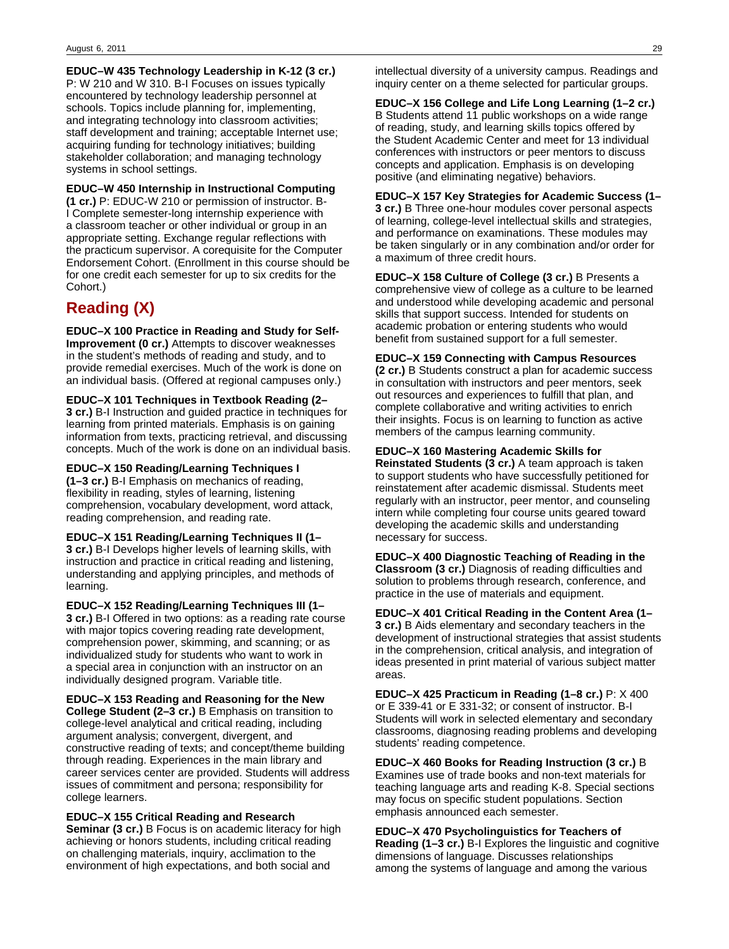**EDUC–W 435 Technology Leadership in K-12 (3 cr.)** P: W 210 and W 310. B-I Focuses on issues typically encountered by technology leadership personnel at schools. Topics include planning for, implementing, and integrating technology into classroom activities; staff development and training; acceptable Internet use; acquiring funding for technology initiatives; building stakeholder collaboration; and managing technology systems in school settings.

**EDUC–W 450 Internship in Instructional Computing (1 cr.)** P: EDUC-W 210 or permission of instructor. B-I Complete semester-long internship experience with a classroom teacher or other individual or group in an appropriate setting. Exchange regular reflections with the practicum supervisor. A corequisite for the Computer Endorsement Cohort. (Enrollment in this course should be for one credit each semester for up to six credits for the Cohort.)

# **Reading (X)**

**EDUC–X 100 Practice in Reading and Study for Self-Improvement (0 cr.)** Attempts to discover weaknesses in the student's methods of reading and study, and to provide remedial exercises. Much of the work is done on an individual basis. (Offered at regional campuses only.)

**EDUC–X 101 Techniques in Textbook Reading (2– 3 cr.)** B-I Instruction and guided practice in techniques for learning from printed materials. Emphasis is on gaining information from texts, practicing retrieval, and discussing concepts. Much of the work is done on an individual basis.

**EDUC–X 150 Reading/Learning Techniques I (1–3 cr.)** B-I Emphasis on mechanics of reading, flexibility in reading, styles of learning, listening comprehension, vocabulary development, word attack, reading comprehension, and reading rate.

**EDUC–X 151 Reading/Learning Techniques II (1– 3 cr.)** B-I Develops higher levels of learning skills, with instruction and practice in critical reading and listening, understanding and applying principles, and methods of learning.

**EDUC–X 152 Reading/Learning Techniques III (1– 3 cr.)** B-I Offered in two options: as a reading rate course with major topics covering reading rate development, comprehension power, skimming, and scanning; or as individualized study for students who want to work in a special area in conjunction with an instructor on an individually designed program. Variable title.

**EDUC–X 153 Reading and Reasoning for the New College Student (2–3 cr.)** B Emphasis on transition to college-level analytical and critical reading, including argument analysis; convergent, divergent, and constructive reading of texts; and concept/theme building through reading. Experiences in the main library and career services center are provided. Students will address issues of commitment and persona; responsibility for college learners.

**EDUC–X 155 Critical Reading and Research Seminar (3 cr.)** B Focus is on academic literacy for high achieving or honors students, including critical reading on challenging materials, inquiry, acclimation to the environment of high expectations, and both social and

intellectual diversity of a university campus. Readings and inquiry center on a theme selected for particular groups.

**EDUC–X 156 College and Life Long Learning (1–2 cr.)** B Students attend 11 public workshops on a wide range of reading, study, and learning skills topics offered by the Student Academic Center and meet for 13 individual conferences with instructors or peer mentors to discuss concepts and application. Emphasis is on developing positive (and eliminating negative) behaviors.

**EDUC–X 157 Key Strategies for Academic Success (1– 3 cr.)** B Three one-hour modules cover personal aspects of learning, college-level intellectual skills and strategies, and performance on examinations. These modules may be taken singularly or in any combination and/or order for a maximum of three credit hours.

**EDUC–X 158 Culture of College (3 cr.)** B Presents a comprehensive view of college as a culture to be learned and understood while developing academic and personal skills that support success. Intended for students on academic probation or entering students who would benefit from sustained support for a full semester.

**EDUC–X 159 Connecting with Campus Resources (2 cr.)** B Students construct a plan for academic success in consultation with instructors and peer mentors, seek out resources and experiences to fulfill that plan, and complete collaborative and writing activities to enrich their insights. Focus is on learning to function as active members of the campus learning community.

**EDUC–X 160 Mastering Academic Skills for Reinstated Students (3 cr.)** A team approach is taken to support students who have successfully petitioned for reinstatement after academic dismissal. Students meet regularly with an instructor, peer mentor, and counseling intern while completing four course units geared toward developing the academic skills and understanding necessary for success.

**EDUC–X 400 Diagnostic Teaching of Reading in the Classroom (3 cr.)** Diagnosis of reading difficulties and solution to problems through research, conference, and practice in the use of materials and equipment.

**EDUC–X 401 Critical Reading in the Content Area (1– 3 cr.)** B Aids elementary and secondary teachers in the development of instructional strategies that assist students in the comprehension, critical analysis, and integration of ideas presented in print material of various subject matter areas.

**EDUC–X 425 Practicum in Reading (1–8 cr.)** P: X 400 or E 339-41 or E 331-32; or consent of instructor. B-I Students will work in selected elementary and secondary classrooms, diagnosing reading problems and developing students' reading competence.

**EDUC–X 460 Books for Reading Instruction (3 cr.)** B Examines use of trade books and non-text materials for teaching language arts and reading K-8. Special sections may focus on specific student populations. Section emphasis announced each semester.

**EDUC–X 470 Psycholinguistics for Teachers of Reading (1–3 cr.)** B-I Explores the linguistic and cognitive dimensions of language. Discusses relationships among the systems of language and among the various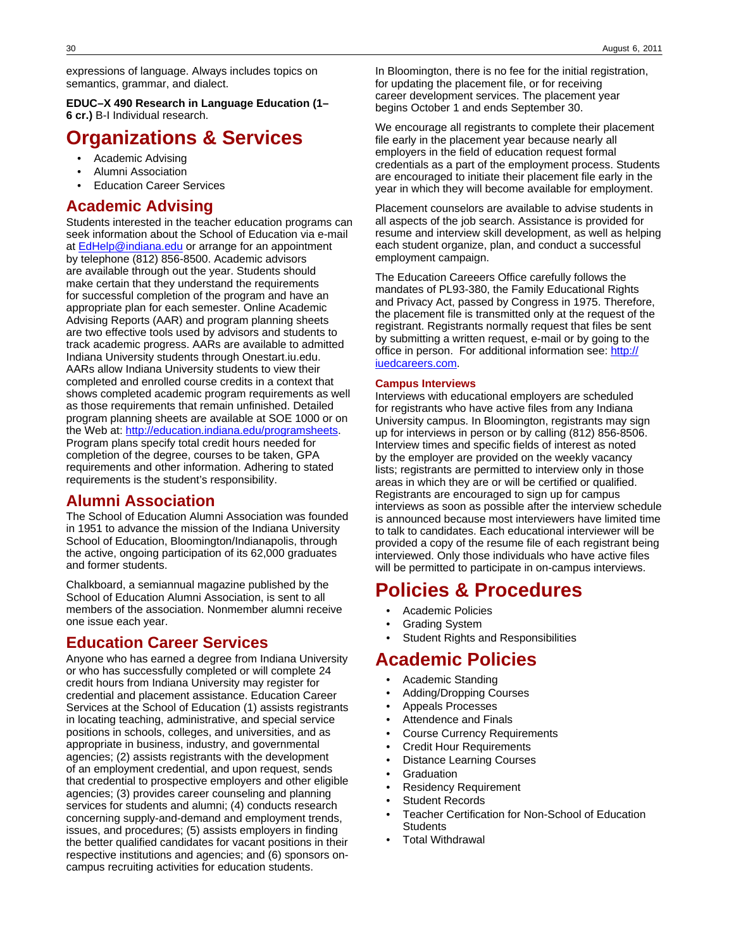expressions of language. Always includes topics on semantics, grammar, and dialect.

**EDUC–X 490 Research in Language Education (1– 6 cr.)** B-I Individual research.

# **Organizations & Services**

- Academic Advising
- Alumni Association
- Education Career Services

## **Academic Advising**

Students interested in the teacher education programs can seek information about the School of Education via e-mail at [EdHelp@indiana.edu](mailto:EdHelp@indiana.edu) or arrange for an appointment by telephone (812) 856-8500. Academic advisors are available through out the year. Students should make certain that they understand the requirements for successful completion of the program and have an appropriate plan for each semester. Online Academic Advising Reports (AAR) and program planning sheets are two effective tools used by advisors and students to track academic progress. AARs are available to admitted Indiana University students through Onestart.iu.edu. AARs allow Indiana University students to view their completed and enrolled course credits in a context that shows completed academic program requirements as well as those requirements that remain unfinished. Detailed program planning sheets are available at SOE 1000 or on the Web at: [http://education.indiana.edu/programsheets.](http://education.indiana.edu/programsheets) Program plans specify total credit hours needed for completion of the degree, courses to be taken, GPA requirements and other information. Adhering to stated requirements is the student's responsibility.

## **Alumni Association**

The School of Education Alumni Association was founded in 1951 to advance the mission of the Indiana University School of Education, Bloomington/Indianapolis, through the active, ongoing participation of its 62,000 graduates and former students.

Chalkboard, a semiannual magazine published by the School of Education Alumni Association, is sent to all members of the association. Nonmember alumni receive one issue each year.

## **Education Career Services**

Anyone who has earned a degree from Indiana University or who has successfully completed or will complete 24 credit hours from Indiana University may register for credential and placement assistance. Education Career Services at the School of Education (1) assists registrants in locating teaching, administrative, and special service positions in schools, colleges, and universities, and as appropriate in business, industry, and governmental agencies; (2) assists registrants with the development of an employment credential, and upon request, sends that credential to prospective employers and other eligible agencies; (3) provides career counseling and planning services for students and alumni; (4) conducts research concerning supply-and-demand and employment trends, issues, and procedures; (5) assists employers in finding the better qualified candidates for vacant positions in their respective institutions and agencies; and (6) sponsors oncampus recruiting activities for education students.

In Bloomington, there is no fee for the initial registration, for updating the placement file, or for receiving career development services. The placement year begins October 1 and ends September 30.

We encourage all registrants to complete their placement file early in the placement year because nearly all employers in the field of education request formal credentials as a part of the employment process. Students are encouraged to initiate their placement file early in the year in which they will become available for employment.

Placement counselors are available to advise students in all aspects of the job search. Assistance is provided for resume and interview skill development, as well as helping each student organize, plan, and conduct a successful employment campaign.

The Education Careeers Office carefully follows the mandates of PL93-380, the Family Educational Rights and Privacy Act, passed by Congress in 1975. Therefore, the placement file is transmitted only at the request of the registrant. Registrants normally request that files be sent by submitting a written request, e-mail or by going to the office in person. For additional information see: [http://](http://iuedcareers.com) [iuedcareers.com.](http://iuedcareers.com)

#### **Campus Interviews**

Interviews with educational employers are scheduled for registrants who have active files from any Indiana University campus. In Bloomington, registrants may sign up for interviews in person or by calling (812) 856-8506. Interview times and specific fields of interest as noted by the employer are provided on the weekly vacancy lists; registrants are permitted to interview only in those areas in which they are or will be certified or qualified. Registrants are encouraged to sign up for campus interviews as soon as possible after the interview schedule is announced because most interviewers have limited time to talk to candidates. Each educational interviewer will be provided a copy of the resume file of each registrant being interviewed. Only those individuals who have active files will be permitted to participate in on-campus interviews.

# **Policies & Procedures**

- Academic Policies
- Grading System
- Student Rights and Responsibilities

# **Academic Policies**

- Academic Standing
- Adding/Dropping Courses
- Appeals Processes
- Attendence and Finals
- Course Currency Requirements
- Credit Hour Requirements
- Distance Learning Courses
- **Graduation**
- Residency Requirement
- Student Records
- Teacher Certification for Non-School of Education **Students**
- Total Withdrawal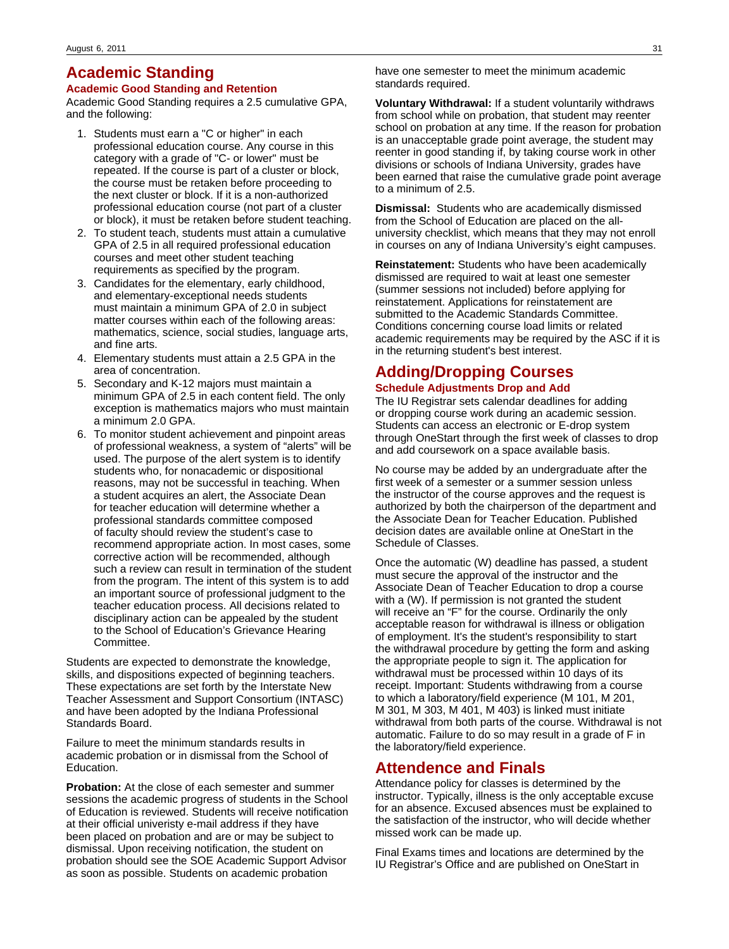# **Academic Standing**

#### **Academic Good Standing and Retention**

Academic Good Standing requires a 2.5 cumulative GPA, and the following:

- 1. Students must earn a "C or higher" in each professional education course. Any course in this category with a grade of "C- or lower" must be repeated. If the course is part of a cluster or block, the course must be retaken before proceeding to the next cluster or block. If it is a non-authorized professional education course (not part of a cluster or block), it must be retaken before student teaching.
- 2. To student teach, students must attain a cumulative GPA of 2.5 in all required professional education courses and meet other student teaching requirements as specified by the program.
- 3. Candidates for the elementary, early childhood, and elementary-exceptional needs students must maintain a minimum GPA of 2.0 in subject matter courses within each of the following areas: mathematics, science, social studies, language arts, and fine arts.
- 4. Elementary students must attain a 2.5 GPA in the area of concentration.
- 5. Secondary and K-12 majors must maintain a minimum GPA of 2.5 in each content field. The only exception is mathematics majors who must maintain a minimum 2.0 GPA.
- 6. To monitor student achievement and pinpoint areas of professional weakness, a system of "alerts" will be used. The purpose of the alert system is to identify students who, for nonacademic or dispositional reasons, may not be successful in teaching. When a student acquires an alert, the Associate Dean for teacher education will determine whether a professional standards committee composed of faculty should review the student's case to recommend appropriate action. In most cases, some corrective action will be recommended, although such a review can result in termination of the student from the program. The intent of this system is to add an important source of professional judgment to the teacher education process. All decisions related to disciplinary action can be appealed by the student to the School of Education's Grievance Hearing Committee.

Students are expected to demonstrate the knowledge, skills, and dispositions expected of beginning teachers. These expectations are set forth by the Interstate New Teacher Assessment and Support Consortium (INTASC) and have been adopted by the Indiana Professional Standards Board.

Failure to meet the minimum standards results in academic probation or in dismissal from the School of Education.

**Probation:** At the close of each semester and summer sessions the academic progress of students in the School of Education is reviewed. Students will receive notification at their official univeristy e-mail address if they have been placed on probation and are or may be subject to dismissal. Upon receiving notification, the student on probation should see the SOE Academic Support Advisor as soon as possible. Students on academic probation

have one semester to meet the minimum academic standards required.

**Voluntary Withdrawal:** If a student voluntarily withdraws from school while on probation, that student may reenter school on probation at any time. If the reason for probation is an unacceptable grade point average, the student may reenter in good standing if, by taking course work in other divisions or schools of Indiana University, grades have been earned that raise the cumulative grade point average to a minimum of 2.5.

**Dismissal:** Students who are academically dismissed from the School of Education are placed on the alluniversity checklist, which means that they may not enroll in courses on any of Indiana University's eight campuses.

**Reinstatement:** Students who have been academically dismissed are required to wait at least one semester (summer sessions not included) before applying for reinstatement. Applications for reinstatement are submitted to the Academic Standards Committee. Conditions concerning course load limits or related academic requirements may be required by the ASC if it is in the returning student's best interest.

# **Adding/Dropping Courses**

### **Schedule Adjustments Drop and Add**

The IU Registrar sets calendar deadlines for adding or dropping course work during an academic session. Students can access an electronic or E-drop system through OneStart through the first week of classes to drop and add coursework on a space available basis.

No course may be added by an undergraduate after the first week of a semester or a summer session unless the instructor of the course approves and the request is authorized by both the chairperson of the department and the Associate Dean for Teacher Education. Published decision dates are available online at OneStart in the Schedule of Classes.

Once the automatic (W) deadline has passed, a student must secure the approval of the instructor and the Associate Dean of Teacher Education to drop a course with a (W). If permission is not granted the student will receive an "F" for the course. Ordinarily the only acceptable reason for withdrawal is illness or obligation of employment. It's the student's responsibility to start the withdrawal procedure by getting the form and asking the appropriate people to sign it. The application for withdrawal must be processed within 10 days of its receipt. Important: Students withdrawing from a course to which a laboratory/field experience (M 101, M 201, M 301, M 303, M 401, M 403) is linked must initiate withdrawal from both parts of the course. Withdrawal is not automatic. Failure to do so may result in a grade of F in the laboratory/field experience.

## **Attendence and Finals**

Attendance policy for classes is determined by the instructor. Typically, illness is the only acceptable excuse for an absence. Excused absences must be explained to the satisfaction of the instructor, who will decide whether missed work can be made up.

Final Exams times and locations are determined by the IU Registrar's Office and are published on OneStart in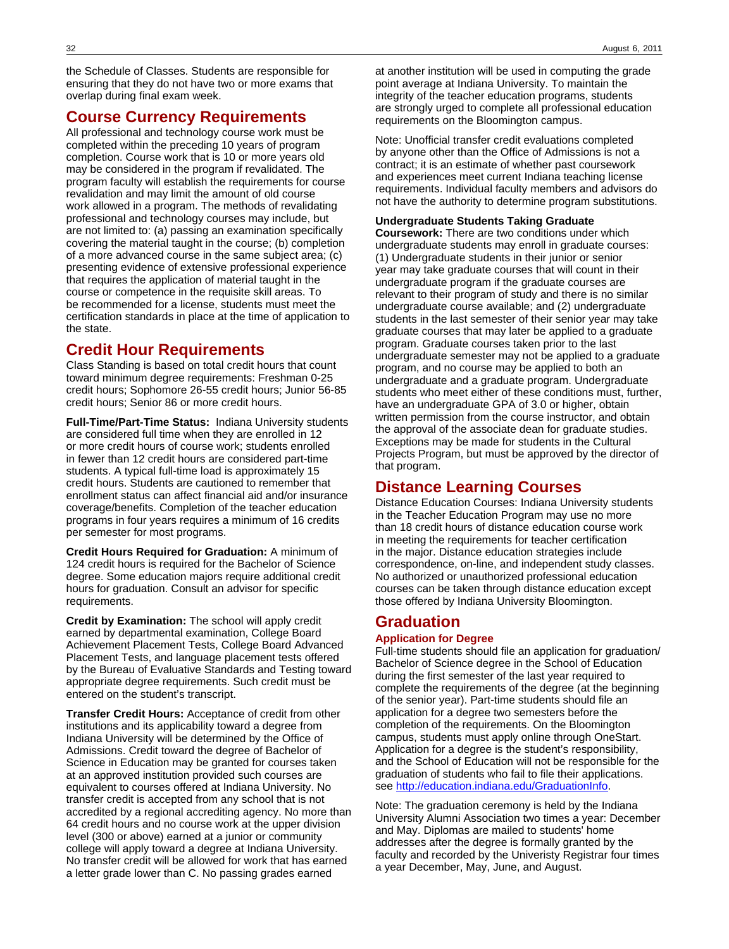the Schedule of Classes. Students are responsible for ensuring that they do not have two or more exams that overlap during final exam week.

## **Course Currency Requirements**

All professional and technology course work must be completed within the preceding 10 years of program completion. Course work that is 10 or more years old may be considered in the program if revalidated. The program faculty will establish the requirements for course revalidation and may limit the amount of old course work allowed in a program. The methods of revalidating professional and technology courses may include, but are not limited to: (a) passing an examination specifically covering the material taught in the course; (b) completion of a more advanced course in the same subject area; (c) presenting evidence of extensive professional experience that requires the application of material taught in the course or competence in the requisite skill areas. To be recommended for a license, students must meet the certification standards in place at the time of application to the state.

## **Credit Hour Requirements**

Class Standing is based on total credit hours that count toward minimum degree requirements: Freshman 0-25 credit hours; Sophomore 26-55 credit hours; Junior 56-85 credit hours; Senior 86 or more credit hours.

**Full-Time/Part-Time Status:** Indiana University students are considered full time when they are enrolled in 12 or more credit hours of course work; students enrolled in fewer than 12 credit hours are considered part-time students. A typical full-time load is approximately 15 credit hours. Students are cautioned to remember that enrollment status can affect financial aid and/or insurance coverage/benefits. Completion of the teacher education programs in four years requires a minimum of 16 credits per semester for most programs.

**Credit Hours Required for Graduation:** A minimum of 124 credit hours is required for the Bachelor of Science degree. Some education majors require additional credit hours for graduation. Consult an advisor for specific requirements.

**Credit by Examination:** The school will apply credit earned by departmental examination, College Board Achievement Placement Tests, College Board Advanced Placement Tests, and language placement tests offered by the Bureau of Evaluative Standards and Testing toward appropriate degree requirements. Such credit must be entered on the student's transcript.

**Transfer Credit Hours:** Acceptance of credit from other institutions and its applicability toward a degree from Indiana University will be determined by the Office of Admissions. Credit toward the degree of Bachelor of Science in Education may be granted for courses taken at an approved institution provided such courses are equivalent to courses offered at Indiana University. No transfer credit is accepted from any school that is not accredited by a regional accrediting agency. No more than 64 credit hours and no course work at the upper division level (300 or above) earned at a junior or community college will apply toward a degree at Indiana University. No transfer credit will be allowed for work that has earned a letter grade lower than C. No passing grades earned

at another institution will be used in computing the grade point average at Indiana University. To maintain the integrity of the teacher education programs, students are strongly urged to complete all professional education requirements on the Bloomington campus.

Note: Unofficial transfer credit evaluations completed by anyone other than the Office of Admissions is not a contract; it is an estimate of whether past coursework and experiences meet current Indiana teaching license requirements. Individual faculty members and advisors do not have the authority to determine program substitutions.

#### **Undergraduate Students Taking Graduate**

**Coursework:** There are two conditions under which undergraduate students may enroll in graduate courses: (1) Undergraduate students in their junior or senior year may take graduate courses that will count in their undergraduate program if the graduate courses are relevant to their program of study and there is no similar undergraduate course available; and (2) undergraduate students in the last semester of their senior year may take graduate courses that may later be applied to a graduate program. Graduate courses taken prior to the last undergraduate semester may not be applied to a graduate program, and no course may be applied to both an undergraduate and a graduate program. Undergraduate students who meet either of these conditions must, further, have an undergraduate GPA of 3.0 or higher, obtain written permission from the course instructor, and obtain the approval of the associate dean for graduate studies. Exceptions may be made for students in the Cultural Projects Program, but must be approved by the director of that program.

## **Distance Learning Courses**

Distance Education Courses: Indiana University students in the Teacher Education Program may use no more than 18 credit hours of distance education course work in meeting the requirements for teacher certification in the major. Distance education strategies include correspondence, on-line, and independent study classes. No authorized or unauthorized professional education courses can be taken through distance education except those offered by Indiana University Bloomington.

# **Graduation**

#### **Application for Degree**

Full-time students should file an application for graduation/ Bachelor of Science degree in the School of Education during the first semester of the last year required to complete the requirements of the degree (at the beginning of the senior year). Part-time students should file an application for a degree two semesters before the completion of the requirements. On the Bloomington campus, students must apply online through OneStart. Application for a degree is the student's responsibility, and the School of Education will not be responsible for the graduation of students who fail to file their applications. see [http://education.indiana.edu/GraduationInfo.](http://education.indiana.edu/GraduationInfo)

Note: The graduation ceremony is held by the Indiana University Alumni Association two times a year: December and May. Diplomas are mailed to students' home addresses after the degree is formally granted by the faculty and recorded by the Univeristy Registrar four times a year December, May, June, and August.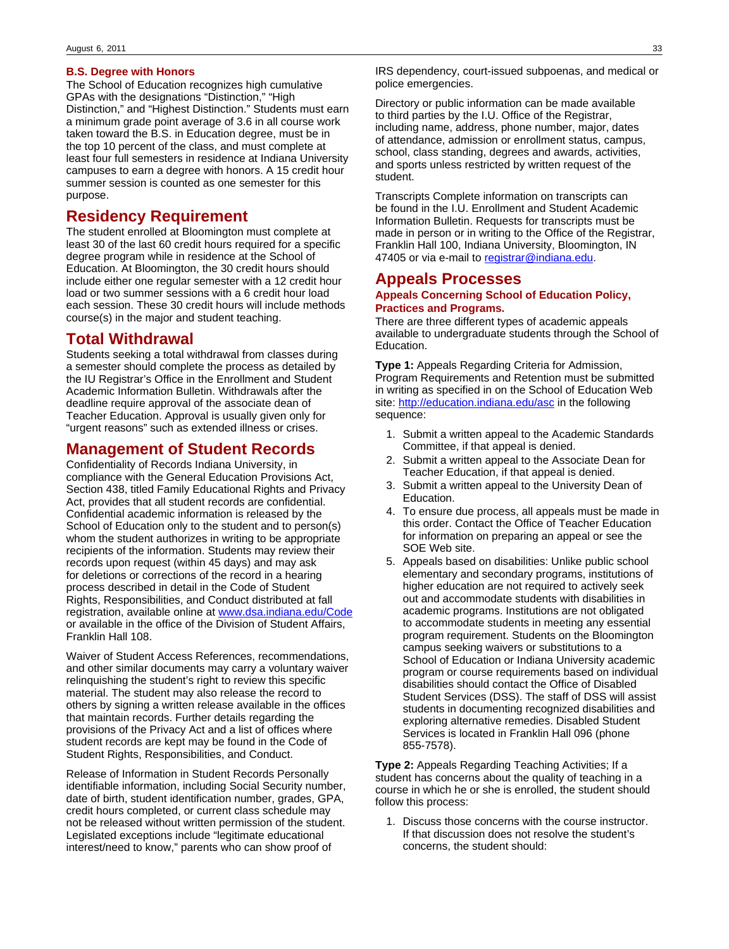#### **B.S. Degree with Honors**

The School of Education recognizes high cumulative GPAs with the designations "Distinction," "High Distinction," and "Highest Distinction." Students must earn a minimum grade point average of 3.6 in all course work taken toward the B.S. in Education degree, must be in the top 10 percent of the class, and must complete at least four full semesters in residence at Indiana University campuses to earn a degree with honors. A 15 credit hour summer session is counted as one semester for this purpose.

### **Residency Requirement**

The student enrolled at Bloomington must complete at least 30 of the last 60 credit hours required for a specific degree program while in residence at the School of Education. At Bloomington, the 30 credit hours should include either one regular semester with a 12 credit hour load or two summer sessions with a 6 credit hour load each session. These 30 credit hours will include methods course(s) in the major and student teaching.

### **Total Withdrawal**

Students seeking a total withdrawal from classes during a semester should complete the process as detailed by the IU Registrar's Office in the Enrollment and Student Academic Information Bulletin. Withdrawals after the deadline require approval of the associate dean of Teacher Education. Approval is usually given only for "urgent reasons" such as extended illness or crises.

### **Management of Student Records**

Confidentiality of Records Indiana University, in compliance with the General Education Provisions Act, Section 438, titled Family Educational Rights and Privacy Act, provides that all student records are confidential. Confidential academic information is released by the School of Education only to the student and to person(s) whom the student authorizes in writing to be appropriate recipients of the information. Students may review their records upon request (within 45 days) and may ask for deletions or corrections of the record in a hearing process described in detail in the Code of Student Rights, Responsibilities, and Conduct distributed at fall registration, available online at [www.dsa.indiana.edu/Code](http://www.dsa.indiana.edu/Code) or available in the office of the Division of Student Affairs, Franklin Hall 108.

Waiver of Student Access References, recommendations, and other similar documents may carry a voluntary waiver relinquishing the student's right to review this specific material. The student may also release the record to others by signing a written release available in the offices that maintain records. Further details regarding the provisions of the Privacy Act and a list of offices where student records are kept may be found in the Code of Student Rights, Responsibilities, and Conduct.

Release of Information in Student Records Personally identifiable information, including Social Security number, date of birth, student identification number, grades, GPA, credit hours completed, or current class schedule may not be released without written permission of the student. Legislated exceptions include "legitimate educational interest/need to know," parents who can show proof of

IRS dependency, court-issued subpoenas, and medical or police emergencies.

Directory or public information can be made available to third parties by the I.U. Office of the Registrar, including name, address, phone number, major, dates of attendance, admission or enrollment status, campus, school, class standing, degrees and awards, activities, and sports unless restricted by written request of the student.

Transcripts Complete information on transcripts can be found in the I.U. Enrollment and Student Academic Information Bulletin. Requests for transcripts must be made in person or in writing to the Office of the Registrar, Franklin Hall 100, Indiana University, Bloomington, IN 47405 or via e-mail to [registrar@indiana.edu.](mailto:registrar@indiana.edu)

### **Appeals Processes**

#### **Appeals Concerning School of Education Policy, Practices and Programs.**

There are three different types of academic appeals available to undergraduate students through the School of Education.

**Type 1:** Appeals Regarding Criteria for Admission, Program Requirements and Retention must be submitted in writing as specified in on the School of Education Web site:<http://education.indiana.edu/asc> in the following sequence:

- 1. Submit a written appeal to the Academic Standards Committee, if that appeal is denied.
- 2. Submit a written appeal to the Associate Dean for Teacher Education, if that appeal is denied.
- 3. Submit a written appeal to the University Dean of Education.
- 4. To ensure due process, all appeals must be made in this order. Contact the Office of Teacher Education for information on preparing an appeal or see the SOE Web site.
- 5. Appeals based on disabilities: Unlike public school elementary and secondary programs, institutions of higher education are not required to actively seek out and accommodate students with disabilities in academic programs. Institutions are not obligated to accommodate students in meeting any essential program requirement. Students on the Bloomington campus seeking waivers or substitutions to a School of Education or Indiana University academic program or course requirements based on individual disabilities should contact the Office of Disabled Student Services (DSS). The staff of DSS will assist students in documenting recognized disabilities and exploring alternative remedies. Disabled Student Services is located in Franklin Hall 096 (phone 855-7578).

**Type 2:** Appeals Regarding Teaching Activities; If a student has concerns about the quality of teaching in a course in which he or she is enrolled, the student should follow this process:

1. Discuss those concerns with the course instructor. If that discussion does not resolve the student's concerns, the student should: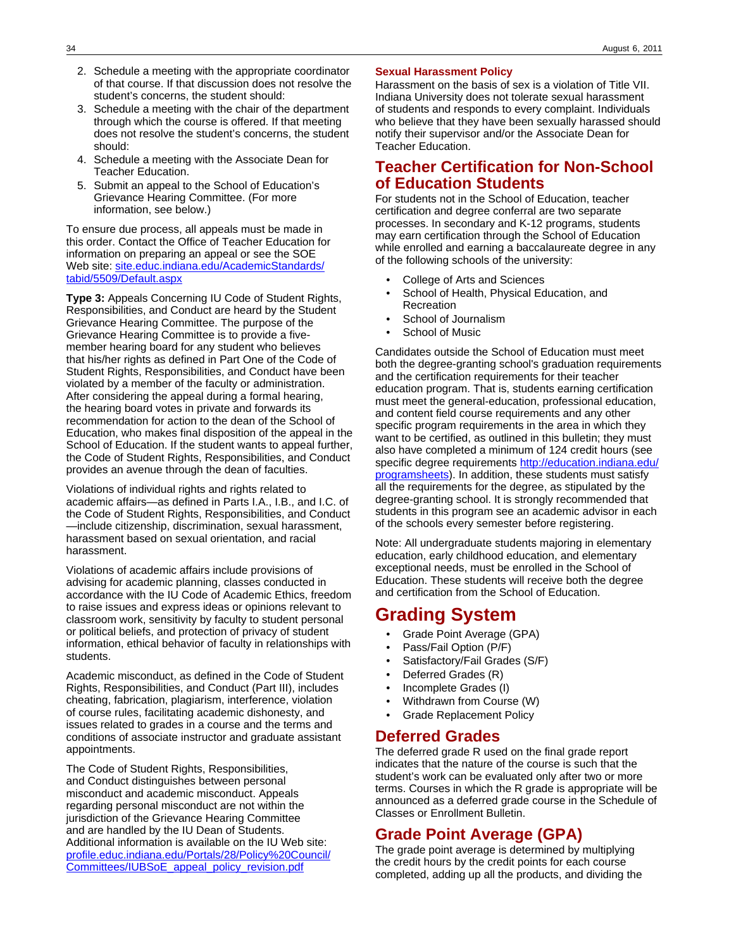- 2. Schedule a meeting with the appropriate coordinator of that course. If that discussion does not resolve the student's concerns, the student should:
- 3. Schedule a meeting with the chair of the department through which the course is offered. If that meeting does not resolve the student's concerns, the student should:
- 4. Schedule a meeting with the Associate Dean for Teacher Education.
- 5. Submit an appeal to the School of Education's Grievance Hearing Committee. (For more information, see below.)

To ensure due process, all appeals must be made in this order. Contact the Office of Teacher Education for information on preparing an appeal or see the SOE Web site: [site.educ.indiana.edu/AcademicStandards/](http://site.educ.indiana.edu/AcademicStandards/tabid/5509/Default.aspx) [tabid/5509/Default.aspx](http://site.educ.indiana.edu/AcademicStandards/tabid/5509/Default.aspx)

**Type 3:** Appeals Concerning IU Code of Student Rights, Responsibilities, and Conduct are heard by the Student Grievance Hearing Committee. The purpose of the Grievance Hearing Committee is to provide a fivemember hearing board for any student who believes that his/her rights as defined in Part One of the Code of Student Rights, Responsibilities, and Conduct have been violated by a member of the faculty or administration. After considering the appeal during a formal hearing, the hearing board votes in private and forwards its recommendation for action to the dean of the School of Education, who makes final disposition of the appeal in the School of Education. If the student wants to appeal further, the Code of Student Rights, Responsibilities, and Conduct provides an avenue through the dean of faculties.

Violations of individual rights and rights related to academic affairs—as defined in Parts I.A., I.B., and I.C. of the Code of Student Rights, Responsibilities, and Conduct —include citizenship, discrimination, sexual harassment, harassment based on sexual orientation, and racial harassment.

Violations of academic affairs include provisions of advising for academic planning, classes conducted in accordance with the IU Code of Academic Ethics, freedom to raise issues and express ideas or opinions relevant to classroom work, sensitivity by faculty to student personal or political beliefs, and protection of privacy of student information, ethical behavior of faculty in relationships with students.

Academic misconduct, as defined in the Code of Student Rights, Responsibilities, and Conduct (Part III), includes cheating, fabrication, plagiarism, interference, violation of course rules, facilitating academic dishonesty, and issues related to grades in a course and the terms and conditions of associate instructor and graduate assistant appointments.

The Code of Student Rights, Responsibilities, and Conduct distinguishes between personal misconduct and academic misconduct. Appeals regarding personal misconduct are not within the jurisdiction of the Grievance Hearing Committee and are handled by the IU Dean of Students. Additional information is available on the IU Web site: [profile.educ.indiana.edu/Portals/28/Policy%20Council/](http://profile.educ.indiana.edu/Portals/28/Policy Council/Committees/IUBSoE_appeal_policy_revision.pdf) [Committees/IUBSoE\\_appeal\\_policy\\_revision.pdf](http://profile.educ.indiana.edu/Portals/28/Policy Council/Committees/IUBSoE_appeal_policy_revision.pdf)

#### **Sexual Harassment Policy**

Harassment on the basis of sex is a violation of Title VII. Indiana University does not tolerate sexual harassment of students and responds to every complaint. Individuals who believe that they have been sexually harassed should notify their supervisor and/or the Associate Dean for Teacher Education.

## **Teacher Certification for Non-School of Education Students**

For students not in the School of Education, teacher certification and degree conferral are two separate processes. In secondary and K-12 programs, students may earn certification through the School of Education while enrolled and earning a baccalaureate degree in any of the following schools of the university:

- College of Arts and Sciences
- School of Health, Physical Education, and Recreation
- School of Journalism
- School of Music

Candidates outside the School of Education must meet both the degree-granting school's graduation requirements and the certification requirements for their teacher education program. That is, students earning certification must meet the general-education, professional education, and content field course requirements and any other specific program requirements in the area in which they want to be certified, as outlined in this bulletin; they must also have completed a minimum of 124 credit hours (see specific degree requirements [http://education.indiana.edu/](http://education.indiana.edu/programsheets) [programsheets](http://education.indiana.edu/programsheets)). In addition, these students must satisfy all the requirements for the degree, as stipulated by the degree-granting school. It is strongly recommended that students in this program see an academic advisor in each of the schools every semester before registering.

Note: All undergraduate students majoring in elementary education, early childhood education, and elementary exceptional needs, must be enrolled in the School of Education. These students will receive both the degree and certification from the School of Education.

# **Grading System**

- Grade Point Average (GPA)
- Pass/Fail Option (P/F)
- Satisfactory/Fail Grades (S/F)
- Deferred Grades (R)
- Incomplete Grades (I)
- Withdrawn from Course (W)
- Grade Replacement Policy

### **Deferred Grades**

The deferred grade R used on the final grade report indicates that the nature of the course is such that the student's work can be evaluated only after two or more terms. Courses in which the R grade is appropriate will be announced as a deferred grade course in the Schedule of Classes or Enrollment Bulletin.

## **Grade Point Average (GPA)**

The grade point average is determined by multiplying the credit hours by the credit points for each course completed, adding up all the products, and dividing the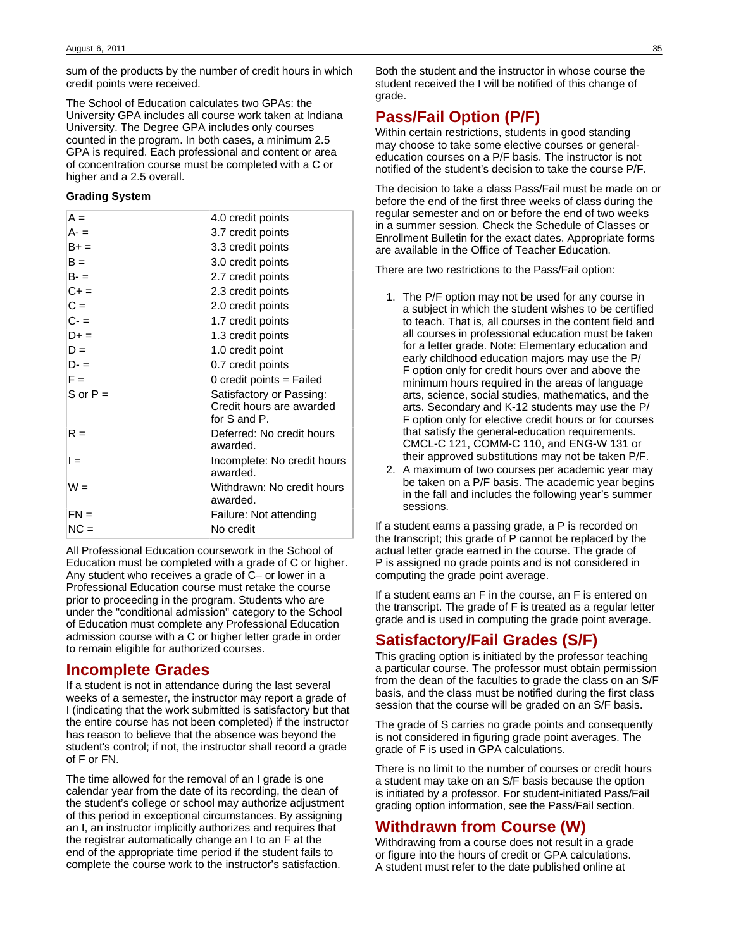sum of the products by the number of credit hours in which credit points were received.

The School of Education calculates two GPAs: the University GPA includes all course work taken at Indiana University. The Degree GPA includes only courses counted in the program. In both cases, a minimum 2.5 GPA is required. Each professional and content or area of concentration course must be completed with a C or higher and a 2.5 overall.

#### **Grading System**

| $A =$      | 4.0 credit points                                                         |
|------------|---------------------------------------------------------------------------|
| A- =       | 3.7 credit points                                                         |
| B+ =       | 3.3 credit points                                                         |
| $B =$      | 3.0 credit points                                                         |
| B- =       | 2.7 credit points                                                         |
| $C + =$    | 2.3 credit points                                                         |
| $C =$      | 2.0 credit points                                                         |
| C- =       | 1.7 credit points                                                         |
| $D+ =$     | 1.3 credit points                                                         |
| $D =$      | 1.0 credit point                                                          |
| D- =       | 0.7 credit points                                                         |
| $F =$      | 0 credit points $=$ Failed                                                |
| S or $P =$ | Satisfactory or Passing:<br>Credit hours are awarded<br>for $S$ and $P$ . |
| $R =$      | Deferred: No credit hours<br>awarded.                                     |
| $l =$      | Incomplete: No credit hours<br>awarded.                                   |
| W =        | Withdrawn: No credit hours<br>awarded.                                    |
| $FN =$     | Failure: Not attending                                                    |
| $NC =$     | No credit                                                                 |
|            |                                                                           |

All Professional Education coursework in the School of Education must be completed with a grade of C or higher. Any student who receives a grade of C– or lower in a Professional Education course must retake the course prior to proceeding in the program. Students who are under the "conditional admission" category to the School of Education must complete any Professional Education admission course with a C or higher letter grade in order to remain eligible for authorized courses.

### **Incomplete Grades**

If a student is not in attendance during the last several weeks of a semester, the instructor may report a grade of I (indicating that the work submitted is satisfactory but that the entire course has not been completed) if the instructor has reason to believe that the absence was beyond the student's control; if not, the instructor shall record a grade of F or FN.

The time allowed for the removal of an I grade is one calendar year from the date of its recording, the dean of the student's college or school may authorize adjustment of this period in exceptional circumstances. By assigning an I, an instructor implicitly authorizes and requires that the registrar automatically change an I to an F at the end of the appropriate time period if the student fails to complete the course work to the instructor's satisfaction.

Both the student and the instructor in whose course the student received the I will be notified of this change of grade.

## **Pass/Fail Option (P/F)**

Within certain restrictions, students in good standing may choose to take some elective courses or generaleducation courses on a P/F basis. The instructor is not notified of the student's decision to take the course P/F.

The decision to take a class Pass/Fail must be made on or before the end of the first three weeks of class during the regular semester and on or before the end of two weeks in a summer session. Check the Schedule of Classes or Enrollment Bulletin for the exact dates. Appropriate forms are available in the Office of Teacher Education.

There are two restrictions to the Pass/Fail option:

- 1. The P/F option may not be used for any course in a subject in which the student wishes to be certified to teach. That is, all courses in the content field and all courses in professional education must be taken for a letter grade. Note: Elementary education and early childhood education majors may use the P/ F option only for credit hours over and above the minimum hours required in the areas of language arts, science, social studies, mathematics, and the arts. Secondary and K-12 students may use the P/ F option only for elective credit hours or for courses that satisfy the general-education requirements. CMCL-C 121, COMM-C 110, and ENG-W 131 or their approved substitutions may not be taken P/F.
- 2. A maximum of two courses per academic year may be taken on a P/F basis. The academic year begins in the fall and includes the following year's summer sessions.

If a student earns a passing grade, a P is recorded on the transcript; this grade of P cannot be replaced by the actual letter grade earned in the course. The grade of P is assigned no grade points and is not considered in computing the grade point average.

If a student earns an F in the course, an F is entered on the transcript. The grade of F is treated as a regular letter grade and is used in computing the grade point average.

## **Satisfactory/Fail Grades (S/F)**

This grading option is initiated by the professor teaching a particular course. The professor must obtain permission from the dean of the faculties to grade the class on an S/F basis, and the class must be notified during the first class session that the course will be graded on an S/F basis.

The grade of S carries no grade points and consequently is not considered in figuring grade point averages. The grade of F is used in GPA calculations.

There is no limit to the number of courses or credit hours a student may take on an S/F basis because the option is initiated by a professor. For student-initiated Pass/Fail grading option information, see the Pass/Fail section.

### **Withdrawn from Course (W)**

Withdrawing from a course does not result in a grade or figure into the hours of credit or GPA calculations. A student must refer to the date published online at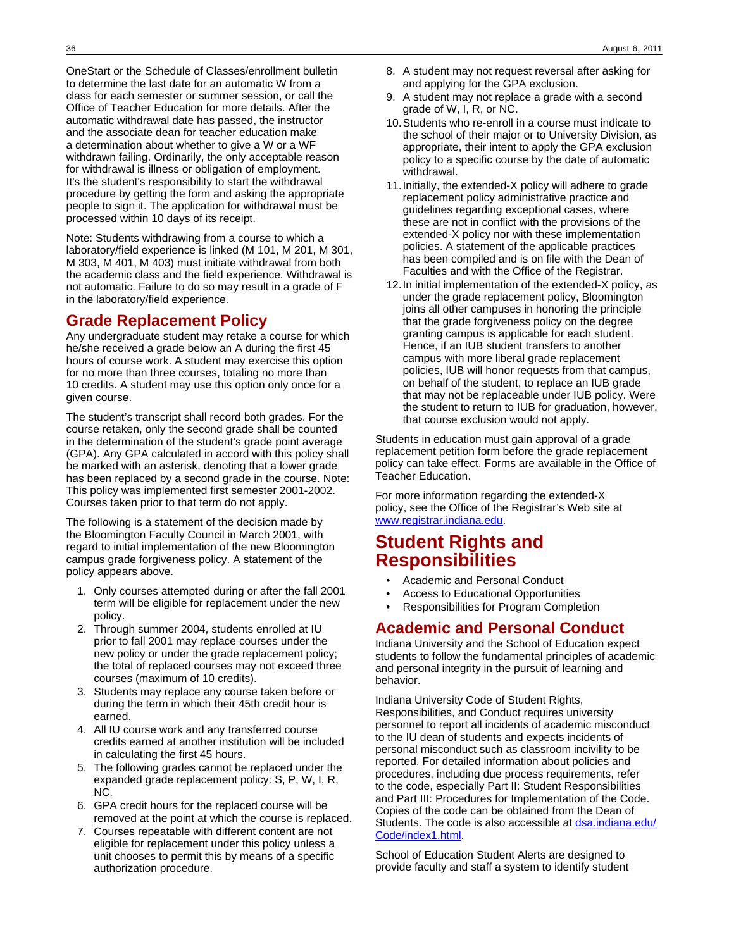OneStart or the Schedule of Classes/enrollment bulletin to determine the last date for an automatic W from a class for each semester or summer session, or call the Office of Teacher Education for more details. After the automatic withdrawal date has passed, the instructor and the associate dean for teacher education make a determination about whether to give a W or a WF withdrawn failing. Ordinarily, the only acceptable reason for withdrawal is illness or obligation of employment. It's the student's responsibility to start the withdrawal procedure by getting the form and asking the appropriate people to sign it. The application for withdrawal must be processed within 10 days of its receipt.

Note: Students withdrawing from a course to which a laboratory/field experience is linked (M 101, M 201, M 301, M 303, M 401, M 403) must initiate withdrawal from both the academic class and the field experience. Withdrawal is not automatic. Failure to do so may result in a grade of F in the laboratory/field experience.

# **Grade Replacement Policy**

Any undergraduate student may retake a course for which he/she received a grade below an A during the first 45 hours of course work. A student may exercise this option for no more than three courses, totaling no more than 10 credits. A student may use this option only once for a given course.

The student's transcript shall record both grades. For the course retaken, only the second grade shall be counted in the determination of the student's grade point average (GPA). Any GPA calculated in accord with this policy shall be marked with an asterisk, denoting that a lower grade has been replaced by a second grade in the course. Note: This policy was implemented first semester 2001-2002. Courses taken prior to that term do not apply.

The following is a statement of the decision made by the Bloomington Faculty Council in March 2001, with regard to initial implementation of the new Bloomington campus grade forgiveness policy. A statement of the policy appears above.

- 1. Only courses attempted during or after the fall 2001 term will be eligible for replacement under the new policy.
- 2. Through summer 2004, students enrolled at IU prior to fall 2001 may replace courses under the new policy or under the grade replacement policy; the total of replaced courses may not exceed three courses (maximum of 10 credits).
- 3. Students may replace any course taken before or during the term in which their 45th credit hour is earned.
- 4. All IU course work and any transferred course credits earned at another institution will be included in calculating the first 45 hours.
- 5. The following grades cannot be replaced under the expanded grade replacement policy: S, P, W, I, R, NC.
- 6. GPA credit hours for the replaced course will be removed at the point at which the course is replaced.
- 7. Courses repeatable with different content are not eligible for replacement under this policy unless a unit chooses to permit this by means of a specific authorization procedure.
- 8. A student may not request reversal after asking for and applying for the GPA exclusion.
- 9. A student may not replace a grade with a second grade of W, I, R, or NC.
- 10.Students who re-enroll in a course must indicate to the school of their major or to University Division, as appropriate, their intent to apply the GPA exclusion policy to a specific course by the date of automatic withdrawal.
- 11.Initially, the extended-X policy will adhere to grade replacement policy administrative practice and guidelines regarding exceptional cases, where these are not in conflict with the provisions of the extended-X policy nor with these implementation policies. A statement of the applicable practices has been compiled and is on file with the Dean of Faculties and with the Office of the Registrar.
- 12.In initial implementation of the extended-X policy, as under the grade replacement policy, Bloomington joins all other campuses in honoring the principle that the grade forgiveness policy on the degree granting campus is applicable for each student. Hence, if an IUB student transfers to another campus with more liberal grade replacement policies, IUB will honor requests from that campus, on behalf of the student, to replace an IUB grade that may not be replaceable under IUB policy. Were the student to return to IUB for graduation, however, that course exclusion would not apply.

Students in education must gain approval of a grade replacement petition form before the grade replacement policy can take effect. Forms are available in the Office of Teacher Education.

For more information regarding the extended-X policy, see the Office of the Registrar's Web site at [www.registrar.indiana.edu](http://www.registrar.indiana.edu).

# **Student Rights and Responsibilities**

- Academic and Personal Conduct
- Access to Educational Opportunities
- Responsibilities for Program Completion

# **Academic and Personal Conduct**

Indiana University and the School of Education expect students to follow the fundamental principles of academic and personal integrity in the pursuit of learning and behavior.

Indiana University Code of Student Rights, Responsibilities, and Conduct requires university personnel to report all incidents of academic misconduct to the IU dean of students and expects incidents of personal misconduct such as classroom incivility to be reported. For detailed information about policies and procedures, including due process requirements, refer to the code, especially Part II: Student Responsibilities and Part III: Procedures for Implementation of the Code. Copies of the code can be obtained from the Dean of Students. The code is also accessible at [dsa.indiana.edu/](http://dsa.indiana.edu/Code/index1.html) [Code/index1.html](http://dsa.indiana.edu/Code/index1.html).

School of Education Student Alerts are designed to provide faculty and staff a system to identify student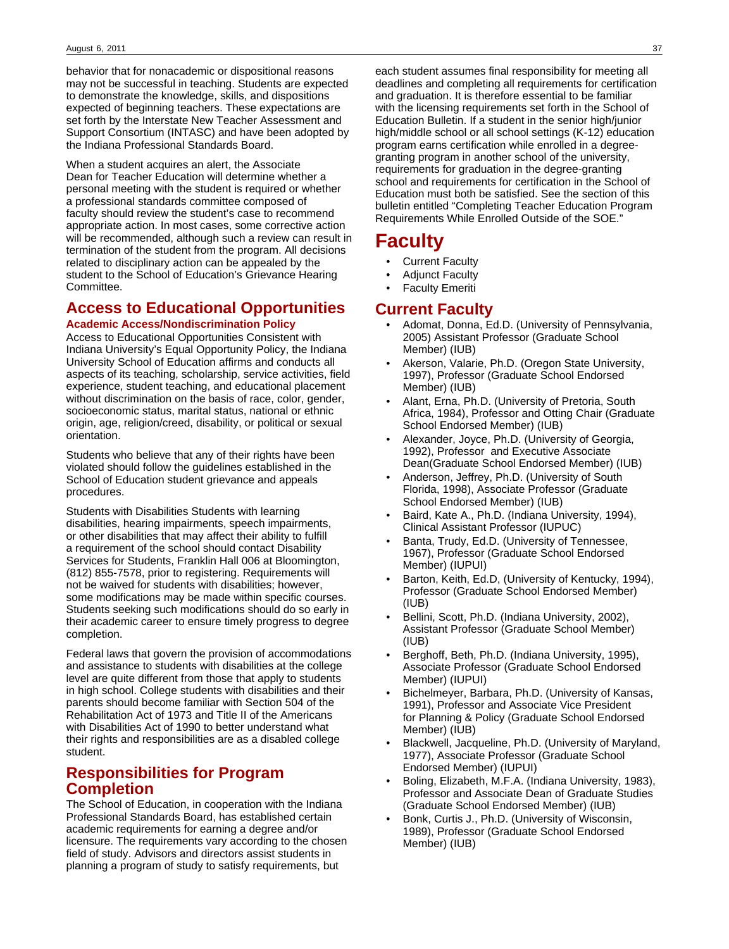behavior that for nonacademic or dispositional reasons may not be successful in teaching. Students are expected to demonstrate the knowledge, skills, and dispositions expected of beginning teachers. These expectations are set forth by the Interstate New Teacher Assessment and Support Consortium (INTASC) and have been adopted by the Indiana Professional Standards Board.

When a student acquires an alert, the Associate Dean for Teacher Education will determine whether a personal meeting with the student is required or whether a professional standards committee composed of faculty should review the student's case to recommend appropriate action. In most cases, some corrective action will be recommended, although such a review can result in termination of the student from the program. All decisions related to disciplinary action can be appealed by the student to the School of Education's Grievance Hearing Committee.

# **Access to Educational Opportunities**

#### **Academic Access/Nondiscrimination Policy**

Access to Educational Opportunities Consistent with Indiana University's Equal Opportunity Policy, the Indiana University School of Education affirms and conducts all aspects of its teaching, scholarship, service activities, field experience, student teaching, and educational placement without discrimination on the basis of race, color, gender, socioeconomic status, marital status, national or ethnic origin, age, religion/creed, disability, or political or sexual orientation.

Students who believe that any of their rights have been violated should follow the guidelines established in the School of Education student grievance and appeals procedures.

Students with Disabilities Students with learning disabilities, hearing impairments, speech impairments, or other disabilities that may affect their ability to fulfill a requirement of the school should contact Disability Services for Students, Franklin Hall 006 at Bloomington, (812) 855-7578, prior to registering. Requirements will not be waived for students with disabilities; however, some modifications may be made within specific courses. Students seeking such modifications should do so early in their academic career to ensure timely progress to degree completion.

Federal laws that govern the provision of accommodations and assistance to students with disabilities at the college level are quite different from those that apply to students in high school. College students with disabilities and their parents should become familiar with Section 504 of the Rehabilitation Act of 1973 and Title II of the Americans with Disabilities Act of 1990 to better understand what their rights and responsibilities are as a disabled college student.

## **Responsibilities for Program Completion**

The School of Education, in cooperation with the Indiana Professional Standards Board, has established certain academic requirements for earning a degree and/or licensure. The requirements vary according to the chosen field of study. Advisors and directors assist students in planning a program of study to satisfy requirements, but

each student assumes final responsibility for meeting all deadlines and completing all requirements for certification and graduation. It is therefore essential to be familiar with the licensing requirements set forth in the School of Education Bulletin. If a student in the senior high/junior high/middle school or all school settings (K-12) education program earns certification while enrolled in a degreegranting program in another school of the university, requirements for graduation in the degree-granting school and requirements for certification in the School of Education must both be satisfied. See the section of this bulletin entitled "Completing Teacher Education Program Requirements While Enrolled Outside of the SOE."

# **Faculty**

- **Current Faculty**
- Adjunct Faculty
- **Faculty Emeriti**

## **Current Faculty**

- Adomat, Donna, Ed.D. (University of Pennsylvania, 2005) Assistant Professor (Graduate School Member) (IUB)
- Akerson, Valarie, Ph.D. (Oregon State University, 1997), Professor (Graduate School Endorsed Member) (IUB)
- Alant, Erna, Ph.D. (University of Pretoria, South Africa, 1984), Professor and Otting Chair (Graduate School Endorsed Member) (IUB)
- Alexander, Joyce, Ph.D. (University of Georgia, 1992), Professor and Executive Associate Dean(Graduate School Endorsed Member) (IUB)
- Anderson, Jeffrey, Ph.D. (University of South Florida, 1998), Associate Professor (Graduate School Endorsed Member) (IUB)
- Baird, Kate A., Ph.D. (Indiana University, 1994), Clinical Assistant Professor (IUPUC)
- Banta, Trudy, Ed.D. (University of Tennessee, 1967), Professor (Graduate School Endorsed Member) (IUPUI)
- Barton, Keith, Ed.D, (University of Kentucky, 1994), Professor (Graduate School Endorsed Member) (IUB)
- Bellini, Scott, Ph.D. (Indiana University, 2002), Assistant Professor (Graduate School Member) (IUB)
- Berghoff, Beth, Ph.D. (Indiana University, 1995), Associate Professor (Graduate School Endorsed Member) (IUPUI)
- Bichelmeyer, Barbara, Ph.D. (University of Kansas, 1991), Professor and Associate Vice President for Planning & Policy (Graduate School Endorsed Member) (IUB)
- Blackwell, Jacqueline, Ph.D. (University of Maryland, 1977), Associate Professor (Graduate School Endorsed Member) (IUPUI)
- Boling, Elizabeth, M.F.A. (Indiana University, 1983), Professor and Associate Dean of Graduate Studies (Graduate School Endorsed Member) (IUB)
- Bonk, Curtis J., Ph.D. (University of Wisconsin, 1989), Professor (Graduate School Endorsed Member) (IUB)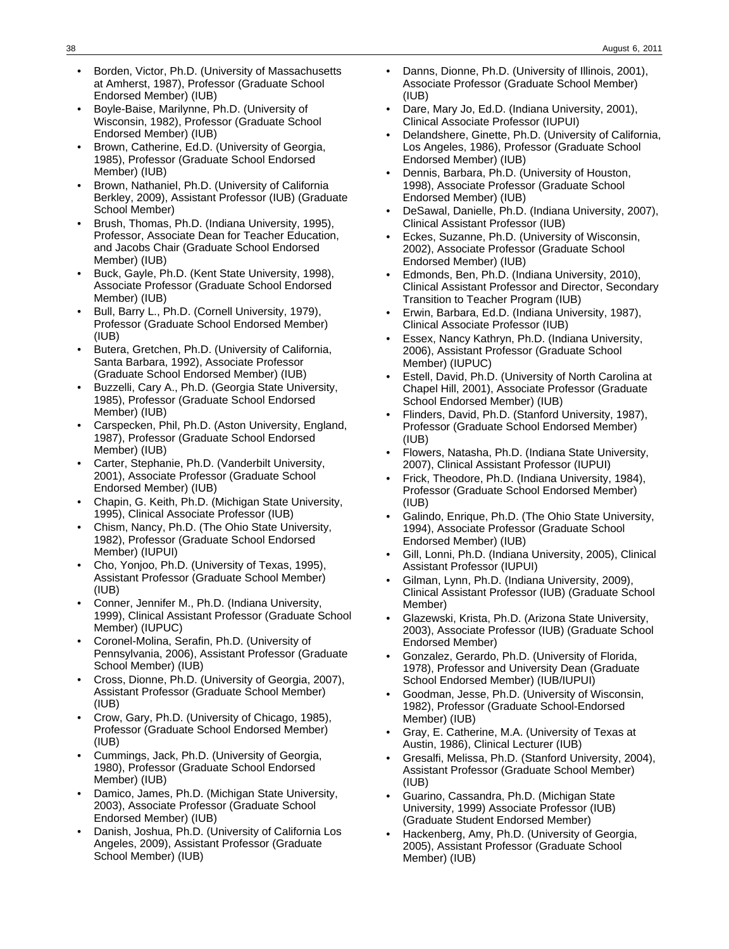- Borden, Victor, Ph.D. (University of Massachusetts at Amherst, 1987), Professor (Graduate School Endorsed Member) (IUB)
- Boyle-Baise, Marilynne, Ph.D. (University of Wisconsin, 1982), Professor (Graduate School Endorsed Member) (IUB)
- Brown, Catherine, Ed.D. (University of Georgia, 1985), Professor (Graduate School Endorsed Member) (IUB)
- Brown, Nathaniel, Ph.D. (University of California Berkley, 2009), Assistant Professor (IUB) (Graduate School Member)
- Brush, Thomas, Ph.D. (Indiana University, 1995), Professor, Associate Dean for Teacher Education, and Jacobs Chair (Graduate School Endorsed Member) (IUB)
- Buck, Gayle, Ph.D. (Kent State University, 1998), Associate Professor (Graduate School Endorsed Member) (IUB)
- Bull, Barry L., Ph.D. (Cornell University, 1979), Professor (Graduate School Endorsed Member) (IUB)
- Butera, Gretchen, Ph.D. (University of California, Santa Barbara, 1992), Associate Professor (Graduate School Endorsed Member) (IUB)
- Buzzelli, Cary A., Ph.D. (Georgia State University, 1985), Professor (Graduate School Endorsed Member) (IUB)
- Carspecken, Phil, Ph.D. (Aston University, England, 1987), Professor (Graduate School Endorsed Member) (IUB)
- Carter, Stephanie, Ph.D. (Vanderbilt University, 2001), Associate Professor (Graduate School Endorsed Member) (IUB)
- Chapin, G. Keith, Ph.D. (Michigan State University, 1995), Clinical Associate Professor (IUB)
- Chism, Nancy, Ph.D. (The Ohio State University, 1982), Professor (Graduate School Endorsed Member) (IUPUI)
- Cho, Yonjoo, Ph.D. (University of Texas, 1995), Assistant Professor (Graduate School Member) (IUB)
- Conner, Jennifer M., Ph.D. (Indiana University, 1999), Clinical Assistant Professor (Graduate School Member) (IUPUC)
- Coronel-Molina, Serafin, Ph.D. (University of Pennsylvania, 2006), Assistant Professor (Graduate School Member) (IUB)
- Cross, Dionne, Ph.D. (University of Georgia, 2007), Assistant Professor (Graduate School Member) (IUB)
- Crow, Gary, Ph.D. (University of Chicago, 1985), Professor (Graduate School Endorsed Member) (IUB)
- Cummings, Jack, Ph.D. (University of Georgia, 1980), Professor (Graduate School Endorsed Member) (IUB)
- Damico, James, Ph.D. (Michigan State University, 2003), Associate Professor (Graduate School Endorsed Member) (IUB)
- Danish, Joshua, Ph.D. (University of California Los Angeles, 2009), Assistant Professor (Graduate School Member) (IUB)
- Danns, Dionne, Ph.D. (University of Illinois, 2001), Associate Professor (Graduate School Member) (IUB)
- Dare, Mary Jo, Ed.D. (Indiana University, 2001), Clinical Associate Professor (IUPUI)
- Delandshere, Ginette, Ph.D. (University of California, Los Angeles, 1986), Professor (Graduate School Endorsed Member) (IUB)
- Dennis, Barbara, Ph.D. (University of Houston, 1998), Associate Professor (Graduate School Endorsed Member) (IUB)
- DeSawal, Danielle, Ph.D. (Indiana University, 2007), Clinical Assistant Professor (IUB)
- Eckes, Suzanne, Ph.D. (University of Wisconsin, 2002), Associate Professor (Graduate School Endorsed Member) (IUB)
- Edmonds, Ben, Ph.D. (Indiana University, 2010), Clinical Assistant Professor and Director, Secondary Transition to Teacher Program (IUB)
- Erwin, Barbara, Ed.D. (Indiana University, 1987), Clinical Associate Professor (IUB)
- Essex, Nancy Kathryn, Ph.D. (Indiana University, 2006), Assistant Professor (Graduate School Member) (IUPUC)
- Estell, David, Ph.D. (University of North Carolina at Chapel Hill, 2001), Associate Professor (Graduate School Endorsed Member) (IUB)
- Flinders, David, Ph.D. (Stanford University, 1987), Professor (Graduate School Endorsed Member) (IUB)
- Flowers, Natasha, Ph.D. (Indiana State University, 2007), Clinical Assistant Professor (IUPUI)
- Frick, Theodore, Ph.D. (Indiana University, 1984), Professor (Graduate School Endorsed Member) (IUB)
- Galindo, Enrique, Ph.D. (The Ohio State University, 1994), Associate Professor (Graduate School Endorsed Member) (IUB)
- Gill, Lonni, Ph.D. (Indiana University, 2005), Clinical Assistant Professor (IUPUI)
- Gilman, Lynn, Ph.D. (Indiana University, 2009), Clinical Assistant Professor (IUB) (Graduate School Member)
- Glazewski, Krista, Ph.D. (Arizona State University, 2003), Associate Professor (IUB) (Graduate School Endorsed Member)
- Gonzalez, Gerardo, Ph.D. (University of Florida, 1978), Professor and University Dean (Graduate School Endorsed Member) (IUB/IUPUI)
- Goodman, Jesse, Ph.D. (University of Wisconsin, 1982), Professor (Graduate School-Endorsed Member) (IUB)
- Gray, E. Catherine, M.A. (University of Texas at Austin, 1986), Clinical Lecturer (IUB)
- Gresalfi, Melissa, Ph.D. (Stanford University, 2004), Assistant Professor (Graduate School Member) (IUB)
- Guarino, Cassandra, Ph.D. (Michigan State University, 1999) Associate Professor (IUB) (Graduate Student Endorsed Member)
- Hackenberg, Amy, Ph.D. (University of Georgia, 2005), Assistant Professor (Graduate School Member) (IUB)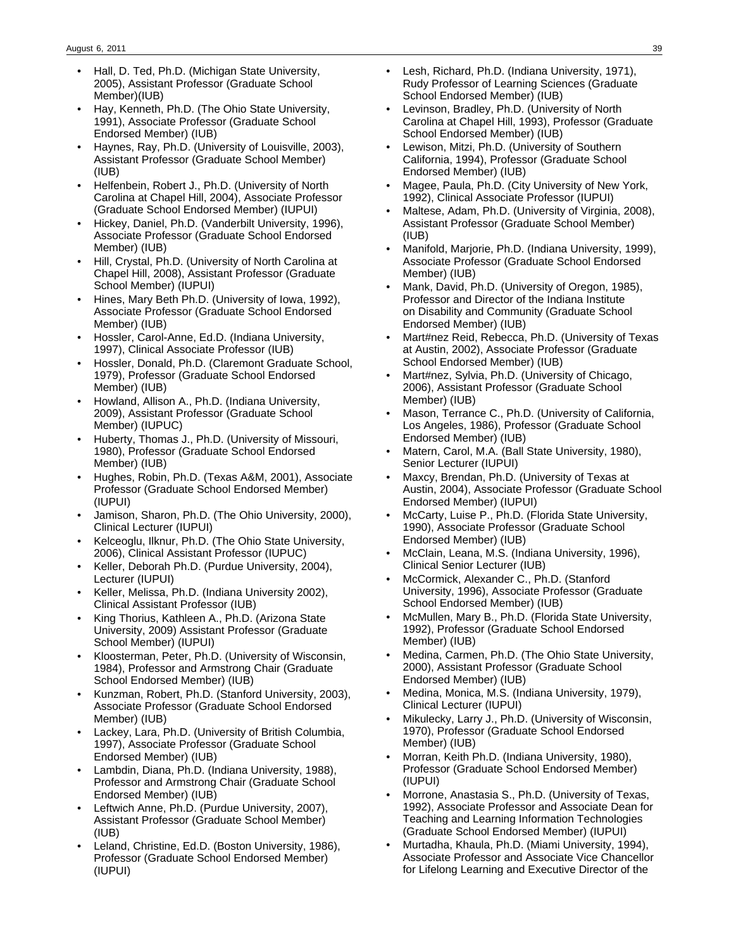- Hall, D. Ted, Ph.D. (Michigan State University, 2005), Assistant Professor (Graduate School Member)(IUB)
- Hay, Kenneth, Ph.D. (The Ohio State University, 1991), Associate Professor (Graduate School Endorsed Member) (IUB)
- Haynes, Ray, Ph.D. (University of Louisville, 2003), Assistant Professor (Graduate School Member) (IUB)
- Helfenbein, Robert J., Ph.D. (University of North Carolina at Chapel Hill, 2004), Associate Professor (Graduate School Endorsed Member) (IUPUI)
- Hickey, Daniel, Ph.D. (Vanderbilt University, 1996), Associate Professor (Graduate School Endorsed Member) (IUB)
- Hill, Crystal, Ph.D. (University of North Carolina at Chapel Hill, 2008), Assistant Professor (Graduate School Member) (IUPUI)
- Hines, Mary Beth Ph.D. (University of Iowa, 1992), Associate Professor (Graduate School Endorsed Member) (IUB)
- Hossler, Carol-Anne, Ed.D. (Indiana University, 1997), Clinical Associate Professor (IUB)
- Hossler, Donald, Ph.D. (Claremont Graduate School, 1979), Professor (Graduate School Endorsed Member) (IUB)
- Howland, Allison A., Ph.D. (Indiana University, 2009), Assistant Professor (Graduate School Member) (IUPUC)
- Huberty, Thomas J., Ph.D. (University of Missouri, 1980), Professor (Graduate School Endorsed Member) (IUB)
- Hughes, Robin, Ph.D. (Texas A&M, 2001), Associate Professor (Graduate School Endorsed Member) (IUPUI)
- Jamison, Sharon, Ph.D. (The Ohio University, 2000), Clinical Lecturer (IUPUI)
- Kelceoglu, Ilknur, Ph.D. (The Ohio State University, 2006), Clinical Assistant Professor (IUPUC)
- Keller, Deborah Ph.D. (Purdue University, 2004), Lecturer (IUPUI)
- Keller, Melissa, Ph.D. (Indiana University 2002), Clinical Assistant Professor (IUB)
- King Thorius, Kathleen A., Ph.D. (Arizona State University, 2009) Assistant Professor (Graduate School Member) (IUPUI)
- Kloosterman, Peter, Ph.D. (University of Wisconsin, 1984), Professor and Armstrong Chair (Graduate School Endorsed Member) (IUB)
- Kunzman, Robert, Ph.D. (Stanford University, 2003), Associate Professor (Graduate School Endorsed Member) (IUB)
- Lackey, Lara, Ph.D. (University of British Columbia, 1997), Associate Professor (Graduate School Endorsed Member) (IUB)
- Lambdin, Diana, Ph.D. (Indiana University, 1988), Professor and Armstrong Chair (Graduate School Endorsed Member) (IUB)
- Leftwich Anne, Ph.D. (Purdue University, 2007), Assistant Professor (Graduate School Member) (IUB)
- Leland, Christine, Ed.D. (Boston University, 1986), Professor (Graduate School Endorsed Member) (IUPUI)
- Lesh, Richard, Ph.D. (Indiana University, 1971), Rudy Professor of Learning Sciences (Graduate School Endorsed Member) (IUB)
- Levinson, Bradley, Ph.D. (University of North Carolina at Chapel Hill, 1993), Professor (Graduate School Endorsed Member) (IUB)
- Lewison, Mitzi, Ph.D. (University of Southern California, 1994), Professor (Graduate School Endorsed Member) (IUB)
- Magee, Paula, Ph.D. (City University of New York, 1992), Clinical Associate Professor (IUPUI)
- Maltese, Adam, Ph.D. (University of Virginia, 2008), Assistant Professor (Graduate School Member) (IUB)
- Manifold, Marjorie, Ph.D. (Indiana University, 1999), Associate Professor (Graduate School Endorsed Member) (IUB)
- Mank, David, Ph.D. (University of Oregon, 1985), Professor and Director of the Indiana Institute on Disability and Community (Graduate School Endorsed Member) (IUB)
- Mart#nez Reid, Rebecca, Ph.D. (University of Texas at Austin, 2002), Associate Professor (Graduate School Endorsed Member) (IUB)
- Mart#nez, Sylvia, Ph.D. (University of Chicago, 2006), Assistant Professor (Graduate School Member) (IUB)
- Mason, Terrance C., Ph.D. (University of California, Los Angeles, 1986), Professor (Graduate School Endorsed Member) (IUB)
- Matern, Carol, M.A. (Ball State University, 1980), Senior Lecturer (IUPUI)
- Maxcy, Brendan, Ph.D. (University of Texas at Austin, 2004), Associate Professor (Graduate School Endorsed Member) (IUPUI)
- McCarty, Luise P., Ph.D. (Florida State University, 1990), Associate Professor (Graduate School Endorsed Member) (IUB)
- McClain, Leana, M.S. (Indiana University, 1996), Clinical Senior Lecturer (IUB)
- McCormick, Alexander C., Ph.D. (Stanford University, 1996), Associate Professor (Graduate School Endorsed Member) (IUB)
- McMullen, Mary B., Ph.D. (Florida State University, 1992), Professor (Graduate School Endorsed Member) (IUB)
- Medina, Carmen, Ph.D. (The Ohio State University, 2000), Assistant Professor (Graduate School Endorsed Member) (IUB)
- Medina, Monica, M.S. (Indiana University, 1979), Clinical Lecturer (IUPUI)
- Mikulecky, Larry J., Ph.D. (University of Wisconsin, 1970), Professor (Graduate School Endorsed Member) (IUB)
- Morran, Keith Ph.D. (Indiana University, 1980), Professor (Graduate School Endorsed Member) (IUPUI)
- Morrone, Anastasia S., Ph.D. (University of Texas, 1992), Associate Professor and Associate Dean for Teaching and Learning Information Technologies (Graduate School Endorsed Member) (IUPUI)
- Murtadha, Khaula, Ph.D. (Miami University, 1994), Associate Professor and Associate Vice Chancellor for Lifelong Learning and Executive Director of the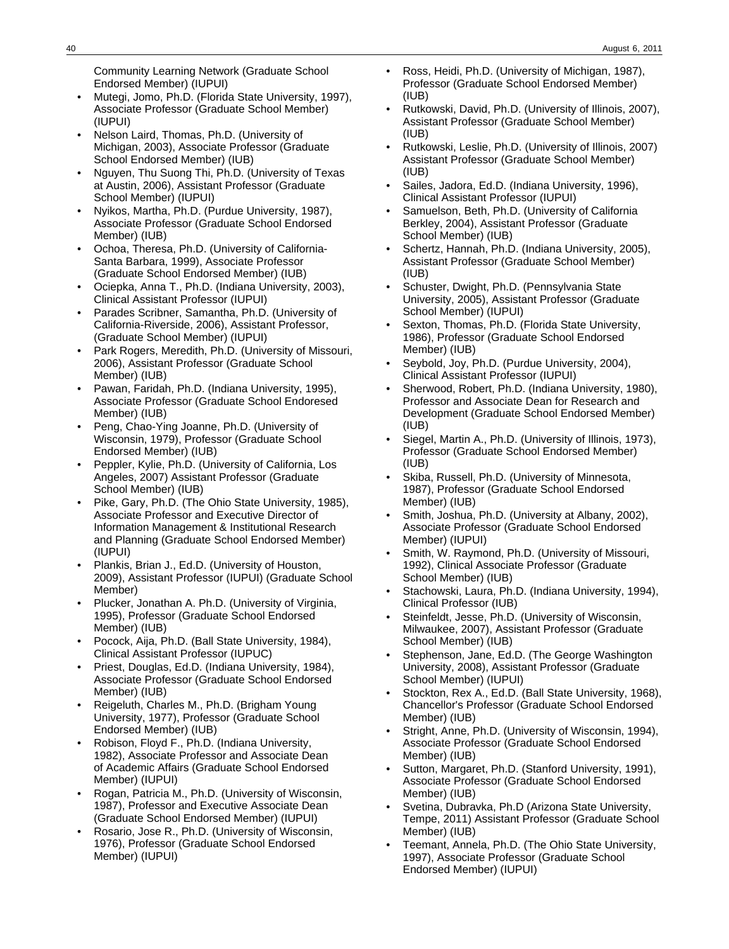Community Learning Network (Graduate School Endorsed Member) (IUPUI)

- Mutegi, Jomo, Ph.D. (Florida State University, 1997), Associate Professor (Graduate School Member) (IUPUI)
- Nelson Laird, Thomas, Ph.D. (University of Michigan, 2003), Associate Professor (Graduate School Endorsed Member) (IUB)
- Nguyen, Thu Suong Thi, Ph.D. (University of Texas at Austin, 2006), Assistant Professor (Graduate School Member) (IUPUI)
- Nyikos, Martha, Ph.D. (Purdue University, 1987), Associate Professor (Graduate School Endorsed Member) (IUB)
- Ochoa, Theresa, Ph.D. (University of California-Santa Barbara, 1999), Associate Professor (Graduate School Endorsed Member) (IUB)
- Ociepka, Anna T., Ph.D. (Indiana University, 2003), Clinical Assistant Professor (IUPUI)
- Parades Scribner, Samantha, Ph.D. (University of California-Riverside, 2006), Assistant Professor, (Graduate School Member) (IUPUI)
- Park Rogers, Meredith, Ph.D. (University of Missouri, 2006), Assistant Professor (Graduate School Member) (IUB)
- Pawan, Faridah, Ph.D. (Indiana University, 1995), Associate Professor (Graduate School Endoresed Member) (IUB)
- Peng, Chao-Ying Joanne, Ph.D. (University of Wisconsin, 1979), Professor (Graduate School Endorsed Member) (IUB)
- Peppler, Kylie, Ph.D. (University of California, Los Angeles, 2007) Assistant Professor (Graduate School Member) (IUB)
- Pike, Gary, Ph.D. (The Ohio State University, 1985), Associate Professor and Executive Director of Information Management & Institutional Research and Planning (Graduate School Endorsed Member) (IUPUI)
- Plankis, Brian J., Ed.D. (University of Houston, 2009), Assistant Professor (IUPUI) (Graduate School Member)
- Plucker, Jonathan A. Ph.D. (University of Virginia, 1995), Professor (Graduate School Endorsed Member) (IUB)
- Pocock, Aija, Ph.D. (Ball State University, 1984), Clinical Assistant Professor (IUPUC)
- Priest, Douglas, Ed.D. (Indiana University, 1984), Associate Professor (Graduate School Endorsed Member) (IUB)
- Reigeluth, Charles M., Ph.D. (Brigham Young University, 1977), Professor (Graduate School Endorsed Member) (IUB)
- Robison, Floyd F., Ph.D. (Indiana University, 1982), Associate Professor and Associate Dean of Academic Affairs (Graduate School Endorsed Member) (IUPUI)
- Rogan, Patricia M., Ph.D. (University of Wisconsin, 1987), Professor and Executive Associate Dean (Graduate School Endorsed Member) (IUPUI)
- Rosario, Jose R., Ph.D. (University of Wisconsin, 1976), Professor (Graduate School Endorsed Member) (IUPUI)
- Ross, Heidi, Ph.D. (University of Michigan, 1987), Professor (Graduate School Endorsed Member) (IUB)
- Rutkowski, David, Ph.D. (University of Illinois, 2007), Assistant Professor (Graduate School Member) (IUB)
- Rutkowski, Leslie, Ph.D. (University of Illinois, 2007) Assistant Professor (Graduate School Member) (IUB)
- Sailes, Jadora, Ed.D. (Indiana University, 1996), Clinical Assistant Professor (IUPUI)
- Samuelson, Beth, Ph.D. (University of California Berkley, 2004), Assistant Professor (Graduate School Member) (IUB)
- Schertz, Hannah, Ph.D. (Indiana University, 2005), Assistant Professor (Graduate School Member) (IUB)
- Schuster, Dwight, Ph.D. (Pennsylvania State University, 2005), Assistant Professor (Graduate School Member) (IUPUI)
- Sexton, Thomas, Ph.D. (Florida State University, 1986), Professor (Graduate School Endorsed Member) (IUB)
- Seybold, Joy, Ph.D. (Purdue University, 2004), Clinical Assistant Professor (IUPUI)
- Sherwood, Robert, Ph.D. (Indiana University, 1980), Professor and Associate Dean for Research and Development (Graduate School Endorsed Member) (IUB)
- Siegel, Martin A., Ph.D. (University of Illinois, 1973), Professor (Graduate School Endorsed Member) (IUB)
- Skiba, Russell, Ph.D. (University of Minnesota, 1987), Professor (Graduate School Endorsed Member) (IUB)
- Smith, Joshua, Ph.D. (University at Albany, 2002), Associate Professor (Graduate School Endorsed Member) (IUPUI)
- Smith, W. Raymond, Ph.D. (University of Missouri, 1992), Clinical Associate Professor (Graduate School Member) (IUB)
- Stachowski, Laura, Ph.D. (Indiana University, 1994), Clinical Professor (IUB)
- Steinfeldt, Jesse, Ph.D. (University of Wisconsin, Milwaukee, 2007), Assistant Professor (Graduate School Member) (IUB)
- Stephenson, Jane, Ed.D. (The George Washington) University, 2008), Assistant Professor (Graduate School Member) (IUPUI)
- Stockton, Rex A., Ed.D. (Ball State University, 1968), Chancellor's Professor (Graduate School Endorsed Member) (IUB)
- Stright, Anne, Ph.D. (University of Wisconsin, 1994), Associate Professor (Graduate School Endorsed Member) (IUB)
- Sutton, Margaret, Ph.D. (Stanford University, 1991), Associate Professor (Graduate School Endorsed Member) (IUB)
- Svetina, Dubravka, Ph.D (Arizona State University, Tempe, 2011) Assistant Professor (Graduate School Member) (IUB)
- Teemant, Annela, Ph.D. (The Ohio State University, 1997), Associate Professor (Graduate School Endorsed Member) (IUPUI)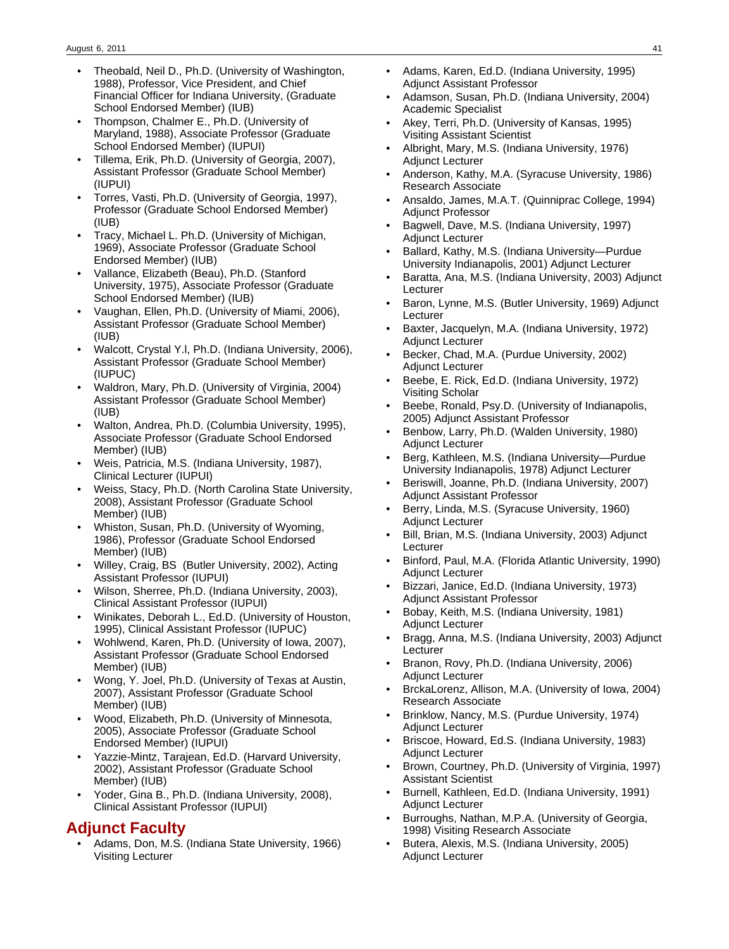- Theobald, Neil D., Ph.D. (University of Washington, 1988), Professor, Vice President, and Chief Financial Officer for Indiana University, (Graduate School Endorsed Member) (IUB)
- Thompson, Chalmer E., Ph.D. (University of Maryland, 1988), Associate Professor (Graduate School Endorsed Member) (IUPUI)
- Tillema, Erik, Ph.D. (University of Georgia, 2007), Assistant Professor (Graduate School Member) (IUPUI)
- Torres, Vasti, Ph.D. (University of Georgia, 1997), Professor (Graduate School Endorsed Member) (IUB)
- Tracy, Michael L. Ph.D. (University of Michigan, 1969), Associate Professor (Graduate School Endorsed Member) (IUB)
- Vallance, Elizabeth (Beau), Ph.D. (Stanford University, 1975), Associate Professor (Graduate School Endorsed Member) (IUB)
- Vaughan, Ellen, Ph.D. (University of Miami, 2006), Assistant Professor (Graduate School Member) (IUB)
- Walcott, Crystal Y.l, Ph.D. (Indiana University, 2006), Assistant Professor (Graduate School Member) (IUPUC)
- Waldron, Mary, Ph.D. (University of Virginia, 2004) Assistant Professor (Graduate School Member) (IUB)
- Walton, Andrea, Ph.D. (Columbia University, 1995), Associate Professor (Graduate School Endorsed Member) (IUB)
- Weis, Patricia, M.S. (Indiana University, 1987), Clinical Lecturer (IUPUI)
- Weiss, Stacy, Ph.D. (North Carolina State University, 2008), Assistant Professor (Graduate School Member) (IUB)
- Whiston, Susan, Ph.D. (University of Wyoming, 1986), Professor (Graduate School Endorsed Member) (IUB)
- Willey, Craig, BS (Butler University, 2002), Acting Assistant Professor (IUPUI)
- Wilson, Sherree, Ph.D. (Indiana University, 2003), Clinical Assistant Professor (IUPUI)
- Winikates, Deborah L., Ed.D. (University of Houston, 1995), Clinical Assistant Professor (IUPUC)
- Wohlwend, Karen, Ph.D. (University of Iowa, 2007), Assistant Professor (Graduate School Endorsed Member) (IUB)
- Wong, Y. Joel, Ph.D. (University of Texas at Austin, 2007), Assistant Professor (Graduate School Member) (IUB)
- Wood, Elizabeth, Ph.D. (University of Minnesota, 2005), Associate Professor (Graduate School Endorsed Member) (IUPUI)
- Yazzie-Mintz, Tarajean, Ed.D. (Harvard University, 2002), Assistant Professor (Graduate School Member) (IUB)
- Yoder, Gina B., Ph.D. (Indiana University, 2008), Clinical Assistant Professor (IUPUI)

## **Adjunct Faculty**

• Adams, Don, M.S. (Indiana State University, 1966) Visiting Lecturer

- Adams, Karen, Ed.D. (Indiana University, 1995) Adjunct Assistant Professor
- Adamson, Susan, Ph.D. (Indiana University, 2004) Academic Specialist
- Akey, Terri, Ph.D. (University of Kansas, 1995) Visiting Assistant Scientist
- Albright, Mary, M.S. (Indiana University, 1976) Adjunct Lecturer
- Anderson, Kathy, M.A. (Syracuse University, 1986) Research Associate
- Ansaldo, James, M.A.T. (Quinniprac College, 1994) Adjunct Professor
- Bagwell, Dave, M.S. (Indiana University, 1997) Adjunct Lecturer
- Ballard, Kathy, M.S. (Indiana University—Purdue University Indianapolis, 2001) Adjunct Lecturer
- Baratta, Ana, M.S. (Indiana University, 2003) Adjunct Lecturer
- Baron, Lynne, M.S. (Butler University, 1969) Adjunct Lecturer
- Baxter, Jacquelyn, M.A. (Indiana University, 1972) Adjunct Lecturer
- Becker, Chad, M.A. (Purdue University, 2002) Adjunct Lecturer
- Beebe, E. Rick, Ed.D. (Indiana University, 1972) Visiting Scholar
- Beebe, Ronald, Psy.D. (University of Indianapolis, 2005) Adjunct Assistant Professor
- Benbow, Larry, Ph.D. (Walden University, 1980) Adjunct Lecturer
- Berg, Kathleen, M.S. (Indiana University—Purdue University Indianapolis, 1978) Adjunct Lecturer
- Beriswill, Joanne, Ph.D. (Indiana University, 2007) Adjunct Assistant Professor
- Berry, Linda, M.S. (Syracuse University, 1960) Adjunct Lecturer
- Bill, Brian, M.S. (Indiana University, 2003) Adjunct **Lecturer**
- Binford, Paul, M.A. (Florida Atlantic University, 1990) Adjunct Lecturer
- Bizzari, Janice, Ed.D. (Indiana University, 1973) Adjunct Assistant Professor
- Bobay, Keith, M.S. (Indiana University, 1981) Adjunct Lecturer
- Bragg, Anna, M.S. (Indiana University, 2003) Adjunct Lecturer
- Branon, Rovy, Ph.D. (Indiana University, 2006) Adjunct Lecturer
- BrckaLorenz, Allison, M.A. (University of Iowa, 2004) Research Associate
- Brinklow, Nancy, M.S. (Purdue University, 1974) Adjunct Lecturer
- Briscoe, Howard, Ed.S. (Indiana University, 1983) Adjunct Lecturer
- Brown, Courtney, Ph.D. (University of Virginia, 1997) Assistant Scientist
- Burnell, Kathleen, Ed.D. (Indiana University, 1991) Adjunct Lecturer
- Burroughs, Nathan, M.P.A. (University of Georgia, 1998) Visiting Research Associate
- Butera, Alexis, M.S. (Indiana University, 2005) Adjunct Lecturer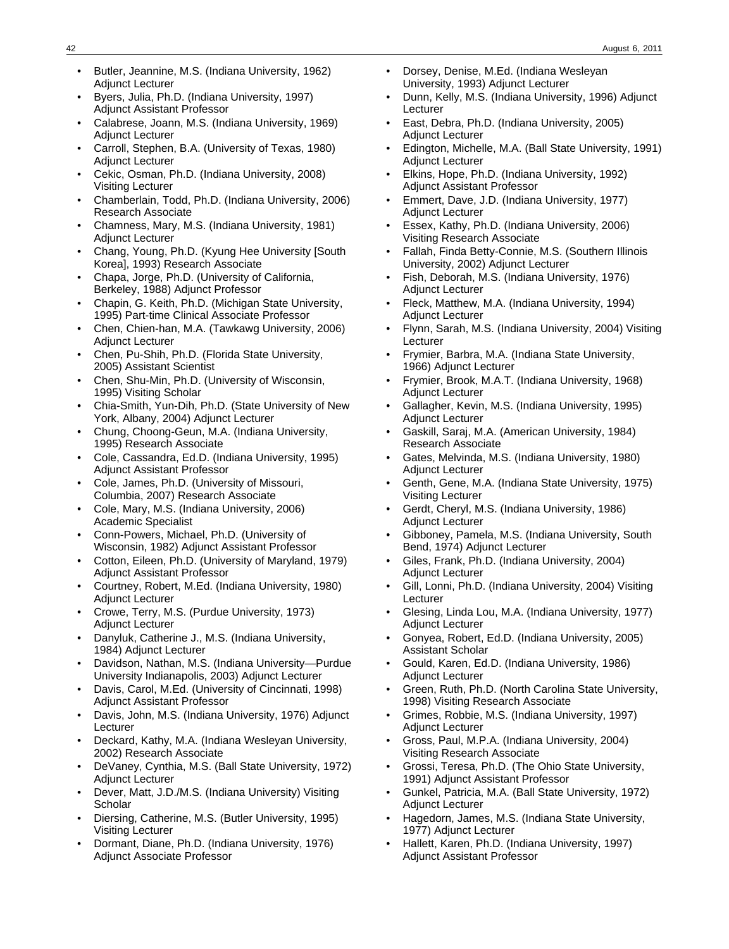- Butler, Jeannine, M.S. (Indiana University, 1962) Adjunct Lecturer
- Byers, Julia, Ph.D. (Indiana University, 1997) Adjunct Assistant Professor
- Calabrese, Joann, M.S. (Indiana University, 1969) Adjunct Lecturer
- Carroll, Stephen, B.A. (University of Texas, 1980) Adjunct Lecturer
- Cekic, Osman, Ph.D. (Indiana University, 2008) Visiting Lecturer
- Chamberlain, Todd, Ph.D. (Indiana University, 2006) Research Associate
- Chamness, Mary, M.S. (Indiana University, 1981) Adjunct Lecturer
- Chang, Young, Ph.D. (Kyung Hee University [South Korea], 1993) Research Associate
- Chapa, Jorge, Ph.D. (University of California, Berkeley, 1988) Adjunct Professor
- Chapin, G. Keith, Ph.D. (Michigan State University, 1995) Part-time Clinical Associate Professor
- Chen, Chien-han, M.A. (Tawkawg University, 2006) Adjunct Lecturer
- Chen, Pu-Shih, Ph.D. (Florida State University, 2005) Assistant Scientist
- Chen, Shu-Min, Ph.D. (University of Wisconsin, 1995) Visiting Scholar
- Chia-Smith, Yun-Dih, Ph.D. (State University of New York, Albany, 2004) Adjunct Lecturer
- Chung, Choong-Geun, M.A. (Indiana University, 1995) Research Associate
- Cole, Cassandra, Ed.D. (Indiana University, 1995) Adjunct Assistant Professor
- Cole, James, Ph.D. (University of Missouri, Columbia, 2007) Research Associate
- Cole, Mary, M.S. (Indiana University, 2006) Academic Specialist
- Conn-Powers, Michael, Ph.D. (University of Wisconsin, 1982) Adjunct Assistant Professor
- Cotton, Eileen, Ph.D. (University of Maryland, 1979) Adjunct Assistant Professor
- Courtney, Robert, M.Ed. (Indiana University, 1980) Adjunct Lecturer
- Crowe, Terry, M.S. (Purdue University, 1973) Adjunct Lecturer
- Danyluk, Catherine J., M.S. (Indiana University, 1984) Adjunct Lecturer
- Davidson, Nathan, M.S. (Indiana University—Purdue University Indianapolis, 2003) Adjunct Lecturer
- Davis, Carol, M.Ed. (University of Cincinnati, 1998) Adjunct Assistant Professor
- Davis, John, M.S. (Indiana University, 1976) Adjunct **Lecturer**
- Deckard, Kathy, M.A. (Indiana Wesleyan University, 2002) Research Associate
- DeVaney, Cynthia, M.S. (Ball State University, 1972) Adjunct Lecturer
- Dever, Matt, J.D./M.S. (Indiana University) Visiting **Scholar**
- Diersing, Catherine, M.S. (Butler University, 1995) Visiting Lecturer
- Dormant, Diane, Ph.D. (Indiana University, 1976) Adjunct Associate Professor
- Dorsey, Denise, M.Ed. (Indiana Wesleyan University, 1993) Adjunct Lecturer
- Dunn, Kelly, M.S. (Indiana University, 1996) Adjunct Lecturer
- East, Debra, Ph.D. (Indiana University, 2005) Adjunct Lecturer
- Edington, Michelle, M.A. (Ball State University, 1991) Adjunct Lecturer
- Elkins, Hope, Ph.D. (Indiana University, 1992) Adjunct Assistant Professor
- Emmert, Dave, J.D. (Indiana University, 1977) Adjunct Lecturer
- Essex, Kathy, Ph.D. (Indiana University, 2006) Visiting Research Associate
- Fallah, Finda Betty-Connie, M.S. (Southern Illinois University, 2002) Adjunct Lecturer
- Fish, Deborah, M.S. (Indiana University, 1976) Adjunct Lecturer
- Fleck, Matthew, M.A. (Indiana University, 1994) Adjunct Lecturer
- Flynn, Sarah, M.S. (Indiana University, 2004) Visiting Lecturer
- Frymier, Barbra, M.A. (Indiana State University, 1966) Adjunct Lecturer
- Frymier, Brook, M.A.T. (Indiana University, 1968) Adjunct Lecturer
- Gallagher, Kevin, M.S. (Indiana University, 1995) Adjunct Lecturer
- Gaskill, Saraj, M.A. (American University, 1984) Research Associate
- Gates, Melvinda, M.S. (Indiana University, 1980) Adjunct Lecturer
- Genth, Gene, M.A. (Indiana State University, 1975) Visiting Lecturer
- Gerdt, Cheryl, M.S. (Indiana University, 1986) Adjunct Lecturer
- Gibboney, Pamela, M.S. (Indiana University, South Bend, 1974) Adjunct Lecturer
- Giles, Frank, Ph.D. (Indiana University, 2004) Adjunct Lecturer
- Gill, Lonni, Ph.D. (Indiana University, 2004) Visiting Lecturer
- Glesing, Linda Lou, M.A. (Indiana University, 1977) Adjunct Lecturer
- Gonyea, Robert, Ed.D. (Indiana University, 2005) Assistant Scholar
- Gould, Karen, Ed.D. (Indiana University, 1986) Adjunct Lecturer
- Green, Ruth, Ph.D. (North Carolina State University, 1998) Visiting Research Associate
- Grimes, Robbie, M.S. (Indiana University, 1997) Adjunct Lecturer
- Gross, Paul, M.P.A. (Indiana University, 2004) Visiting Research Associate
- Grossi, Teresa, Ph.D. (The Ohio State University, 1991) Adjunct Assistant Professor
- Gunkel, Patricia, M.A. (Ball State University, 1972) Adjunct Lecturer
- Hagedorn, James, M.S. (Indiana State University, 1977) Adjunct Lecturer
- Hallett, Karen, Ph.D. (Indiana University, 1997) Adjunct Assistant Professor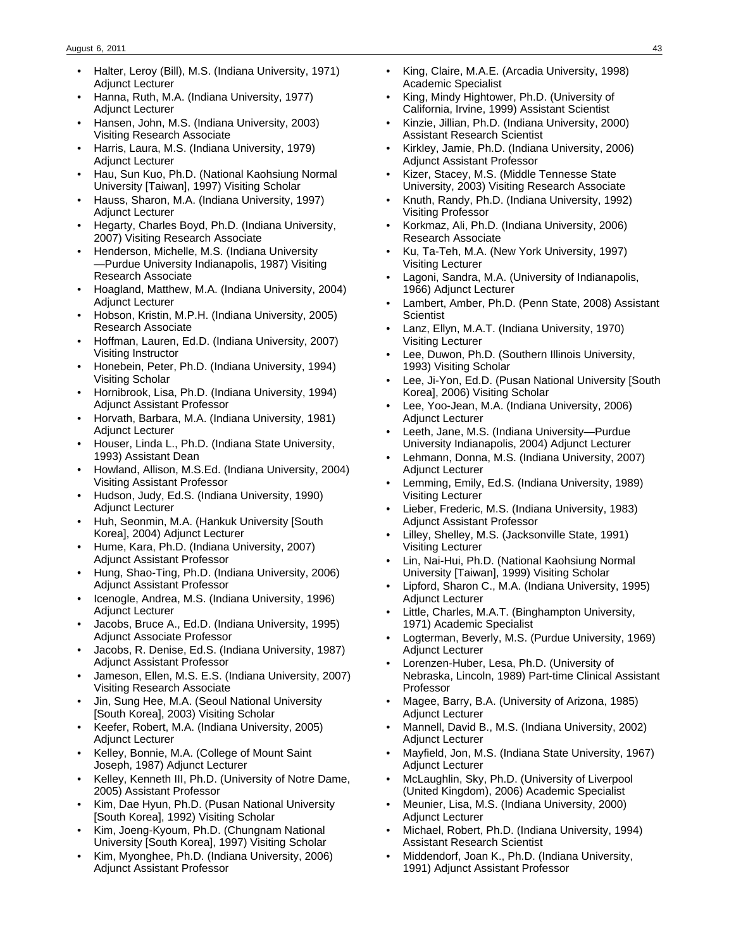- Halter, Leroy (Bill), M.S. (Indiana University, 1971) Adjunct Lecturer
- Hanna, Ruth, M.A. (Indiana University, 1977) Adjunct Lecturer
- Hansen, John, M.S. (Indiana University, 2003) Visiting Research Associate
- Harris, Laura, M.S. (Indiana University, 1979) Adjunct Lecturer
- Hau, Sun Kuo, Ph.D. (National Kaohsiung Normal University [Taiwan], 1997) Visiting Scholar
- Hauss, Sharon, M.A. (Indiana University, 1997) Adjunct Lecturer
- Hegarty, Charles Boyd, Ph.D. (Indiana University, 2007) Visiting Research Associate
- Henderson, Michelle, M.S. (Indiana University —Purdue University Indianapolis, 1987) Visiting Research Associate
- Hoagland, Matthew, M.A. (Indiana University, 2004) Adjunct Lecturer
- Hobson, Kristin, M.P.H. (Indiana University, 2005) Research Associate
- Hoffman, Lauren, Ed.D. (Indiana University, 2007) Visiting Instructor
- Honebein, Peter, Ph.D. (Indiana University, 1994) Visiting Scholar
- Hornibrook, Lisa, Ph.D. (Indiana University, 1994) Adjunct Assistant Professor
- Horvath, Barbara, M.A. (Indiana University, 1981) Adjunct Lecturer
- Houser, Linda L., Ph.D. (Indiana State University, 1993) Assistant Dean
- Howland, Allison, M.S.Ed. (Indiana University, 2004) Visiting Assistant Professor
- Hudson, Judy, Ed.S. (Indiana University, 1990) Adjunct Lecturer
- Huh, Seonmin, M.A. (Hankuk University [South Korea], 2004) Adjunct Lecturer
- Hume, Kara, Ph.D. (Indiana University, 2007) Adjunct Assistant Professor
- Hung, Shao-Ting, Ph.D. (Indiana University, 2006) Adjunct Assistant Professor
- Icenogle, Andrea, M.S. (Indiana University, 1996) Adjunct Lecturer
- Jacobs, Bruce A., Ed.D. (Indiana University, 1995) Adjunct Associate Professor
- Jacobs, R. Denise, Ed.S. (Indiana University, 1987) Adjunct Assistant Professor
- Jameson, Ellen, M.S. E.S. (Indiana University, 2007) Visiting Research Associate
- Jin, Sung Hee, M.A. (Seoul National University [South Korea], 2003) Visiting Scholar
- Keefer, Robert, M.A. (Indiana University, 2005) Adjunct Lecturer
- Kelley, Bonnie, M.A. (College of Mount Saint Joseph, 1987) Adjunct Lecturer
- Kelley, Kenneth III, Ph.D. (University of Notre Dame, 2005) Assistant Professor
- Kim, Dae Hyun, Ph.D. (Pusan National University [South Korea], 1992) Visiting Scholar
- Kim, Joeng-Kyoum, Ph.D. (Chungnam National University [South Korea], 1997) Visiting Scholar
- Kim, Myonghee, Ph.D. (Indiana University, 2006) Adjunct Assistant Professor
- King, Claire, M.A.E. (Arcadia University, 1998) Academic Specialist
- King, Mindy Hightower, Ph.D. (University of California, Irvine, 1999) Assistant Scientist
- Kinzie, Jillian, Ph.D. (Indiana University, 2000) Assistant Research Scientist
- Kirkley, Jamie, Ph.D. (Indiana University, 2006) Adjunct Assistant Professor
- Kizer, Stacey, M.S. (Middle Tennesse State University, 2003) Visiting Research Associate
- Knuth, Randy, Ph.D. (Indiana University, 1992) Visiting Professor
- Korkmaz, Ali, Ph.D. (Indiana University, 2006) Research Associate
- Ku, Ta-Teh, M.A. (New York University, 1997) Visiting Lecturer
- Lagoni, Sandra, M.A. (University of Indianapolis, 1966) Adjunct Lecturer
- Lambert, Amber, Ph.D. (Penn State, 2008) Assistant **Scientist**
- Lanz, Ellyn, M.A.T. (Indiana University, 1970) Visiting Lecturer
- Lee, Duwon, Ph.D. (Southern Illinois University, 1993) Visiting Scholar
- Lee, Ji-Yon, Ed.D. (Pusan National University [South Korea], 2006) Visiting Scholar
- Lee, Yoo-Jean, M.A. (Indiana University, 2006) Adjunct Lecturer
- Leeth, Jane, M.S. (Indiana University—Purdue University Indianapolis, 2004) Adjunct Lecturer
- Lehmann, Donna, M.S. (Indiana University, 2007) Adjunct Lecturer
- Lemming, Emily, Ed.S. (Indiana University, 1989) Visiting Lecturer
- Lieber, Frederic, M.S. (Indiana University, 1983) Adjunct Assistant Professor
- Lilley, Shelley, M.S. (Jacksonville State, 1991) Visiting Lecturer
- Lin, Nai-Hui, Ph.D. (National Kaohsiung Normal University [Taiwan], 1999) Visiting Scholar
- Lipford, Sharon C., M.A. (Indiana University, 1995) Adjunct Lecturer
- Little, Charles, M.A.T. (Binghampton University, 1971) Academic Specialist
- Logterman, Beverly, M.S. (Purdue University, 1969) Adjunct Lecturer
- Lorenzen-Huber, Lesa, Ph.D. (University of Nebraska, Lincoln, 1989) Part-time Clinical Assistant Professor
- Magee, Barry, B.A. (University of Arizona, 1985) Adjunct Lecturer
- Mannell, David B., M.S. (Indiana University, 2002) Adjunct Lecturer
- Mayfield, Jon, M.S. (Indiana State University, 1967) Adjunct Lecturer
- McLaughlin, Sky, Ph.D. (University of Liverpool (United Kingdom), 2006) Academic Specialist
- Meunier, Lisa, M.S. (Indiana University, 2000) Adjunct Lecturer
- Michael, Robert, Ph.D. (Indiana University, 1994) Assistant Research Scientist
- Middendorf, Joan K., Ph.D. (Indiana University, 1991) Adjunct Assistant Professor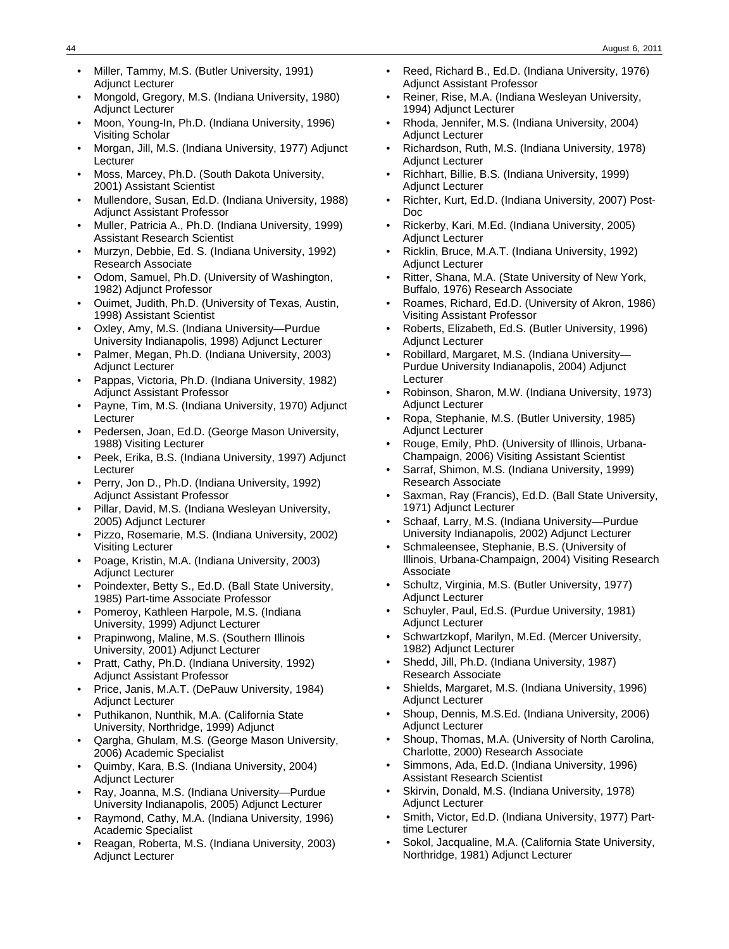- Miller, Tammy, M.S. (Butler University, 1991) Adjunct Lecturer
- Mongold, Gregory, M.S. (Indiana University, 1980) Adjunct Lecturer
- Moon, Young-In, Ph.D. (Indiana University, 1996) Visiting Scholar
- Morgan, Jill, M.S. (Indiana University, 1977) Adjunct Lecturer
- Moss, Marcey, Ph.D. (South Dakota University, 2001) Assistant Scientist
- Mullendore, Susan, Ed.D. (Indiana University, 1988) Adjunct Assistant Professor
- Muller, Patricia A., Ph.D. (Indiana University, 1999) Assistant Research Scientist
- Murzyn, Debbie, Ed. S. (Indiana University, 1992) Research Associate
- Odom, Samuel, Ph.D. (University of Washington, 1982) Adjunct Professor
- Ouimet, Judith, Ph.D. (University of Texas, Austin, 1998) Assistant Scientist
- Oxley, Amy, M.S. (Indiana University—Purdue University Indianapolis, 1998) Adjunct Lecturer
- Palmer, Megan, Ph.D. (Indiana University, 2003) Adjunct Lecturer
- Pappas, Victoria, Ph.D. (Indiana University, 1982) Adjunct Assistant Professor
- Payne, Tim, M.S. (Indiana University, 1970) Adjunct Lecturer
- Pedersen, Joan, Ed.D. (George Mason University, 1988) Visiting Lecturer
- Peek, Erika, B.S. (Indiana University, 1997) Adjunct Lecturer
- Perry, Jon D., Ph.D. (Indiana University, 1992) Adjunct Assistant Professor
- Pillar, David, M.S. (Indiana Wesleyan University, 2005) Adjunct Lecturer
- Pizzo, Rosemarie, M.S. (Indiana University, 2002) Visiting Lecturer
- Poage, Kristin, M.A. (Indiana University, 2003) Adjunct Lecturer
- Poindexter, Betty S., Ed.D. (Ball State University, 1985) Part-time Associate Professor
- Pomeroy, Kathleen Harpole, M.S. (Indiana University, 1999) Adjunct Lecturer
- Prapinwong, Maline, M.S. (Southern Illinois University, 2001) Adjunct Lecturer
- Pratt, Cathy, Ph.D. (Indiana University, 1992) Adjunct Assistant Professor
- Price, Janis, M.A.T. (DePauw University, 1984) Adjunct Lecturer
- Puthikanon, Nunthik, M.A. (California State University, Northridge, 1999) Adjunct
- Qargha, Ghulam, M.S. (George Mason University, 2006) Academic Specialist
- Quimby, Kara, B.S. (Indiana University, 2004) Adjunct Lecturer
- Ray, Joanna, M.S. (Indiana University—Purdue University Indianapolis, 2005) Adjunct Lecturer
- Raymond, Cathy, M.A. (Indiana University, 1996) Academic Specialist
- Reagan, Roberta, M.S. (Indiana University, 2003) Adjunct Lecturer
- Reed, Richard B., Ed.D. (Indiana University, 1976) Adjunct Assistant Professor
- Reiner, Rise, M.A. (Indiana Wesleyan University, 1994) Adjunct Lecturer
- Rhoda, Jennifer, M.S. (Indiana University, 2004) Adjunct Lecturer
- Richardson, Ruth, M.S. (Indiana University, 1978) Adjunct Lecturer
- Richhart, Billie, B.S. (Indiana University, 1999) Adjunct Lecturer
- Richter, Kurt, Ed.D. (Indiana University, 2007) Post-Doc
- Rickerby, Kari, M.Ed. (Indiana University, 2005) Adjunct Lecturer
- Ricklin, Bruce, M.A.T. (Indiana University, 1992) Adjunct Lecturer
- Ritter, Shana, M.A. (State University of New York, Buffalo, 1976) Research Associate
- Roames, Richard, Ed.D. (University of Akron, 1986) Visiting Assistant Professor
- Roberts, Elizabeth, Ed.S. (Butler University, 1996) Adjunct Lecturer
- Robillard, Margaret, M.S. (Indiana University— Purdue University Indianapolis, 2004) Adjunct **Lecturer**
- Robinson, Sharon, M.W. (Indiana University, 1973) Adjunct Lecturer
- Ropa, Stephanie, M.S. (Butler University, 1985) Adjunct Lecturer
- Rouge, Emily, PhD. (University of Illinois, Urbana-Champaign, 2006) Visiting Assistant Scientist
- Sarraf, Shimon, M.S. (Indiana University, 1999) Research Associate
- Saxman, Ray (Francis), Ed.D. (Ball State University, 1971) Adjunct Lecturer
- Schaaf, Larry, M.S. (Indiana University—Purdue University Indianapolis, 2002) Adjunct Lecturer
- Schmaleensee, Stephanie, B.S. (University of Illinois, Urbana-Champaign, 2004) Visiting Research Associate
- Schultz, Virginia, M.S. (Butler University, 1977) Adjunct Lecturer
- Schuyler, Paul, Ed.S. (Purdue University, 1981) Adjunct Lecturer
- Schwartzkopf, Marilyn, M.Ed. (Mercer University, 1982) Adjunct Lecturer
- Shedd, Jill, Ph.D. (Indiana University, 1987) Research Associate
- Shields, Margaret, M.S. (Indiana University, 1996) Adjunct Lecturer
- Shoup, Dennis, M.S.Ed. (Indiana University, 2006) Adjunct Lecturer
- Shoup, Thomas, M.A. (University of North Carolina, Charlotte, 2000) Research Associate
- Simmons, Ada, Ed.D. (Indiana University, 1996) Assistant Research Scientist
- Skirvin, Donald, M.S. (Indiana University, 1978) Adjunct Lecturer
- Smith, Victor, Ed.D. (Indiana University, 1977) Parttime Lecturer
- Sokol, Jacqualine, M.A. (California State University, Northridge, 1981) Adjunct Lecturer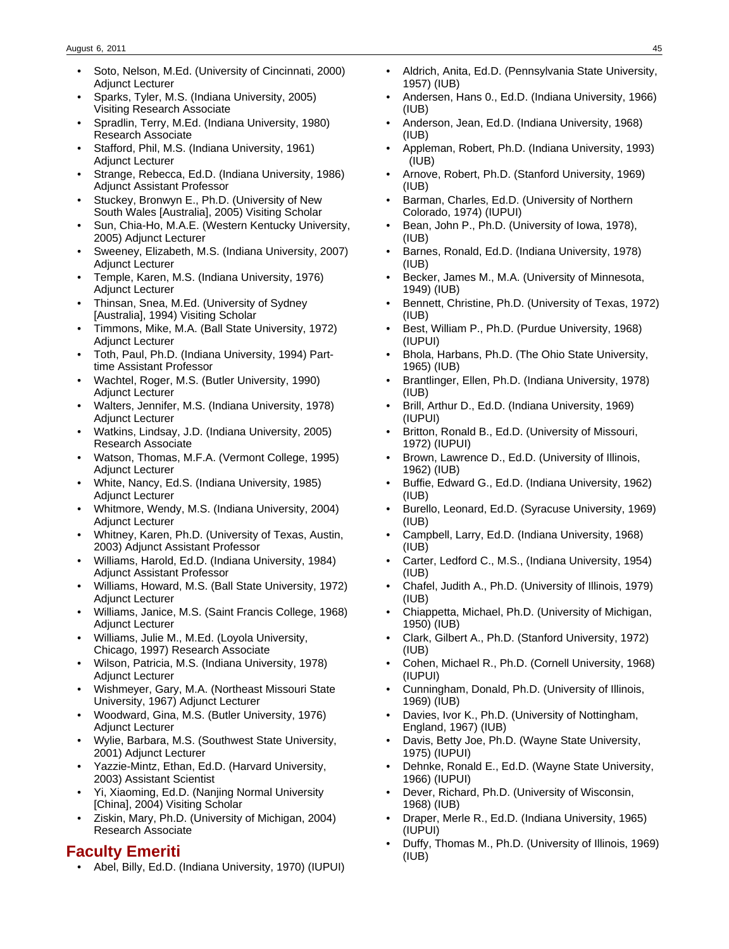- Soto, Nelson, M.Ed. (University of Cincinnati, 2000) Adjunct Lecturer
- Sparks, Tyler, M.S. (Indiana University, 2005) Visiting Research Associate
- Spradlin, Terry, M.Ed. (Indiana University, 1980) Research Associate
- Stafford, Phil, M.S. (Indiana University, 1961) Adjunct Lecturer
- Strange, Rebecca, Ed.D. (Indiana University, 1986) Adjunct Assistant Professor
- Stuckey, Bronwyn E., Ph.D. (University of New South Wales [Australia], 2005) Visiting Scholar
- Sun, Chia-Ho, M.A.E. (Western Kentucky University, 2005) Adjunct Lecturer
- Sweeney, Elizabeth, M.S. (Indiana University, 2007) Adjunct Lecturer
- Temple, Karen, M.S. (Indiana University, 1976) Adjunct Lecturer
- Thinsan, Snea, M.Ed. (University of Sydney [Australia], 1994) Visiting Scholar
- Timmons, Mike, M.A. (Ball State University, 1972) Adjunct Lecturer
- Toth, Paul, Ph.D. (Indiana University, 1994) Parttime Assistant Professor
- Wachtel, Roger, M.S. (Butler University, 1990) Adjunct Lecturer
- Walters, Jennifer, M.S. (Indiana University, 1978) Adjunct Lecturer
- Watkins, Lindsay, J.D. (Indiana University, 2005) Research Associate
- Watson, Thomas, M.F.A. (Vermont College, 1995) Adjunct Lecturer
- White, Nancy, Ed.S. (Indiana University, 1985) Adjunct Lecturer
- Whitmore, Wendy, M.S. (Indiana University, 2004) Adjunct Lecturer
- Whitney, Karen, Ph.D. (University of Texas, Austin, 2003) Adjunct Assistant Professor
- Williams, Harold, Ed.D. (Indiana University, 1984) Adjunct Assistant Professor
- Williams, Howard, M.S. (Ball State University, 1972) Adjunct Lecturer
- Williams, Janice, M.S. (Saint Francis College, 1968) Adjunct Lecturer
- Williams, Julie M., M.Ed. (Loyola University, Chicago, 1997) Research Associate
- Wilson, Patricia, M.S. (Indiana University, 1978) Adjunct Lecturer
- Wishmeyer, Gary, M.A. (Northeast Missouri State University, 1967) Adjunct Lecturer
- Woodward, Gina, M.S. (Butler University, 1976) Adjunct Lecturer
- Wylie, Barbara, M.S. (Southwest State University, 2001) Adjunct Lecturer
- Yazzie-Mintz, Ethan, Ed.D. (Harvard University, 2003) Assistant Scientist
- Yi, Xiaoming, Ed.D. (Nanjing Normal University [China], 2004) Visiting Scholar
- Ziskin, Mary, Ph.D. (University of Michigan, 2004) Research Associate

### **Faculty Emeriti**

• Abel, Billy, Ed.D. (Indiana University, 1970) (IUPUI)

- Aldrich, Anita, Ed.D. (Pennsylvania State University, 1957) (IUB)
- Andersen, Hans 0., Ed.D. (Indiana University, 1966) (IUB)
- Anderson, Jean, Ed.D. (Indiana University, 1968) (IUB)
- Appleman, Robert, Ph.D. (Indiana University, 1993) (IUB)
- Arnove, Robert, Ph.D. (Stanford University, 1969) (IUB)
- Barman, Charles, Ed.D. (University of Northern Colorado, 1974) (IUPUI)
- Bean, John P., Ph.D. (University of Iowa, 1978), (IUB)
- Barnes, Ronald, Ed.D. (Indiana University, 1978) (IUB)
- Becker, James M., M.A. (University of Minnesota, 1949) (IUB)
- Bennett, Christine, Ph.D. (University of Texas, 1972) (IUB)
- Best, William P., Ph.D. (Purdue University, 1968) (IUPUI)
- Bhola, Harbans, Ph.D. (The Ohio State University, 1965) (IUB)
- Brantlinger, Ellen, Ph.D. (Indiana University, 1978) (IUB)
- Brill, Arthur D., Ed.D. (Indiana University, 1969) (IUPUI)
- Britton, Ronald B., Ed.D. (University of Missouri, 1972) (IUPUI)
- Brown, Lawrence D., Ed.D. (University of Illinois, 1962) (IUB)
- Buffie, Edward G., Ed.D. (Indiana University, 1962) (IUB)
- Burello, Leonard, Ed.D. (Syracuse University, 1969) (IUB)
- Campbell, Larry, Ed.D. (Indiana University, 1968) (IUB)
- Carter, Ledford C., M.S., (Indiana University, 1954) (IUB)
- Chafel, Judith A., Ph.D. (University of Illinois, 1979) (IUB)
- Chiappetta, Michael, Ph.D. (University of Michigan, 1950) (IUB)
- Clark, Gilbert A., Ph.D. (Stanford University, 1972) (IUB)
- Cohen, Michael R., Ph.D. (Cornell University, 1968) (IUPUI)
- Cunningham, Donald, Ph.D. (University of Illinois, 1969) (IUB)
- Davies, Ivor K., Ph.D. (University of Nottingham, England, 1967) (IUB)
- Davis, Betty Joe, Ph.D. (Wayne State University, 1975) (IUPUI)
- Dehnke, Ronald E., Ed.D. (Wayne State University, 1966) (IUPUI)
- Dever, Richard, Ph.D. (University of Wisconsin, 1968) (IUB)
- Draper, Merle R., Ed.D. (Indiana University, 1965) (IUPUI)
- Duffy, Thomas M., Ph.D. (University of Illinois, 1969) (IUB)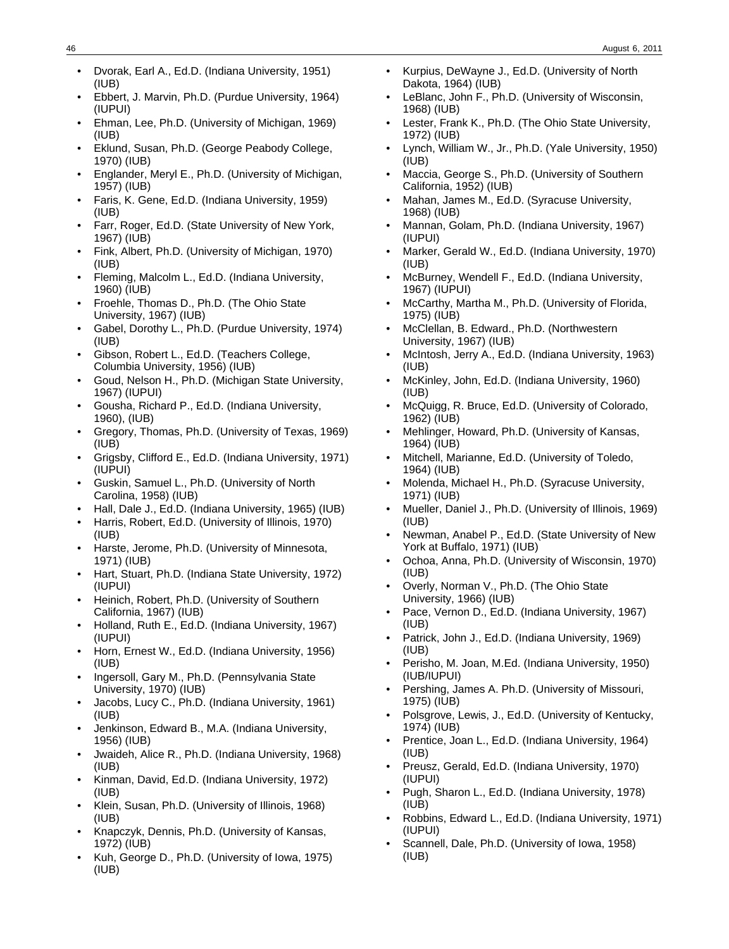- Dvorak, Earl A., Ed.D. (Indiana University, 1951) (IUB)
- Ebbert, J. Marvin, Ph.D. (Purdue University, 1964) (IUPUI)
- Ehman, Lee, Ph.D. (University of Michigan, 1969) (IUB)
- Eklund, Susan, Ph.D. (George Peabody College, 1970) (IUB)
- Englander, Meryl E., Ph.D. (University of Michigan, 1957) (IUB)
- Faris, K. Gene, Ed.D. (Indiana University, 1959) (IUB)
- Farr, Roger, Ed.D. (State University of New York, 1967) (IUB)
- Fink, Albert, Ph.D. (University of Michigan, 1970) (IUB)
- Fleming, Malcolm L., Ed.D. (Indiana University, 1960) (IUB)
- Froehle, Thomas D., Ph.D. (The Ohio State University, 1967) (IUB)
- Gabel, Dorothy L., Ph.D. (Purdue University, 1974) (IUB)
- Gibson, Robert L., Ed.D. (Teachers College, Columbia University, 1956) (IUB)
- Goud, Nelson H., Ph.D. (Michigan State University, 1967) (IUPUI)
- Gousha, Richard P., Ed.D. (Indiana University, 1960), (IUB)
- Gregory, Thomas, Ph.D. (University of Texas, 1969) (IUB)
- Grigsby, Clifford E., Ed.D. (Indiana University, 1971) (IUPUI)
- Guskin, Samuel L., Ph.D. (University of North Carolina, 1958) (IUB)
- Hall, Dale J., Ed.D. (Indiana University, 1965) (IUB)
- Harris, Robert, Ed.D. (University of Illinois, 1970) (IUB)
- Harste, Jerome, Ph.D. (University of Minnesota, 1971) (IUB)
- Hart, Stuart, Ph.D. (Indiana State University, 1972) (IUPUI)
- Heinich, Robert, Ph.D. (University of Southern California, 1967) (IUB)
- Holland, Ruth E., Ed.D. (Indiana University, 1967) (IUPUI)
- Horn, Ernest W., Ed.D. (Indiana University, 1956) (IUB)
- Ingersoll, Gary M., Ph.D. (Pennsylvania State University, 1970) (IUB)
- Jacobs, Lucy C., Ph.D. (Indiana University, 1961) (IUB)
- Jenkinson, Edward B., M.A. (Indiana University, 1956) (IUB)
- Jwaideh, Alice R., Ph.D. (Indiana University, 1968) (IUB)
- Kinman, David, Ed.D. (Indiana University, 1972) (IUB)
- Klein, Susan, Ph.D. (University of Illinois, 1968) (IUB)
- Knapczyk, Dennis, Ph.D. (University of Kansas, 1972) (IUB)
- Kuh, George D., Ph.D. (University of Iowa, 1975) (IUB)
- Kurpius, DeWayne J., Ed.D. (University of North Dakota, 1964) (IUB)
- LeBlanc, John F., Ph.D. (University of Wisconsin, 1968) (IUB)
- Lester, Frank K., Ph.D. (The Ohio State University, 1972) (IUB)
- Lynch, William W., Jr., Ph.D. (Yale University, 1950) (IUB)
- Maccia, George S., Ph.D. (University of Southern California, 1952) (IUB)
- Mahan, James M., Ed.D. (Syracuse University, 1968) (IUB)
- Mannan, Golam, Ph.D. (Indiana University, 1967) (IUPUI)
- Marker, Gerald W., Ed.D. (Indiana University, 1970) (IUB)
- McBurney, Wendell F., Ed.D. (Indiana University, 1967) (IUPUI)
- McCarthy, Martha M., Ph.D. (University of Florida, 1975) (IUB)
- McClellan, B. Edward., Ph.D. (Northwestern University, 1967) (IUB)
- McIntosh, Jerry A., Ed.D. (Indiana University, 1963) (IUB)
- McKinley, John, Ed.D. (Indiana University, 1960) (IUB)
- McQuigg, R. Bruce, Ed.D. (University of Colorado, 1962) (IUB)
- Mehlinger, Howard, Ph.D. (University of Kansas, 1964) (IUB)
- Mitchell, Marianne, Ed.D. (University of Toledo, 1964) (IUB)
- Molenda, Michael H., Ph.D. (Syracuse University, 1971) (IUB)
- Mueller, Daniel J., Ph.D. (University of Illinois, 1969) (IUB)
- Newman, Anabel P., Ed.D. (State University of New York at Buffalo, 1971) (IUB)
- Ochoa, Anna, Ph.D. (University of Wisconsin, 1970) (IUB)
- Overly, Norman V., Ph.D. (The Ohio State University, 1966) (IUB)
- Pace, Vernon D., Ed.D. (Indiana University, 1967) (IUB)
- Patrick, John J., Ed.D. (Indiana University, 1969) (IUB)
- Perisho, M. Joan, M.Ed. (Indiana University, 1950) (IUB/IUPUI)
- Pershing, James A. Ph.D. (University of Missouri, 1975) (IUB)
- Polsgrove, Lewis, J., Ed.D. (University of Kentucky, 1974) (IUB)
- Prentice, Joan L., Ed.D. (Indiana University, 1964) (IUB)
- Preusz, Gerald, Ed.D. (Indiana University, 1970) (IUPUI)
- Pugh, Sharon L., Ed.D. (Indiana University, 1978) (IUB)
- Robbins, Edward L., Ed.D. (Indiana University, 1971) (IUPUI)
- Scannell, Dale, Ph.D. (University of Iowa, 1958) (IUB)